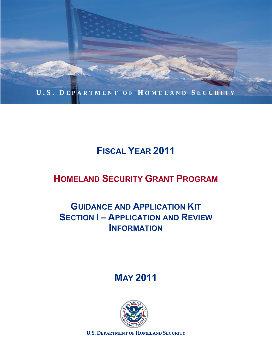

# **FISCAL YEAR 2011**

# **HOMELAND SECURITY GRANT PROGRAM**

## **GUIDANCE AND APPLICATION KIT SECTION I – APPLICATION AND REVIEW INFORMATION**

**MAY 2011**



**U.S. DEPARTMENT OF HOMELAND SECURITY**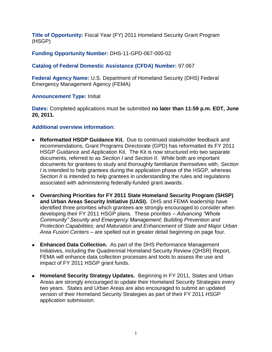**Title of Opportunity:** Fiscal Year (FY) 2011 Homeland Security Grant Program (HSGP)

**Funding Opportunity Number:** DHS-11-GPD-067-000-02

## **Catalog of Federal Domestic Assistance (CFDA) Number:** 97.067

**Federal Agency Name:** U.S. Department of Homeland Security (DHS) Federal Emergency Management Agency (FEMA)

#### **Announcement Type:** Initial

**Dates:** Completed applications must be submitted **no later than 11:59 p.m. EDT, June 20, 2011.**

#### **Additional overview information:**

- **Reformatted HSGP Guidance Kit.** Due to continued stakeholder feedback and recommendations, Grant Programs Directorate (GPD) has reformatted its FY 2011 HSGP Guidance and Application Kit. The Kit is now structured into two separate documents, referred to as *Section I* and *Section II*. While both are important documents for grantees to study and thoroughly familiarize themselves with, *Section I* is intended to help grantees during the application phase of the HSGP, whereas *Section II* is intended to help grantees in understanding the rules and regulations associated with administering federally-funded grant awards.
- **Overarching Priorities for FY 2011 State Homeland Security Program (SHSP) and Urban Areas Security Initiative (UASI).** DHS and FEMA leadership have identified three priorities which grantees are strongly encouraged to consider when developing their FY 2011 HSGP plans. These priorities – *Advancing "Whole Community" Security and Emergency Management; Building Prevention and Protection Capabilities; and Maturation and Enhancement of State and Major Urban Area Fusion Centers* – are spelled out in greater detail beginning on page four.
- **Enhanced Data Collection.** As part of the DHS Performance Management Initiatives, including the Quadrennial Homeland Security Review (QHSR) Report, FEMA will enhance data collection processes and tools to assess the use and impact of FY 2011 HSGP grant funds.
- **Homeland Security Strategy Updates.** Beginning in FY 2011, States and Urban Areas are strongly encouraged to update their Homeland Security Strategies every two years. States and Urban Areas are also encouraged to submit an updated version of their Homeland Security Strategies as part of their FY 2011 HSGP application submission.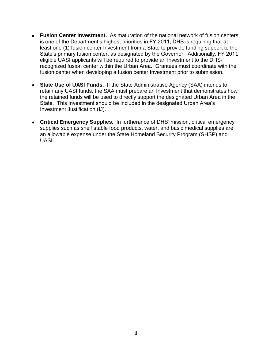- **Fusion Center Investment.** As maturation of the national network of fusion centers is one of the Department's highest priorities in FY 2011, DHS is requiring that at least one (1) fusion center Investment from a State to provide funding support to the State's primary fusion center, as designated by the Governor. Additionally, FY 2011 eligible UASI applicants will be required to provide an Investment to the DHSrecognized fusion center within the Urban Area. Grantees must coordinate with the fusion center when developing a fusion center Investment prior to submission.
- **State Use of UASI Funds.** If the State Administrative Agency (SAA) intends to retain any UASI funds, the SAA must prepare an Investment that demonstrates how the retained funds will be used to directly support the designated Urban Area in the State. This Investment should be included in the designated Urban Area's Investment Justification (IJ).
- **Critical Emergency Supplies.** In furtherance of DHS' mission, critical emergency supplies such as shelf stable food products, water, and basic medical supplies are an allowable expense under the State Homeland Security Program (SHSP) and UASI.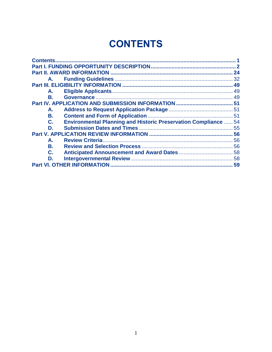# **CONTENTS**

<span id="page-3-0"></span>

| <b>Environmental Planning and Historic Preservation Compliance  54</b> |  |  |
|------------------------------------------------------------------------|--|--|
|                                                                        |  |  |
|                                                                        |  |  |
|                                                                        |  |  |
|                                                                        |  |  |
|                                                                        |  |  |
|                                                                        |  |  |
| 59                                                                     |  |  |
|                                                                        |  |  |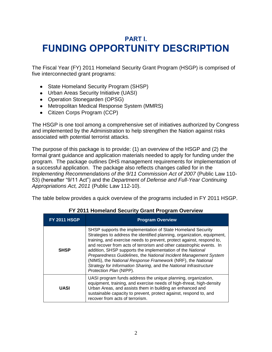## <span id="page-4-0"></span>**PART I. FUNDING OPPORTUNITY DESCRIPTION**

The Fiscal Year (FY) 2011 Homeland Security Grant Program (HSGP) is comprised of five interconnected grant programs:

- State Homeland Security Program (SHSP)
- Urban Areas Security Initiative (UASI)
- Operation Stonegarden (OPSG)
- Metropolitan Medical Response System (MMRS)
- Citizen Corps Program (CCP)

The HSGP is one tool among a comprehensive set of initiatives authorized by Congress and implemented by the Administration to help strengthen the Nation against risks associated with potential terrorist attacks.

The purpose of this package is to provide: (1) an overview of the HSGP and (2) the formal grant guidance and application materials needed to apply for funding under the program. The package outlines DHS management requirements for implementation of a successful application. The package also reflects changes called for in the *Implementing Recommendations of the 9/11 Commission Act of 2007 (Public Law 110-*53) (hereafter ―9/11 Act‖) and the *Department of Defense and Full-Year Continuing Appropriations Act, 2011* (Public Law 112-10).

The table below provides a quick overview of the programs included in FY 2011 HSGP.

| <b>FY 2011 HSGP</b> | <b>Program Overview</b>                                                                                                                                                                                                                                                                                                                                                                                                                                                                                                                                                                  |  |  |  |
|---------------------|------------------------------------------------------------------------------------------------------------------------------------------------------------------------------------------------------------------------------------------------------------------------------------------------------------------------------------------------------------------------------------------------------------------------------------------------------------------------------------------------------------------------------------------------------------------------------------------|--|--|--|
| <b>SHSP</b>         | SHSP supports the implementation of State Homeland Security<br>Strategies to address the identified planning, organization, equipment,<br>training, and exercise needs to prevent, protect against, respond to,<br>and recover from acts of terrorism and other catastrophic events. In<br>addition, SHSP supports the implementation of the National<br>Preparedness Guidelines, the National Incident Management System<br>(NIMS), the National Response Framework (NRF), the National<br>Strategy for Information Sharing, and the National Infrastructure<br>Protection Plan (NIPP). |  |  |  |
| <b>UASI</b>         | UASI program funds address the unique planning, organization,<br>equipment, training, and exercise needs of high-threat, high-density<br>Urban Areas, and assists them in building an enhanced and<br>sustainable capacity to prevent, protect against, respond to, and<br>recover from acts of terrorism.                                                                                                                                                                                                                                                                               |  |  |  |

## **FY 2011 Homeland Security Grant Program Overview**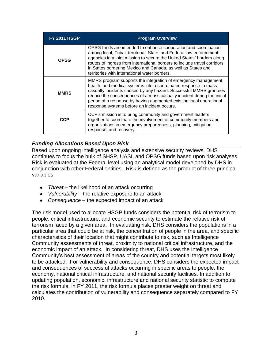| <b>FY 2011 HSGP</b> | <b>Program Overview</b>                                                                                                                                                                                                                                                                                                                                                                                        |  |  |
|---------------------|----------------------------------------------------------------------------------------------------------------------------------------------------------------------------------------------------------------------------------------------------------------------------------------------------------------------------------------------------------------------------------------------------------------|--|--|
| <b>OPSG</b>         | OPSG funds are intended to enhance cooperation and coordination<br>among local, Tribal, territorial, State, and Federal law enforcement<br>agencies in a joint mission to secure the United States' borders along<br>routes of ingress from international borders to include travel corridors<br>in States bordering Mexico and Canada, as well as States and<br>territories with international water borders. |  |  |
| <b>MMRS</b>         | MMRS program supports the integration of emergency management,<br>health, and medical systems into a coordinated response to mass<br>casualty incidents caused by any hazard. Successful MMRS grantees<br>reduce the consequences of a mass casualty incident during the initial<br>period of a response by having augmented existing local operational<br>response systems before an incident occurs.         |  |  |
| CCP                 | CCP's mission is to bring community and government leaders<br>together to coordinate the involvement of community members and<br>organizations in emergency preparedness, planning, mitigation,<br>response, and recovery.                                                                                                                                                                                     |  |  |

## *Funding Allocations Based Upon Risk*

Based upon ongoing intelligence analysis and extensive security reviews, DHS continues to focus the bulk of SHSP, UASI, and OPSG funds based upon risk analyses. Risk is evaluated at the Federal level using an analytical model developed by DHS in conjunction with other Federal entities. Risk is defined as the product of three principal variables:

- *Threat* the likelihood of an attack occurring
- *Vulnerability* the relative exposure to an attack
- *Consequence* the expected impact of an attack

The risk model used to allocate HSGP funds considers the potential risk of terrorism to people, critical infrastructure, and economic security to estimate the relative risk of terrorism faced by a given area. In evaluating risk, DHS considers the populations in a particular area that could be at risk, the concentration of people in the area, and specific characteristics of their location that might contribute to risk, such as Intelligence Community assessments of threat, proximity to national critical infrastructure, and the economic impact of an attack. In considering threat, DHS uses the Intelligence Community's best assessment of areas of the country and potential targets most likely to be attacked. For vulnerability and consequence, DHS considers the expected impact and consequences of successful attacks occurring in specific areas to people, the economy, national critical infrastructure, and national security facilities. In addition to updating population, economic, infrastructure and national security statistic to compute the risk formula, in FY 2011, the risk formula places greater weight on threat and calculates the contribution of vulnerability and consequence separately compared to FY 2010.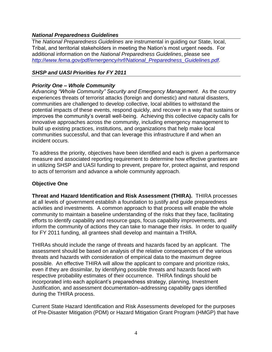#### *National Preparedness Guidelines*

The *National Preparedness Guidelines* are instrumental in guiding our State, local, Tribal, and territorial stakeholders in meeting the Nation's most urgent needs. For additional information on the *National Preparedness Guidelines*, please see *[http://www.fema.gov/pdf/emergency/nrf/National\\_Preparedness\\_Guidelines.pdf.](http://www.fema.gov/pdf/emergency/nrf/National_Preparedness_Guidelines.pdf)*

#### *SHSP and UASI Priorities for FY 2011*

## *Priority One – Whole Community*

*Advancing "Whole Community" Security and Emergency Management*. As the country experiences threats of terrorist attacks (foreign and domestic) and natural disasters, communities are challenged to develop collective, local abilities to withstand the potential impacts of these events, respond quickly, and recover in a way that sustains or improves the community's overall well-being. Achieving this collective capacity calls for innovative approaches across the community, including emergency management to build up existing practices, institutions, and organizations that help make local communities successful, and that can leverage this infrastructure if and when an incident occurs.

To address the priority, objectives have been identified and each is given a performance measure and associated reporting requirement to determine how effective grantees are in utilizing SHSP and UASI funding to prevent, prepare for, protect against, and respond to acts of terrorism and advance a whole community approach.

#### **Objective One**

**Threat and Hazard Identification and Risk Assessment (THIRA).** THIRA processes at all levels of government establish a foundation to justify and guide preparedness activities and investments. A common approach to that process will enable the whole community to maintain a baseline understanding of the risks that they face, facilitating efforts to identify capability and resource gaps, focus capability improvements, and inform the community of actions they can take to manage their risks. In order to qualify for FY 2011 funding, all grantees shall develop and maintain a THIRA.

THIRAs should include the range of threats and hazards faced by an applicant. The assessment should be based on analysis of the relative consequences of the various threats and hazards with consideration of empirical data to the maximum degree possible. An effective THIRA will allow the applicant to compare and prioritize risks, even if they are dissimilar, by identifying possible threats and hazards faced with respective probability estimates of their occurrence. THIRA findings should be incorporated into each applicant's preparedness strategy, planning, Investment Justification, and assessment documentation–addressing capability gaps identified during the THIRA process.

Current State Hazard Identification and Risk Assessments developed for the purposes of Pre-Disaster Mitigation (PDM) or Hazard Mitigation Grant Program (HMGP) that have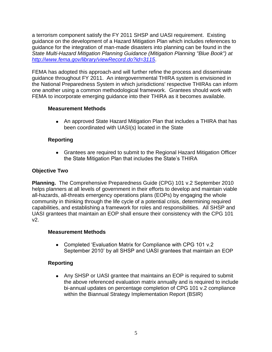a terrorism component satisfy the FY 2011 SHSP and UASI requirement. Existing guidance on the development of a Hazard Mitigation Plan which includes references to guidance for the integration of man-made disasters into planning can be found in the *State Multi-Hazard Mitigation Planning Guidance (Mitigation Planning "Blue Book") at <http://www.fema.gov/library/viewRecord.do?id=3115>*.

FEMA has adopted this approach and will further refine the process and disseminate guidance throughout FY 2011. An intergovernmental THIRA system is envisioned in the National Preparedness System in which jurisdictions' respective THIRAs can inform one another using a common methodological framework. Grantees should work with FEMA to incorporate emerging guidance into their THIRA as it becomes available.

## **Measurement Methods**

An approved State Hazard Mitigation Plan that includes a THIRA that has been coordinated with UASI(s) located in the State

## **Reporting**

Grantees are required to submit to the Regional Hazard Mitigation Officer the State Mitigation Plan that includes the State's THIRA

## **Objective Two**

**Planning.** The Comprehensive Preparedness Guide (CPG) 101 v.2 September 2010 helps planners at all levels of government in their efforts to develop and maintain viable all-hazards, all-threats emergency operations plans (EOPs) by engaging the whole community in thinking through the life cycle of a potential crisis, determining required capabilities, and establishing a framework for roles and responsibilities. All SHSP and UASI grantees that maintain an EOP shall ensure their consistency with the CPG 101 v2.

## **Measurement Methods**

• Completed 'Evaluation Matrix for Compliance with CPG 101 v.2 September 2010' by all SHSP and UASI grantees that maintain an EOP

## **Reporting**

Any SHSP or UASI grantee that maintains an EOP is required to submit the above referenced evaluation matrix annually and is required to include bi-annual updates on percentage completion of CPG 101 v.2 compliance within the Biannual Strategy Implementation Report (BSIR)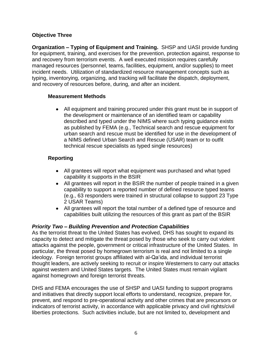## **Objective Three**

**Organization – Typing of Equipment and Training.** SHSP and UASI provide funding for equipment, training, and exercises for the prevention, protection against, response to and recovery from terrorism events. A well executed mission requires carefully managed resources (personnel, teams, facilities, equipment, and/or supplies) to meet incident needs. Utilization of standardized resource management concepts such as typing, inventorying, organizing, and tracking will facilitate the dispatch, deployment, and recovery of resources before, during, and after an incident.

#### **Measurement Methods**

All equipment and training procured under this grant must be in support of the development or maintenance of an identified team or capability described and typed under the NIMS where such typing guidance exists as published by FEMA (e.g., Technical search and rescue equipment for urban search and rescue must be identified for use in the development of a NIMS defined Urban Search and Rescue (USAR) team or to outfit technical rescue specialists as typed single resources)

## **Reporting**

- All grantees will report what equipment was purchased and what typed capability it supports in the BSIR
- All grantees will report in the BSIR the number of people trained in a given capability to support a reported number of defined resource typed teams (e.g., 63 responders were trained in structural collapse to support 23 Type 2 USAR Teams)
- All grantees will report the total number of a defined type of resource and capabilities built utilizing the resources of this grant as part of the BSIR

## *Priority Two – Building Prevention and Protection Capabilities*

As the terrorist threat to the United States has evolved, DHS has sought to expand its capacity to detect and mitigate the threat posed by those who seek to carry out violent attacks against the people, government or critical infrastructure of the United States. In particular, the threat posed by homegrown terrorism is real and not limited to a single ideology. Foreign terrorist groups affiliated with al-Qa'ida, and individual terrorist thought leaders, are actively seeking to recruit or inspire Westerners to carry out attacks against western and United States targets. The United States must remain vigilant against homegrown and foreign terrorist threats.

DHS and FEMA encourages the use of SHSP and UASI funding to support programs and initiatives that directly support local efforts to understand, recognize, prepare for, prevent, and respond to pre-operational activity and other crimes that are precursors or indicators of terrorist activity, in accordance with applicable privacy and civil rights/civil liberties protections. Such activities include, but are not limited to, development and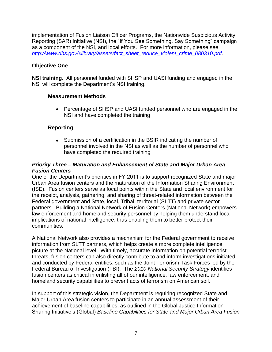implementation of Fusion Liaison Officer Programs, the Nationwide Suspicious Activity Reporting (SAR) Initiative (NSI), the "If You See Something, Say Something" campaign as a component of the NSI, and local efforts. For more information, please see *[http://www.dhs.gov/xlibrary/assets/fact\\_sheet\\_reduce\\_violent\\_crime\\_080310.pdf](http://www.dhs.gov/xlibrary/assets/fact_sheet_reduce_violent_crime_080310.pdf)*.

## **Objective One**

**NSI training.** All personnel funded with SHSP and UASI funding and engaged in the NSI will complete the Department's NSI training.

#### **Measurement Methods**

Percentage of SHSP and UASI funded personnel who are engaged in the NSI and have completed the training

## **Reporting**

Submission of a certification in the BSIR indicating the number of  $\bullet$ personnel involved in the NSI as well as the number of personnel who have completed the required training

## *Priority Three – Maturation and Enhancement of State and Major Urban Area Fusion Centers*

One of the Department's priorities in FY 2011 is to support recognized State and major Urban Area fusion centers and the maturation of the Information Sharing Environment (ISE). Fusion centers serve as focal points within the State and local environment for the receipt, analysis, gathering, and sharing of threat-related information between the Federal government and State, local, Tribal, territorial (SLTT) and private sector partners. Building a National Network of Fusion Centers (National Network) empowers law enforcement and homeland security personnel by helping them understand local implications of national intelligence, thus enabling them to better protect their communities.

A National Network also provides a mechanism for the Federal government to receive information from SLTT partners, which helps create a more complete intelligence picture at the National level. With timely, accurate information on potential terrorist threats, fusion centers can also directly contribute to and inform investigations initiated and conducted by Federal entities, such as the Joint Terrorism Task Forces led by the Federal Bureau of Investigation (FBI). The *2010 National Security Strategy* identifies fusion centers as critical in enlisting all of our intelligence, law enforcement, and homeland security capabilities to prevent acts of terrorism on American soil.

In support of this strategic vision, the Department is requiring recognized State and Major Urban Area fusion centers to participate in an annual assessment of their achievement of baseline capabilities, as outlined in the Global Justice Information Sharing Initiative's (Global) *Baseline Capabilities for State and Major Urban Area Fusion*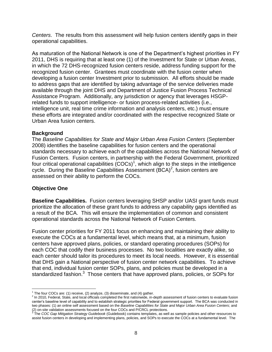*Centers*. The results from this assessment will help fusion centers identify gaps in their operational capabilities.

As maturation of the National Network is one of the Department's highest priorities in FY 2011, DHS is requiring that at least one (1) of the Investment for State or Urban Areas, in which the 72 DHS-recognized fusion centers reside, address funding support for the recognized fusion center. Grantees must coordinate with the fusion center when developing a fusion center Investment prior to submission. All efforts should be made to address gaps that are identified by taking advantage of the service deliveries made available through the joint DHS and Department of Justice Fusion Process Technical Assistance Program. Additionally, any jurisdiction or agency that leverages HSGPrelated funds to support intelligence- or fusion process-related activities (i.e., intelligence unit, real time crime information and analysis centers, etc.) must ensure these efforts are integrated and/or coordinated with the respective recognized State or Urban Area fusion centers.

#### **Background**

The *Baseline Capabilities for State and Major Urban Area Fusion Centers* (September 2008) identifies the baseline capabilities for fusion centers and the operational standards necessary to achieve each of the capabilities across the National Network of Fusion Centers. Fusion centers, in partnership with the Federal Government, prioritized four critical operational capabilities  $(COCs)^1$ , which align to the steps in the intelligence cycle. During the Baseline Capabilities Assessment  $(BCA)^2$ , fusion centers are assessed on their ability to perform the COCs.

#### **Objective One**

 $\overline{a}$ 

**Baseline Capabilities.** Fusion centers leveraging SHSP and/or UASI grant funds must prioritize the allocation of these grant funds to address any capability gaps identified as a result of the BCA. This will ensure the implementation of common and consistent operational standards across the National Network of Fusion Centers.

Fusion center priorities for FY 2011 focus on enhancing and maintaining their ability to execute the COCs at a fundamental level, which means that, at a minimum, fusion centers have approved plans, policies, or standard operating procedures (SOPs) for each COC that codify their business processes. No two localities are exactly alike, so each center should tailor its procedures to meet its local needs. However, it is essential that DHS gain a National perspective of fusion center network capabilities. To achieve that end, individual fusion center SOPs, plans, and policies must be developed in a standardized fashion. $3$  Those centers that have approved plans, policies, or SOPs for

<sup>&</sup>lt;sup>1</sup> The four COCs are: (1) receive, (2) analyze, (3) disseminate, and (4) gather.

<sup>&</sup>lt;sup>2</sup> In 2010, Federal, State, and local officials completed the first nationwide, in-depth assessment of fusion centers to evaluate fusion center's baseline level of capability and to establish strategic priorities for Federal government support. The BCA was conducted in two phases: (1) an online self assessment based on the *Baseline Capabilities for State and Major Urban Area Fusion Centers*; and

<sup>(2)</sup> on-site validation assessments focused on the four COCs and P/CRCL protections.<br><sup>3</sup> The *COC Gap Mitigation Strategy Guidebook* (Guidebook) contains templates, as well as sample policies and other resources to assist fusion centers in developing and implementing plans, policies, and SOPs to execute the COCs at a fundamental level. The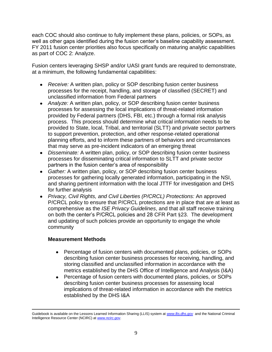each COC should also continue to fully implement these plans, policies, or SOPs, as well as other gaps identified during the fusion center's baseline capability assessment. FY 2011 fusion center priorities also focus specifically on maturing analytic capabilities as part of COC 2: Analyze.

Fusion centers leveraging SHSP and/or UASI grant funds are required to demonstrate, at a minimum, the following fundamental capabilities:

- *Receive:* A written plan, policy or SOP describing fusion center business processes for the receipt, handling, and storage of classified (SECRET) and unclassified information from Federal partners
- *Analyze:* A written plan, policy, or SOP describing fusion center business processes for assessing the local implications of threat-related information provided by Federal partners (DHS, FBI, etc.) through a formal risk analysis process. This process should determine what critical information needs to be provided to State, local, Tribal, and territorial (SLTT) and private sector partners to support prevention, protection, and other response-related operational planning efforts, and to inform these partners of behaviors and circumstances that may serve as pre-incident indicators of an emerging threat
- *Disseminate:* A written plan, policy, or SOP describing fusion center business processes for disseminating critical information to SLTT and private sector partners in the fusion center's area of responsibility
- *Gather:* A written plan, policy, or SOP describing fusion center business processes for gathering locally generated information, participating in the NSI, and sharing pertinent information with the local JTTF for investigation and DHS for further analysis
- *Privacy, Civil Rights, and Civil Liberties (P/CRCL) Protections:* An approved P/CRCL policy to ensure that P/CRCL protections are in place that are at least as comprehensive as the *ISE Privacy Guidelines*, and that all staff receive training on both the center's P/CRCL policies and 28 CFR Part §23. The development and updating of such policies provide an opportunity to engage the whole community

## **Measurement Methods**

- $\bullet$ Percentage of fusion centers with documented plans, policies, or SOPs describing fusion center business processes for receiving, handling, and storing classified and unclassified information in accordance with the metrics established by the DHS Office of Intelligence and Analysis (I&A)
- Percentage of fusion centers with documented plans, policies, or SOPs  $\bullet$ describing fusion center business processes for assessing local implications of threat-related information in accordance with the metrics established by the DHS I&A

 $\overline{a}$ Guidebook is available on the Lessons Learned Information Sharing (LLIS) system at *[www.llis.dhs.gov](http://www.llis.dhs.gov/)* and the National Criminal Intelligence Resource Center (NCIRC) at *[www.ncirc.gov](http://www.ncirc.gov/)*.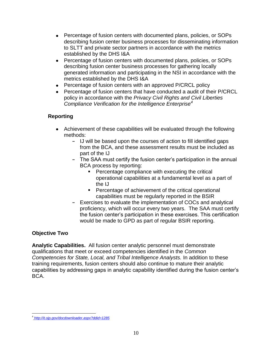- Percentage of fusion centers with documented plans, policies, or SOPs describing fusion center business processes for disseminating information to SLTT and private sector partners in accordance with the metrics established by the DHS I&A
- Percentage of fusion centers with documented plans, policies, or SOPs describing fusion center business processes for gathering locally generated information and participating in the NSI in accordance with the metrics established by the DHS I&A
- Percentage of fusion centers with an approved P/CRCL policy
- Percentage of fusion centers that have conducted a audit of their P/CRCL  $\bullet$ policy in accordance with the *Privacy Civil Rights and Civil Liberties Compliance Verification for the Intelligence Enterprise<sup>4</sup>*

## **Reporting**

- Achievement of these capabilities will be evaluated through the following methods:
	- **-** IJ will be based upon the courses of action to fill identified gaps from the BCA, and these assessment results must be included as part of the IJ
	- **-** The SAA must certify the fusion center's participation in the annual BCA process by reporting:
		- **Percentage compliance with executing the critical** operational capabilities at a fundamental level as a part of the IJ
		- **Percentage of achievement of the critical operational** capabilities must be regularly reported in the BSIR
	- **-** Exercises to evaluate the implementation of COCs and analytical proficiency, which will occur every two years. The SAA must certify the fusion center's participation in these exercises. This certification would be made to GPD as part of regular BSIR reporting.

#### **Objective Two**

**Analytic Capabilities.** All fusion center analytic personnel must demonstrate qualifications that meet or exceed competencies identified in the *Common Competencies for State, Local, and Tribal Intelligence Analysts.* In addition to these training requirements, fusion centers should also continue to mature their analytic capabilities by addressing gaps in analytic capability identified during the fusion center's BCA.

 $\overline{a}$ 4 *<http://it.ojp.gov/docdownloader.aspx?ddid=1285>*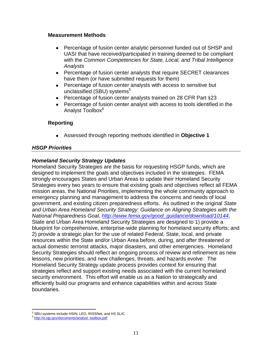#### **Measurement Methods**

- $\bullet$ Percentage of fusion center analytic personnel funded out of SHSP and UASI that have received/participated in training deemed to be compliant with the *Common Competencies for State, Local, and Tribal Intelligence Analysts*
- Percentage of fusion center analysts that require SECRET clearances have them (or have submitted requests for them)
- Percentage of fusion center analysts with access to sensitive but  $\bullet$ unclassified (SBU) systems $5$
- Percentage of fusion center analysts trained on 28 CFR Part §23
- Percentage of fusion center analyst with access to tools identified in the  $\bullet$ Analyst Toolbox<sup>6</sup>

## **Reporting**

Assessed through reporting methods identified in **Objective 1**

## *HSGP Priorities*

#### *Homeland Security Strategy Updates*

Homeland Security Strategies are the basis for requesting HSGP funds, which are designed to implement the goals and objectives included in the strategies. FEMA strongly encourages States and Urban Areas to update their Homeland Security Strategies every two years to ensure that existing goals and objectives reflect all FEMA mission areas, the National Priorities, implementing the whole community approach to emergency planning and management to address the concerns and needs of local government, and existing citizen preparedness efforts. As outlined in the original *[State](http://www.fema.gov/good_guidance/download/10144)  [and Urban Area Homeland Security Strategy: Guidance on Aligning Strategies with the](http://www.fema.gov/good_guidance/download/10144)  [National Preparedness Goal](http://www.fema.gov/good_guidance/download/10144)*, *[http://www.fema.gov/good\\_guidance/download/10144](http://www.fema.gov/good_guidance/download/10144)*, State and Urban Area Homeland Security Strategies are designed to 1) provide a blueprint for comprehensive, enterprise-wide planning for homeland security efforts; and 2) provide a strategic plan for the use of related Federal, State, local, and private resources within the State and/or Urban Area before, during, and after threatened or actual domestic terrorist attacks, major disasters, and other emergencies. Homeland Security Strategies should reflect an ongoing process of review and refinement as new lessons, new priorities, and new challenges, threats, and hazards evolve. The Homeland Security Strategy update process provides context for ensuring that strategies reflect and support existing needs associated with the current homeland security environment. This effort will enable us as a Nation to strategically and efficiently build our programs and enhance capabilities within and across State boundaries.

 $\overline{a}$ <sup>5</sup> SBU systems include HSIN, LEO, RISSNet, and HS SLIC

<sup>&</sup>lt;sup>6</sup> [http://it.ojp.gov/documents/analyst\\_toolbox.pdf](http://it.ojp.gov/documents/analyst_toolbox.pdf)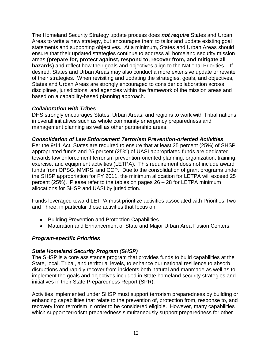The Homeland Security Strategy update process does *not require* States and Urban Areas to write a new strategy, but encourages them to tailor and update existing goal statements and supporting objectives. At a minimum, States and Urban Areas should ensure that their updated strategies continue to address all homeland security mission areas **(prepare for, protect against, respond to, recover from, and mitigate all hazards)** and reflect how their goals and objectives align to the National Priorities.If desired, States and Urban Areas may also conduct a more extensive update or rewrite of their strategies. When revisiting and updating the strategies, goals, and objectives, States and Urban Areas are strongly encouraged to consider collaboration across disciplines, jurisdictions, and agencies within the framework of the mission areas and based on a capability-based planning approach.

#### *Collaboration with Tribes*

DHS strongly encourages States, Urban Areas, and regions to work with Tribal nations in overall initiatives such as whole community emergency preparedness and management planning as well as other partnership areas.

#### *Consolidation of Law Enforcement Terrorism Prevention-oriented Activities*

Per the 9/11 Act, States are required to ensure that at least 25 percent (25%) of SHSP appropriated funds and 25 percent (25%) of UASI appropriated funds are dedicated towards law enforcement terrorism prevention-oriented planning, organization, training, exercise, and equipment activities (LETPA). This requirement does not include award funds from OPSG, MMRS, and CCP. Due to the consolidation of grant programs under the SHSP appropriation for FY 2011, the minimum allocation for LETPA will exceed 25 percent (25%). Please refer to the tables on pages 26 – 28 for LETPA minimum allocations for SHSP and UASI by jurisdiction.

Funds leveraged toward LETPA must prioritize activities associated with Priorities Two and Three, in particular those activities that focus on:

- Building Prevention and Protection Capabilities
- Maturation and Enhancement of State and Major Urban Area Fusion Centers.

## *Program-specific Priorities*

## *State Homeland Security Program (SHSP)*

The SHSP is a core assistance program that provides funds to build capabilities at the State, local, Tribal, and territorial levels, to enhance our national resilience to absorb disruptions and rapidly recover from incidents both natural and manmade as well as to implement the goals and objectives included in State homeland security strategies and initiatives in their State Preparedness Report (SPR).

Activities implemented under SHSP must support terrorism preparedness by building or enhancing capabilities that relate to the prevention of, protection from, response to, and recovery from terrorism in order to be considered eligible. However, many capabilities which support terrorism preparedness simultaneously support preparedness for other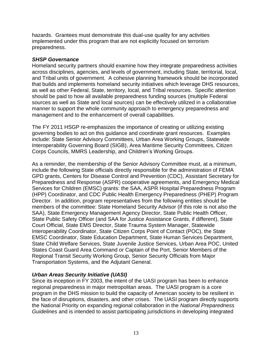hazards. Grantees must demonstrate this dual-use quality for any activities implemented under this program that are not explicitly focused on terrorism preparedness.

#### *SHSP Governance*

Homeland security partners should examine how they integrate preparedness activities across disciplines, agencies, and levels of government, including State, territorial, local, and Tribal units of government. A cohesive planning framework should be incorporated that builds and implements homeland security initiatives which leverage DHS resources, as well as other Federal, State, territory, local, and Tribal resources. Specific attention should be paid to how all available preparedness funding sources (multiple Federal sources as well as State and local sources) can be effectively utilized in a collaborative manner to support the whole community approach to emergency preparedness and management and to the enhancement of overall capabilities.

The FY 2011 HSGP re-emphasizes the importance of creating or utilizing existing governing bodies to act on this guidance and coordinate grant resources. Examples include: State Senior Advisory Committees, Urban Area Working Groups, Statewide Interoperability Governing Board (SIGB), Area Maritime Security Committees, Citizen Corps Councils, MMRS Leadership, and Children's Working Groups.

As a reminder, the membership of the Senior Advisory Committee must, at a minimum, include the following State officials directly responsible for the administration of FEMA GPD grants, Centers for Disease Control and Prevention (CDC), Assistant Secretary for Preparedness and Response (ASPR) cooperative agreements, and Emergency Medical Services for Children (EMSC) grants: the SAA, ASPR Hospital Preparedness Program (HPP) Coordinator, and CDC Public Health Emergency Preparedness (PHEP) Program Director. In addition, program representatives from the following entities should be members of the committee: State Homeland Security Advisor (if this role is not also the SAA), State Emergency Management Agency Director, State Public Health Officer, State Public Safety Officer (and SAA for Justice Assistance Grants, if different), State Court Official, State EMS Director, State Trauma System Manager, Statewide Interoperability Coordinator, State Citizen Corps Point of Contact (POC), the State EMSC Coordinator, State Education Department, State Human Services Department, State Child Welfare Services, State Juvenile Justice Services, Urban Area POC, United States Coast Guard Area Command or Captain of the Port, Senior Members of the Regional Transit Security Working Group, Senior Security Officials from Major Transportation Systems, and the Adjutant General.

## *Urban Areas Security Initiative (UASI)*

Since its inception in FY 2003, the intent of the UASI program has been to enhance regional preparedness in major metropolitan areas. The UASI program is a core program in the DHS mission to build the capacity of American society to be resilient in the face of disruptions, disasters, and other crises. The UASI program directly supports the National Priority on expanding regional collaboration in the *National Preparedness Guidelines* and is intended to assist participating jurisdictions in developing integrated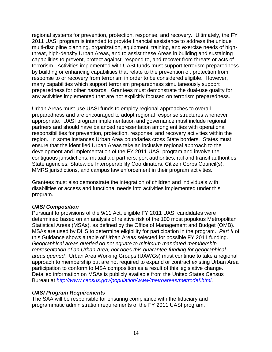regional systems for prevention, protection, response, and recovery. Ultimately, the FY 2011 UASI program is intended to provide financial assistance to address the unique multi-discipline planning, organization, equipment, training, and exercise needs of highthreat, high-density Urban Areas, and to assist these Areas in building and sustaining capabilities to prevent, protect against, respond to, and recover from threats or acts of terrorism. Activities implemented with UASI funds must support terrorism preparedness by building or enhancing capabilities that relate to the prevention of, protection from, response to or recovery from terrorism in order to be considered eligible. However, many capabilities which support terrorism preparedness simultaneously support preparedness for other hazards. Grantees must demonstrate the dual-use quality for any activities implemented that are not explicitly focused on terrorism preparedness.

Urban Areas must use UASI funds to employ regional approaches to overall preparedness and are encouraged to adopt regional response structures whenever appropriate. UASI program implementation and governance must include regional partners and should have balanced representation among entities with operational responsibilities for prevention, protection, response, and recovery activities within the region. In some instances Urban Area boundaries cross State borders. States must ensure that the identified Urban Areas take an inclusive regional approach to the development and implementation of the FY 2011 UASI program and involve the contiguous jurisdictions, mutual aid partners, port authorities, rail and transit authorities, State agencies, Statewide Interoperability Coordinators, Citizen Corps Council(s), MMRS jurisdictions, and campus law enforcement in their program activities.

Grantees must also demonstrate the integration of children and individuals with disabilities or access and functional needs into activities implemented under this program.

#### *UASI Composition*

Pursuant to provisions of the 9/11 Act, eligible FY 2011 UASI candidates were determined based on an analysis of relative risk of the 100 most populous Metropolitan Statistical Areas (MSAs), as defined by the Office of Management and Budget (OMB). MSAs are used by DHS to determine eligibility for participation in the program. *Part II* of this Guidance shows a table of Urban Areas selected for possible FY 2011 funding. *Geographical areas queried do not equate to minimum mandated membership representation of an Urban Area, nor does this guarantee funding for geographical areas queried.* Urban Area Working Groups (UAWGs) must continue to take a regional approach to membership but are not required to expand or contract existing Urban Area participation to conform to MSA composition as a result of this legislative change. Detailed information on MSAs is publicly available from the United States Census Bureau at *<http://www.census.gov/population/www/metroareas/metrodef.html>*.

#### *UASI Program Requirements*

The SAA will be responsible for ensuring compliance with the fiduciary and programmatic administration requirements of the FY 2011 UASI program.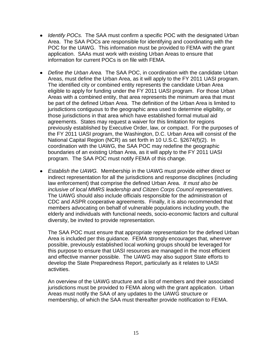- *Identify POCs.* The SAA must confirm a specific POC with the designated Urban Area. The SAA POCs are responsible for identifying and coordinating with the POC for the UAWG. This information must be provided to FEMA with the grant application. SAAs must work with existing Urban Areas to ensure that information for current POCs is on file with FEMA.
- *Define the Urban Area.* The SAA POC, in coordination with the candidate Urban Areas, must define the Urban Area, as it will apply to the FY 2011 UASI program. The identified city or combined entity represents the candidate Urban Area eligible to apply for funding under the FY 2011 UASI program. For those Urban Areas with a combined entity, that area represents the minimum area that must be part of the defined Urban Area. The definition of the Urban Area is limited to jurisdictions contiguous to the geographic area used to determine eligibility, or those jurisdictions in that area which have established formal mutual aid agreements. States may request a waiver for this limitation for regions previously established by Executive Order, law, or compact. For the purposes of the FY 2011 UASI program, the Washington, D.C. Urban Area will consist of the National Capital Region (NCR) as set forth in 10 U.S.C. §2674(f)(2). In coordination with the UAWG, the SAA POC may redefine the geographic boundaries of an existing Urban Area, as it will apply to the FY 2011 UASI program. The SAA POC must notify FEMA of this change.
- *Establish the UAWG.* Membership in the UAWG must provide either direct or indirect representation for all the jurisdictions and response disciplines (including law enforcement) that comprise the defined Urban Area. *It must also be inclusive of local MMRS leadership and Citizen Corps Council representatives.* The UAWG should also include officials responsible for the administration of CDC and ASPR cooperative agreements. Finally, it is also recommended that members advocating on behalf of vulnerable populations including youth, the elderly and individuals with functional needs, socio-economic factors and cultural diversity, be invited to provide representation.

The SAA POC must ensure that appropriate representation for the defined Urban Area is included per this guidance. FEMA strongly encourages that, wherever possible, previously established local working groups should be leveraged for this purpose to ensure that UASI resources are managed in the most efficient and effective manner possible. The UAWG may also support State efforts to develop the State Preparedness Report, particularly as it relates to UASI activities.

An overview of the UAWG structure and a list of members and their associated jurisdictions must be provided to FEMA along with the grant application. Urban Areas must notify the SAA of any updates to the UAWG structure or membership, of which the SAA must thereafter provide notification to FEMA.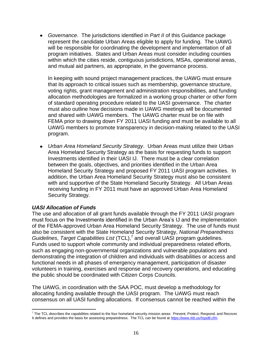*Governance*. The jurisdictions identified in *Part II* of this Guidance package represent the candidate Urban Areas eligible to apply for funding. The UAWG will be responsible for coordinating the development and implementation of all program initiatives. States and Urban Areas must consider including counties within which the cities reside, contiguous jurisdictions, MSAs, operational areas, and mutual aid partners, as appropriate, in the governance process.

In keeping with sound project management practices, the UAWG must ensure that its approach to critical issues such as membership, governance structure, voting rights, grant management and administration responsibilities, and funding allocation methodologies are formalized in a working group charter or other form of standard operating procedure related to the UASI governance. The charter must also outline how decisions made in UAWG meetings will be documented and shared with UAWG members. The UAWG charter must be on file with FEMA prior to drawing down FY 2011 UASI funding and must be available to all UAWG members to promote transparency in decision-making related to the UASI program.

*Urban Area Homeland Security Strategy*. Urban Areas must utilize their Urban Area Homeland Security Strategy as the basis for requesting funds to support Investments identified in their UASI IJ. There must be a clear correlation between the goals, objectives, and priorities identified in the Urban Area Homeland Security Strategy and proposed FY 2011 UASI program activities. In addition, the Urban Area Homeland Security Strategy must also be consistent with and supportive of the State Homeland Security Strategy. All Urban Areas receiving funding in FY 2011 must have an approved Urban Area Homeland Security Strategy.

## *UASI Allocation of Funds*

The use and allocation of all grant funds available through the FY 2011 UASI program must focus on the Investments identified in the Urban Area's IJ and the implementation of the FEMA-approved Urban Area Homeland Security Strategy. The use of funds must also be consistent with the State Homeland Security Strategy, *National Preparedness Guidelines*, *Target Capabilities List* (TCL), 7 and overall UASI program guidelines. Funds used to support whole community and individual preparedness related efforts, such as engaging non-governmental organizations and vulnerable populations and demonstrating the integration of children and individuals with disabilities or access and functional needs in all phases of emergency management, participation of disaster volunteers in training, exercises and response and recovery operations, and educating the public should be coordinated with Citizen Corps Councils.

The UAWG, in coordination with the SAA POC, must develop a methodology for allocating funding available through the UASI program. The UAWG must reach consensus on all UASI funding allocations. If consensus cannot be reached within the

 $\overline{a}$  $^7$  The TCL describes the capabilities related to the four homeland security mission areas: Prevent, Protect, Respond, and Recover. It defines and provides the basis for assessing preparedness. The TCL can be found at *<https://www.rkb.us/hspd8.cfm>*.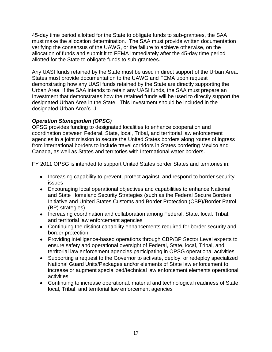45-day time period allotted for the State to obligate funds to sub-grantees, the SAA must make the allocation determination. The SAA must provide written documentation verifying the consensus of the UAWG, or the failure to achieve otherwise, on the allocation of funds and submit it to FEMA immediately after the 45-day time period allotted for the State to obligate funds to sub-grantees.

Any UASI funds retained by the State must be used in direct support of the Urban Area. States must provide documentation to the UAWG and FEMA upon request demonstrating how any UASI funds retained by the State are directly supporting the Urban Area. If the SAA intends to retain any UASI funds, the SAA must prepare an Investment that demonstrates how the retained funds will be used to directly support the designated Urban Area in the State. This Investment should be included in the designated Urban Area's IJ.

## *Operation Stonegarden (OPSG)*

OPSG provides funding to designated localities to enhance cooperation and coordination between Federal, State, local, Tribal, and territorial law enforcement agencies in a joint mission to secure the United States borders along routes of ingress from international borders to include travel corridors in States bordering Mexico and Canada, as well as States and territories with International water borders.

FY 2011 OPSG is intended to support United States border States and territories in:

- Increasing capability to prevent, protect against, and respond to border security issues
- Encouraging local operational objectives and capabilities to enhance National and State Homeland Security Strategies (such as the Federal Secure Borders Initiative and United States Customs and Border Protection (CBP)/Border Patrol (BP) strategies)
- Increasing coordination and collaboration among Federal, State, local, Tribal, and territorial law enforcement agencies
- Continuing the distinct capability enhancements required for border security and border protection
- Providing intelligence-based operations through CBP/BP Sector Level experts to ensure safety and operational oversight of Federal, State, local, Tribal, and territorial law enforcement agencies participating in OPSG operational activities
- Supporting a request to the Governor to activate, deploy, or redeploy specialized National Guard Units/Packages and/or elements of State law enforcement to increase or augment specialized/technical law enforcement elements operational activities
- Continuing to increase operational, material and technological readiness of State, local, Tribal, and territorial law enforcement agencies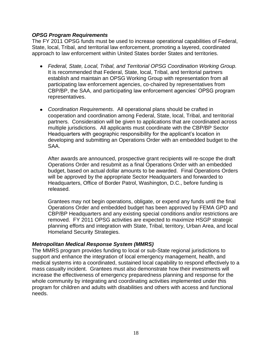#### *OPSG Program Requirements*

The FY 2011 OPSG funds must be used to increase operational capabilities of Federal, State, local, Tribal, and territorial law enforcement, promoting a layered, coordinated approach to law enforcement within United States border States and territories.

- *Federal, State, Local, Tribal, and Territorial OPSG Coordination Working Group.* It is recommended that Federal, State, local, Tribal, and territorial partners establish and maintain an OPSG Working Group with representation from all participating law enforcement agencies, co-chaired by representatives from CBP/BP, the SAA, and participating law enforcement agencies' OPSG program representatives.
- *Coordination Requirements*. All operational plans should be crafted in cooperation and coordination among Federal, State, local, Tribal, and territorial partners. Consideration will be given to applications that are coordinated across multiple jurisdictions. All applicants must coordinate with the CBP/BP Sector Headquarters with geographic responsibility for the applicant's location in developing and submitting an Operations Order with an embedded budget to the SAA.

After awards are announced, prospective grant recipients will re-scope the draft Operations Order and resubmit as a final Operations Order with an embedded budget, based on actual dollar amounts to be awarded. Final Operations Orders will be approved by the appropriate Sector Headquarters and forwarded to Headquarters, Office of Border Patrol, Washington, D.C., before funding is released.

Grantees may not begin operations, obligate, or expend any funds until the final Operations Order and embedded budget has been approved by FEMA GPD and CBP/BP Headquarters and any existing special conditions and/or restrictions are removed. FY 2011 OPSG activities are expected to maximize HSGP strategic planning efforts and integration with State, Tribal, territory, Urban Area, and local Homeland Security Strategies.

#### *Metropolitan Medical Response System (MMRS)*

The MMRS program provides funding to local or sub-State regional jurisdictions to support and enhance the integration of local emergency management, health, and medical systems into a coordinated, sustained local capability to respond effectively to a mass casualty incident. Grantees must also demonstrate how their investments will increase the effectiveness of emergency preparedness planning and response for the whole community by integrating and coordinating activities implemented under this program for children and adults with disabilities and others with access and functional needs.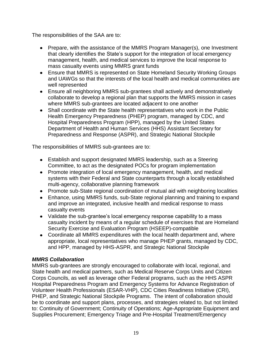The responsibilities of the SAA are to:

- Prepare, with the assistance of the MMRS Program Manager(s), one Investment that clearly identifies the State's support for the integration of local emergency management, health, and medical services to improve the local response to mass casualty events using MMRS grant funds
- Ensure that MMRS is represented on State Homeland Security Working Groups and UAWGs so that the interests of the local health and medical communities are well represented
- Ensure all neighboring MMRS sub-grantees shall actively and demonstratively collaborate to develop a regional plan that supports the MMRS mission in cases where MMRS sub-grantees are located adjacent to one another
- Shall coordinate with the State health representatives who work in the Public Health Emergency Preparedness (PHEP) program, managed by CDC, and Hospital Preparedness Program (HPP), managed by the United States Department of Health and Human Services (HHS) Assistant Secretary for Preparedness and Response (ASPR), and Strategic National Stockpile

The responsibilities of MMRS sub-grantees are to:

- Establish and support designated MMRS leadership, such as a Steering Committee, to act as the designated POCs for program implementation
- Promote integration of local emergency management, health, and medical systems with their Federal and State counterparts through a locally established multi-agency, collaborative planning framework
- Promote sub-State regional coordination of mutual aid with neighboring localities
- Enhance, using MMRS funds, sub-State regional planning and training to expand and improve an integrated, inclusive health and medical response to mass casualty events
- Validate the sub-grantee's local emergency response capability to a mass casualty incident by means of a regular schedule of exercises that are Homeland Security Exercise and Evaluation Program (HSEEP)-compatible
- Coordinate all MMRS expenditures with the local health department and, where appropriate, local representatives who manage PHEP grants, managed by CDC, and HPP, managed by HHS-ASPR, and Strategic National Stockpile

## *MMRS Collaboration*

MMRS sub-grantees are strongly encouraged to collaborate with local, regional, and State health and medical partners, such as Medical Reserve Corps Units and Citizen Corps Councils, as well as leverage other Federal programs, such as the HHS ASPR Hospital Preparedness Program and Emergency Systems for Advance Registration of Volunteer Health Professionals (ESAR-VHP), CDC Cities Readiness Initiative (CRI), PHEP, and Strategic National Stockpile Programs. The intent of collaboration should be to coordinate and support plans, processes, and strategies related to, but not limited to: Continuity of Government; Continuity of Operations; Age-Appropriate Equipment and Supplies Procurement; Emergency Triage and Pre-Hospital Treatment/Emergency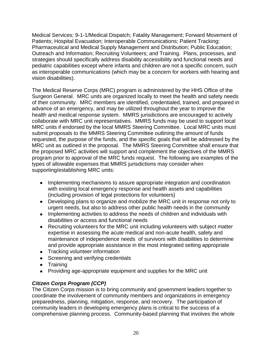Medical Services; 9-1-1/Medical Dispatch; Fatality Management; Forward Movement of Patients; Hospital Evacuation; Interoperable Communications; Patient Tracking; Pharmaceutical and Medical Supply Management and Distribution; Public Education; Outreach and Information; Recruiting Volunteers; and Training. Plans, processes, and strategies should specifically address disability accessibility and functional needs and pediatric capabilities except where infants and children are not a specific concern, such as interoperable communications (which may be a concern for workers with hearing and vision disabilities).

The Medical Reserve Corps (MRC) program is administered by the HHS Office of the Surgeon General. MRC units are organized locally to meet the health and safety needs of their community. MRC members are identified, credentialed, trained, and prepared in advance of an emergency, and may be utilized throughout the year to improve the health and medical response system. MMRS jurisdictions are encouraged to actively collaborate with MRC unit representatives. MMRS funds may be used to support local MRC units if endorsed by the local MMRS Steering Committee. Local MRC units must submit proposals to the MMRS Steering Committee outlining the amount of funds requested, the purpose of the funds, and the specific goals that will be addressed by the MRC unit as outlined in the proposal. The MMRS Steering Committee shall ensure that the proposed MRC activities will support and complement the objectives of the MMRS program prior to approval of the MRC funds request. The following are examples of the types of allowable expenses that MMRS jurisdictions may consider when supporting/establishing MRC units:

- Implementing mechanisms to assure appropriate integration and coordination with existing local emergency response and health assets and capabilities (including provision of legal protections for volunteers)
- Developing plans to organize and mobilize the MRC unit in response not only to urgent needs, but also to address other public health needs in the community
- Implementing activities to address the needs of children and individuals with disabilities or access and functional needs
- Recruiting volunteers for the MRC unit including volunteers with subject matter expertise in assessing the acute medical and non-acute health, safety and maintenance of independence needs of survivors with disabilities to determine and provide appropriate assistance in the most integrated setting appropriate
- Tracking volunteer information
- Screening and verifying credentials
- Training
- Providing age-appropriate equipment and supplies for the MRC unit

## *Citizen Corps Program (CCP)*

The Citizen Corps mission is to bring community and government leaders together to coordinate the involvement of community members and organizations in emergency preparedness, planning, mitigation, response, and recovery. The participation of community leaders in developing emergency plans is critical to the success of a comprehensive planning process. Community-based planning that involves the whole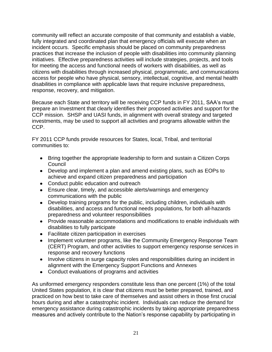community will reflect an accurate composite of that community and establish a viable, fully integrated and coordinated plan that emergency officials will execute when an incident occurs. Specific emphasis should be placed on community preparedness practices that increase the inclusion of people with disabilities into community planning initiatives. Effective preparedness activities will include strategies, projects, and tools for meeting the access and functional needs of workers with disabilities, as well as citizens with disabilities through increased physical, programmatic, and communications access for people who have physical, sensory, intellectual, cognitive, and mental health disabilities in compliance with applicable laws that require inclusive preparedness, response, recovery, and mitigation.

Because each State and territory will be receiving CCP funds in FY 2011, SAA's must prepare an Investment that clearly identifies their proposed activities and support for the CCP mission. SHSP and UASI funds, in alignment with overall strategy and targeted investments, may be used to support all activities and programs allowable within the CCP.

FY 2011 CCP funds provide resources for States, local, Tribal, and territorial communities to:

- Bring together the appropriate leadership to form and sustain a Citizen Corps **Council**
- Develop and implement a plan and amend existing plans, such as EOPs to achieve and expand citizen preparedness and participation
- Conduct public education and outreach
- Ensure clear, timely, and accessible alerts/warnings and emergency communications with the public
- Develop training programs for the public, including children, individuals with disabilities, and access and functional needs populations, for both all-hazards preparedness and volunteer responsibilities
- Provide reasonable accommodations and modifications to enable individuals with disabilities to fully participate
- Facilitate citizen participation in exercises
- Implement volunteer programs, like the Community Emergency Response Team (CERT) Program, and other activities to support emergency response services in response and recovery functions
- Involve citizens in surge capacity roles and responsibilities during an incident in alignment with the Emergency Support Functions and Annexes
- Conduct evaluations of programs and activities

As uniformed emergency responders constitute less than one percent (1%) of the total United States population, it is clear that citizens must be better prepared, trained, and practiced on how best to take care of themselves and assist others in those first crucial hours during and after a catastrophic incident. Individuals can reduce the demand for emergency assistance during catastrophic incidents by taking appropriate preparedness measures and actively contribute to the Nation's response capability by participating in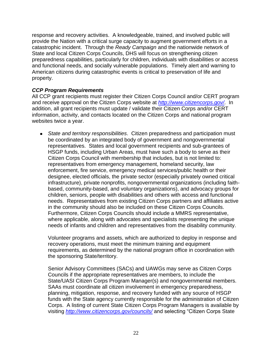response and recovery activities. A knowledgeable, trained, and involved public will provide the Nation with a critical surge capacity to augment government efforts in a catastrophic incident. Through the *Ready Campaign* and the nationwide network of State and local Citizen Corps Councils, DHS will focus on strengthening citizen preparedness capabilities, particularly for children, individuals with disabilities or access and functional needs, and socially vulnerable populations. Timely alert and warning to American citizens during catastrophic events is critical to preservation of life and property.

#### *CCP Program Requirements*

All CCP grant recipients must register their Citizen Corps Council and/or CERT program and receive approval on the Citizen Corps website at *<http://www.citizencorps.gov/>*. In addition, all grant recipients must update / validate their Citizen Corps and/or CERT information, activity, and contacts located on the Citizen Corps and national program websites twice a year.

*State and territory responsibilities*. Citizen preparedness and participation must be coordinated by an integrated body of government and nongovernmental representatives. States and local government recipients and sub-grantees of HSGP funds, including Urban Areas, must have such a body to serve as their Citizen Corps Council with membership that includes, but is not limited to: representatives from emergency management, homeland security, law enforcement, fire service, emergency medical services/public health or their designee, elected officials, the private sector (especially privately owned critical infrastructure), private nonprofits, nongovernmental organizations (including faithbased, community-based, and voluntary organizations), and advocacy groups for children, seniors, people with disabilities and others with access and functional needs. Representatives from existing Citizen Corps partners and affiliates active in the community should also be included on these Citizen Corps Councils. Furthermore, Citizen Corps Councils should include a MMRS representative, where applicable, along with advocates and specialists representing the unique needs of infants and children and representatives from the disability community.

Volunteer programs and assets, which are authorized to deploy in response and recovery operations, must meet the minimum training and equipment requirements, as determined by the national program office in coordination with the sponsoring State/territory.

Senior Advisory Committees (SACs) and UAWGs may serve as Citizen Corps Councils if the appropriate representatives are members, to include the State/UASI Citizen Corps Program Manager(s) and nongovernmental members. SAAs must coordinate all citizen involvement in emergency preparedness, planning, mitigation, response, and recovery funded with any source of HSGP funds with the State agency currently responsible for the administration of Citizen Corps. A listing of current State Citizen Corps Program Managers is available by visiting *<http://www.citizencorps.gov/councils/>* and selecting "Citizen Corps State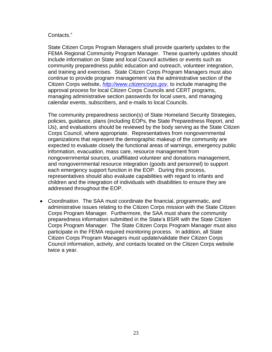#### Contacts."

State Citizen Corps Program Managers shall provide quarterly updates to the FEMA Regional Community Program Manager. These quarterly updates should include information on State and local Council activities or events such as community preparedness public education and outreach, volunteer integration, and training and exercises. State Citizen Corps Program Managers must also continue to provide program management via the administrative section of the Citizen Corps website, *[http://www.citizencorps.gov](http://www.citizencorps.gov/)*, to include managing the approval process for local Citizen Corps Councils and CERT programs, managing administrative section passwords for local users, and managing calendar events, subscribers, and e-mails to local Councils.

The community preparedness section(s) of State Homeland Security Strategies, policies, guidance, plans (including EOPs, the State Preparedness Report, and IJs), and evaluations should be reviewed by the body serving as the State Citizen Corps Council, where appropriate. Representatives from nongovernmental organizations that represent the demographic makeup of the community are expected to evaluate closely the functional areas of warnings, emergency public information, evacuation, mass care, resource management from nongovernmental sources, unaffiliated volunteer and donations management, and nongovernmental resource integration (goods and personnel) to support each emergency support function in the EOP. During this process, representatives should also evaluate capabilities with regard to infants and children and the integration of individuals with disabilities to ensure they are addressed throughout the EOP.

*Coordination*. The SAA must coordinate the financial, programmatic, and administrative issues relating to the Citizen Corps mission with the State Citizen Corps Program Manager. Furthermore, the SAA must share the community preparedness information submitted in the State's BSIR with the State Citizen Corps Program Manager. The State Citizen Corps Program Manager must also participate in the FEMA required monitoring process. In addition, all State Citizen Corps Program Managers must update/validate their Citizen Corps Council information, activity, and contacts located on the Citizen Corps website twice a year.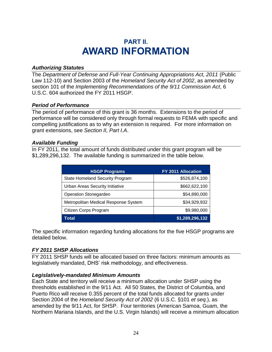## **PART II. AWARD INFORMATION**

#### <span id="page-26-0"></span>*Authorizing Statutes*

The *Department of Defense and Full-Year Continuing Appropriations Act, 2011* (Public Law 112-10) and Section 2003 of the *Homeland Security Act of 2002*, as amended by section 101 of the *Implementing Recommendations of the 9/11 Commission Act*, 6 U.S.C. 604 authorized the FY 2011 HSGP.

#### *Period of Performance*

The period of performance of this grant is 36 months. Extensions to the period of performance will be considered only through formal requests to FEMA with specific and compelling justifications as to why an extension is required. For more information on grant extensions, see *Section II, Part I.A*.

#### *Available Funding*

In FY 2011, the total amount of funds distributed under this grant program will be \$1,289,296,132. The available funding is summarized in the table below.

| <b>HSGP Programs</b>                   | FY 2011 Allocation |
|----------------------------------------|--------------------|
| <b>State Homeland Security Program</b> | \$526,874,100      |
| Urban Areas Security Initiative        | \$662,622,100      |
| <b>Operation Stonegarden</b>           | \$54,890,000       |
| Metropolitan Medical Response System   | \$34,929,932       |
| Citizen Corps Program                  | \$9,980,000        |
| Total                                  | \$1,289,296,132    |

The specific information regarding funding allocations for the five HSGP programs are detailed below.

## *FY 2011 SHSP Allocations*

FY 2011 SHSP funds will be allocated based on three factors: minimum amounts as legislatively mandated, DHS' risk methodology, and effectiveness.

#### *Legislatively-mandated Minimum Amounts*

Each State and territory will receive a minimum allocation under SHSP using the thresholds established in the 9/11 Act. All 50 States, the District of Columbia, and Puerto Rico will receive 0.355 percent of the total funds allocated for grants under Section 2004 of the *Homeland Security Act of 2002* (6 U.S.C. §101 *et seq*.), as amended by the 9/11 Act, for SHSP. Four territories (American Samoa, Guam, the Northern Mariana Islands, and the U.S. Virgin Islands) will receive a minimum allocation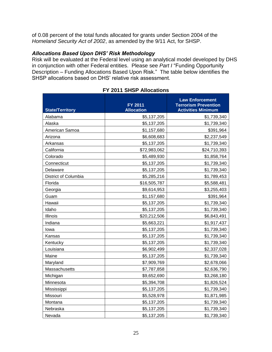of 0.08 percent of the total funds allocated for grants under Section 2004 of the *Homeland Security Act of 2002*, as amended by the 9/11 Act, for SHSP.

#### *Allocations Based Upon DHS' Risk Methodology*

Risk will be evaluated at the Federal level using an analytical model developed by DHS in conjunction with other Federal entities. Please see *Part I* "Funding Opportunity Description – Funding Allocations Based Upon Risk." The table below identifies the SHSP allocations based on DHS' relative risk assessment.

| <b>State/Territory</b> | FY 2011<br><b>Allocation</b> | <b>Law Enforcement</b><br><b>Terrorism Prevention</b><br><b>Activities Minimum</b> |
|------------------------|------------------------------|------------------------------------------------------------------------------------|
| Alabama                | \$5,137,205                  | \$1,739,340                                                                        |
| Alaska                 | \$5,137,205                  | \$1,739,340                                                                        |
| American Samoa         | \$1,157,680                  | \$391,964                                                                          |
| Arizona                | \$6,608,683                  | \$2,237,549                                                                        |
| Arkansas               | \$5,137,205                  | \$1,739,340                                                                        |
| California             | \$72,983,062                 | \$24,710,393                                                                       |
| Colorado               | \$5,489,930                  | \$1,858,764                                                                        |
| Connecticut            | \$5,137,205                  | \$1,739,340                                                                        |
| Delaware               | \$5,137,205                  | \$1,739,340                                                                        |
| District of Columbia   | \$5,285,216                  | \$1,789,453                                                                        |
| Florida                | \$16,505,787                 | \$5,588,481                                                                        |
| Georgia                | \$9,614,953                  | \$3,255,403                                                                        |
| Guam                   | \$1,157,680                  | \$391,964                                                                          |
| Hawaii                 | \$5,137,205                  | \$1,739,340                                                                        |
| Idaho                  | \$5,137,205                  | \$1,739,340                                                                        |
| Illinois               | \$20,212,506                 | \$6,843,491                                                                        |
| Indiana                | \$5,663,221                  | \$1,917,437                                                                        |
| Iowa                   | \$5,137,205                  | \$1,739,340                                                                        |
| Kansas                 | \$5,137,205                  | \$1,739,340                                                                        |
| Kentucky               | \$5,137,205                  | \$1,739,340                                                                        |
| Louisiana              | \$6,902,499                  | \$2,337,028                                                                        |
| Maine                  | \$5,137,205                  | \$1,739,340                                                                        |
| Maryland               | \$7,909,769                  | \$2,678,066                                                                        |
| Massachusetts          | \$7,787,858                  | \$2,636,790                                                                        |
| Michigan               | \$9,652,690                  | \$3,268,180                                                                        |
| Minnesota              | \$5,394,708                  | \$1,826,524                                                                        |
| Mississippi            | \$5,137,205                  | \$1,739,340                                                                        |
| Missouri               | \$5,528,978                  | \$1,871,985                                                                        |
| Montana                | \$5,137,205                  | \$1,739,340                                                                        |
| Nebraska               | \$5,137,205                  | \$1,739,340                                                                        |
| Nevada                 | \$5,137,205                  | \$1,739,340                                                                        |

#### **FY 2011 SHSP Allocations**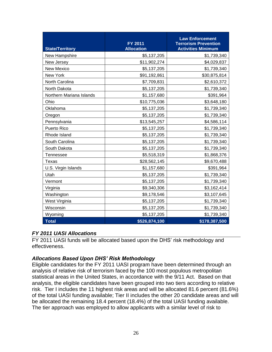| <b>State/Territory</b>   | <b>FY 2011</b><br><b>Allocation</b> | <b>Law Enforcement</b><br><b>Terrorism Prevention</b><br><b>Activities Minimum</b> |
|--------------------------|-------------------------------------|------------------------------------------------------------------------------------|
| New Hampshire            | \$5,137,205                         | \$1,739,340                                                                        |
| New Jersey               | \$11,902,274                        | \$4,029,837                                                                        |
| <b>New Mexico</b>        | \$5,137,205                         | \$1,739,340                                                                        |
| New York                 | \$91,192,861                        | \$30,875,814                                                                       |
| North Carolina           | \$7,709,831                         | \$2,610,372                                                                        |
| North Dakota             | \$5,137,205                         | \$1,739,340                                                                        |
| Northern Mariana Islands | \$1,157,680                         | \$391,964                                                                          |
| Ohio                     | \$10,775,036                        | \$3,648,180                                                                        |
| Oklahoma                 | \$5,137,205                         | \$1,739,340                                                                        |
| Oregon                   | \$5,137,205                         | \$1,739,340                                                                        |
| Pennsylvania             | \$13,545,257                        | \$4,586,114                                                                        |
| Puerto Rico              | \$5,137,205                         | \$1,739,340                                                                        |
| Rhode Island             | \$5,137,205                         | \$1,739,340                                                                        |
| South Carolina           | \$5,137,205                         | \$1,739,340                                                                        |
| South Dakota             | \$5,137,205                         | \$1,739,340                                                                        |
| Tennessee                | \$5,518,319                         | \$1,868,376                                                                        |
| Texas                    | \$28,562,145                        | \$9,670,488                                                                        |
| U.S. Virgin Islands      | \$1,157,680                         | \$391,964                                                                          |
| Utah                     | \$5,137,205                         | \$1,739,340                                                                        |
| Vermont                  | \$5,137,205                         | \$1,739,340                                                                        |
| Virginia                 | \$9,340,306                         | \$3,162,414                                                                        |
| Washington               | \$9,178,546                         | \$3,107,645                                                                        |
| West Virginia            | \$5,137,205                         | \$1,739,340                                                                        |
| Wisconsin                | \$5,137,205                         | \$1,739,340                                                                        |
| Wyoming                  | \$5,137,205                         | \$1,739,340                                                                        |
| <b>Total</b>             | \$526,874,100                       | \$178,387,500                                                                      |

#### *FY 2011 UASI Allocations*

FY 2011 UASI funds will be allocated based upon the DHS' risk methodology and effectiveness.

## *Allocations Based Upon DHS' Risk Methodology*

Eligible candidates for the FY 2011 UASI program have been determined through an analysis of relative risk of terrorism faced by the 100 most populous metropolitan statistical areas in the United States, in accordance with the 9/11 Act. Based on that analysis, the eligible candidates have been grouped into two tiers according to relative risk. Tier I includes the 11 highest risk areas and will be allocated 81.6 percent (81.6%) of the total UASI funding available; Tier II includes the other 20 candidate areas and will be allocated the remaining 18.4 percent (18.4%) of the total UASI funding available. The tier approach was employed to allow applicants with a similar level of risk to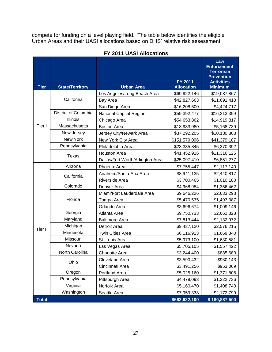compete for funding on a level playing field. The table below identifies the eligible Urban Areas and their UASI allocations based on DHS' relative risk assessment.

| <b>Tier</b>  | <b>State/Territory</b> | <b>Urban Area</b>                | <b>FY 2011</b><br><b>Allocation</b> | Law<br><b>Enforcement</b><br><b>Terrorism</b><br><b>Prevention</b><br><b>Activities</b><br><b>Minimum</b> |
|--------------|------------------------|----------------------------------|-------------------------------------|-----------------------------------------------------------------------------------------------------------|
|              |                        | Los Angeles/Long Beach Area      | \$69,922,146                        | \$19,087,867                                                                                              |
|              | California             | Bay Area                         | \$42,827,663                        | \$11,691,413                                                                                              |
|              |                        | San Diego Area                   | \$16,208,500                        | \$4,424,717                                                                                               |
|              | District of Columbia   | <b>National Capital Region</b>   | \$59,392,477                        | \$16,213,399                                                                                              |
|              | <b>Illinois</b>        | Chicago Area                     | \$54,653,862                        | \$14,919,817                                                                                              |
| Tier I       | Massachusetts          | <b>Boston Area</b>               | \$18,933,980                        | \$5,168,739                                                                                               |
|              | New Jersey             | Jersey City/Newark Area          | \$37,292,205                        | \$10,180,303                                                                                              |
|              | New York               | New York City Area               | \$151,579,096                       | \$41,379,187                                                                                              |
|              | Pennsylvania           | Philadelphia Area                | \$23,335,845                        | \$6,370,392                                                                                               |
|              |                        | <b>Houston Area</b>              | \$41,452,916                        | \$11,316,125                                                                                              |
|              | Texas                  | Dallas/Fort Worth/Arlington Area | \$25,097,410                        | \$6,851,277                                                                                               |
|              | Arizona                | Phoenix Area                     | \$7,755,447                         | \$2,117,140                                                                                               |
|              |                        | Anaheim/Santa Ana Area           | \$8,941,135                         | \$2,440,817                                                                                               |
|              | California             | Riverside Area                   | \$3,700,465                         | \$1,010,180                                                                                               |
|              | Colorado               | Denver Area                      | \$4,968,954                         | \$1,356,462                                                                                               |
|              |                        | Miami/Fort Lauderdale Area       | \$9,646,226                         | \$2,633,298                                                                                               |
|              | Florida                | Tampa Area                       | \$5,470,535                         | \$1,493,387                                                                                               |
|              |                        | Orlando Area                     | \$3,696,674                         | \$1,009,146                                                                                               |
|              | Georgia                | Atlanta Area                     | \$9,750,733                         | \$2,661,828                                                                                               |
|              | Maryland               | <b>Baltimore Area</b>            | \$7,813,444                         | \$2,132,972                                                                                               |
| Tier II      | Michigan               | Detroit Area                     | \$9,437,120                         | \$2,576,215                                                                                               |
|              | Minnesota              | Twin Cities Area                 | \$6,116,913                         | \$1,669,840                                                                                               |
|              | Missouri               | St. Louis Area                   | \$5,973,100                         | \$1,630,581                                                                                               |
|              | Nevada                 | Las Vegas Area                   | \$5,705,105                         | \$1,557,422                                                                                               |
|              | North Carolina         | <b>Charlotte Area</b>            | \$3,244,400                         | \$885,680                                                                                                 |
|              | Ohio                   | Cleveland Area                   | \$3,590,432                         | \$980,143                                                                                                 |
|              |                        | Cincinnati Area                  | \$3,491,256                         | \$953,069                                                                                                 |
|              | Oregon                 | Portland Area                    | \$5,025,160                         | \$1,371,806                                                                                               |
|              | Pennsylvania           | Pittsburgh Area                  | \$4,479,093                         | \$1,222,736                                                                                               |
|              | Virginia               | Norfolk Area                     | \$5,160,470                         | \$1,408,743                                                                                               |
|              | Washington             | Seattle Area                     | \$7,959,338                         | \$2,172,799                                                                                               |
| <b>Total</b> |                        |                                  | \$662,622,100                       | \$180,887,500                                                                                             |

#### **FY 2011 UASI Allocations**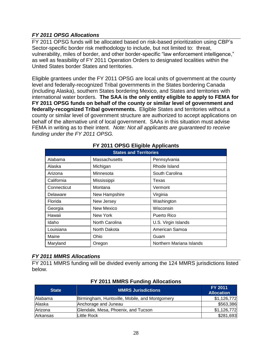## *FY 2011 OPSG Allocations*

FY 2011 OPSG funds will be allocated based on risk-based prioritization using CBP's Sector-specific border risk methodology to include, but not limited to: threat, vulnerability, miles of border, and other border-specific "law enforcement intelligence," as well as feasibility of FY 2011 Operation Orders to designated localities within the United States border States and territories.

Eligible grantees under the FY 2011 OPSG are local units of government at the county level and federally-recognized Tribal governments in the States bordering Canada (including Alaska), southern States bordering Mexico, and States and territories with international water borders. **The SAA is the only entity eligible to apply to FEMA for FY 2011 OPSG funds on behalf of the county or similar level of government and federally-recognized Tribal governments.** Eligible States and territories without a county or similar level of government structure are authorized to accept applications on behalf of the alternative unit of local government. SAAs in this situation must advise FEMA in writing as to their intent. *Note: Not all applicants are guaranteed to receive funding under the FY 2011 OPSG.*

| <b>States and Territories</b> |                   |                          |  |
|-------------------------------|-------------------|--------------------------|--|
| Alabama                       | Massachusetts     | Pennsylvania             |  |
| Alaska                        | Michigan          | Rhode Island             |  |
| Arizona                       | Minnesota         | South Carolina           |  |
| California                    | Mississippi       | Texas                    |  |
| Connecticut                   | Montana           | Vermont                  |  |
| Delaware                      | New Hampshire     | Virginia                 |  |
| Florida                       | New Jersey        | Washington               |  |
| Georgia                       | <b>New Mexico</b> | Wisconsin                |  |
| Hawaii                        | New York          | Puerto Rico              |  |
| Idaho                         | North Carolina    | U.S. Virgin Islands      |  |
| Louisiana                     | North Dakota      | American Samoa           |  |
| Maine                         | Ohio              | Guam                     |  |
| Maryland                      | Oregon            | Northern Mariana Islands |  |

## **FY 2011 OPSG Eligible Applicants**

#### *FY 2011 MMRS Allocations*

FY 2011 MMRS funding will be divided evenly among the 124 MMRS jurisdictions listed below.

| <b>State</b> | <b>MMRS Jurisdictions</b>                      | <b>FY 2011</b><br><b>Allocation</b> |
|--------------|------------------------------------------------|-------------------------------------|
| Alabama      | Birmingham, Huntsville, Mobile, and Montgomery | \$1,126,772                         |
| Alaska       | Anchorage and Juneau                           | \$563,386                           |
| Arizona      | Glendale, Mesa, Phoenix, and Tucson            | \$1,126,772                         |
| Arkansas     | Little Rock                                    | \$281,693                           |

#### **FY 2011 MMRS Funding Allocations**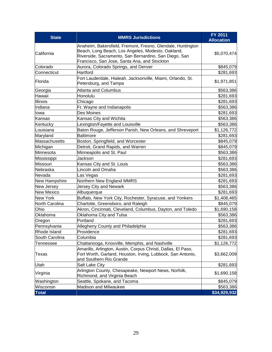| <b>State</b>      | <b>MMRS Jurisdictions</b>                                                                                                                                                                                                 | <b>FY 2011</b><br><b>Allocation</b> |
|-------------------|---------------------------------------------------------------------------------------------------------------------------------------------------------------------------------------------------------------------------|-------------------------------------|
| California        | Anaheim, Bakersfield, Fremont, Fresno, Glendale, Huntington<br>Beach, Long Beach, Los Angeles, Modesto, Oakland,<br>Riverside, Sacramento, San Bernardino, San Diego, San<br>Francisco, San Jose, Santa Ana, and Stockton | \$5,070,474                         |
| Colorado          | Aurora, Colorado Springs, and Denver                                                                                                                                                                                      | \$845,079                           |
| Connecticut       | Hartford                                                                                                                                                                                                                  | \$281,693                           |
| Florida           | Fort Lauderdale, Hialeah, Jacksonville, Miami, Orlando, St.<br>Petersburg, and Tampa                                                                                                                                      | \$1,971,851                         |
| Georgia           | <b>Atlanta and Columbus</b>                                                                                                                                                                                               | \$563,386                           |
| Hawaii            | Honolulu                                                                                                                                                                                                                  | \$281,693                           |
| Illinois          | Chicago                                                                                                                                                                                                                   | \$281,693                           |
| Indiana           | Ft. Wayne and Indianapolis                                                                                                                                                                                                | \$563,386                           |
| lowa              | <b>Des Moines</b>                                                                                                                                                                                                         | \$281,693                           |
| Kansas            | Kansas City and Wichita                                                                                                                                                                                                   | \$563,386                           |
| Kentucky          | Lexington/Fayette and Louisville                                                                                                                                                                                          | \$563,386                           |
| Louisiana         | Baton Rouge, Jefferson Parish, New Orleans, and Shreveport                                                                                                                                                                | \$1,126,772                         |
| Maryland          | <b>Baltimore</b>                                                                                                                                                                                                          | \$281,693                           |
| Massachusetts     | Boston, Springfield, and Worcester                                                                                                                                                                                        | \$845,079                           |
| Michigan          | Detroit, Grand Rapids, and Warren                                                                                                                                                                                         | \$845,079                           |
| Minnesota         | Minneapolis and St. Paul                                                                                                                                                                                                  | \$563,386                           |
| Mississippi       | Jackson                                                                                                                                                                                                                   | \$281,693                           |
| <b>Missouri</b>   | Kansas City and St. Louis                                                                                                                                                                                                 | \$563,386                           |
| Nebraska          | Lincoln and Omaha                                                                                                                                                                                                         | \$563,386                           |
| Nevada            | Las Vegas                                                                                                                                                                                                                 | \$281,693                           |
| New Hampshire     | Northern New England MMRS                                                                                                                                                                                                 | \$281,693                           |
| New Jersey        | Jersey City and Newark                                                                                                                                                                                                    | \$563,386                           |
| <b>New Mexico</b> | Albuquerque                                                                                                                                                                                                               | \$281,693                           |
| <b>New York</b>   | Buffalo, New York City, Rochester, Syracuse, and Yonkers                                                                                                                                                                  | \$1,408,465                         |
| North Carolina    | Charlotte, Greensboro, and Raleigh                                                                                                                                                                                        | \$845,079                           |
| Ohio              | Akron, Cincinnati, Cleveland, Columbus, Dayton, and Toledo                                                                                                                                                                | \$1,690,158                         |
| Oklahoma          | Oklahoma City and Tulsa                                                                                                                                                                                                   | \$563,386                           |
| Oregon            | Portland                                                                                                                                                                                                                  | \$281,693                           |
| Pennsylvania      | Allegheny County and Philadelphia                                                                                                                                                                                         | \$563,386                           |
| Rhode Island      | Providence                                                                                                                                                                                                                | \$281,693                           |
| South Carolina    | Columbia                                                                                                                                                                                                                  | \$281,693                           |
| Tennessee         | Chattanooga, Knoxville, Memphis, and Nashville                                                                                                                                                                            | \$1,126,772                         |
| <b>Texas</b>      | Amarillo, Arlington, Austin, Corpus Christi, Dallas, El Paso,<br>Fort Worth, Garland, Houston, Irving, Lubbock, San Antonio,<br>and Southern Rio Grande                                                                   | \$3,662,009                         |
| Utah              | <b>Salt Lake City</b>                                                                                                                                                                                                     | \$281,693                           |
| Virginia          | Arlington County, Chesapeake, Newport News, Norfolk,<br>Richmond, and Virginia Beach                                                                                                                                      | \$1,690,158                         |
| Washington        | Seattle, Spokane, and Tacoma                                                                                                                                                                                              | \$845,079                           |
| Wisconsin         | Madison and Milwaukee                                                                                                                                                                                                     | \$563,386                           |
| <b>Total</b>      |                                                                                                                                                                                                                           | \$34,929,932                        |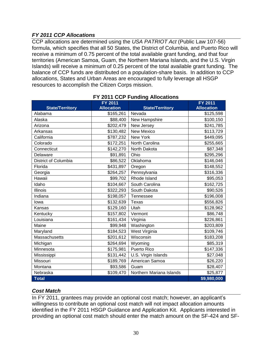## *FY 2011 CCP Allocations*

CCP allocations are determined using the *USA PATRIOT Act* (Public Law 107-56) formula, which specifies that all 50 States, the District of Columbia, and Puerto Rico will receive a minimum of 0.75 percent of the total available grant funding, and that four territories (American Samoa, Guam, the Northern Mariana Islands, and the U.S. Virgin Islands) will receive a minimum of 0.25 percent of the total available grant funding. The balance of CCP funds are distributed on a population-share basis. In addition to CCP allocations, States and Urban Areas are encouraged to fully leverage all HSGP resources to accomplish the Citizen Corps mission.

| <b>State/Territory</b> | <b>FY 2011</b><br><b>Allocation</b> | <b>State/Territory</b>   | <b>FY 2011</b><br><b>Allocation</b> |
|------------------------|-------------------------------------|--------------------------|-------------------------------------|
| Alabama                | \$165,261                           | Nevada                   | \$125,598                           |
| Alaska                 | \$88,400                            | New Hampshire            | \$100,150                           |
| Arizona                | \$202,479                           | New Jersey               | \$241,785                           |
| Arkansas               | \$130,482                           | <b>New Mexico</b>        | \$113,729                           |
| California             | \$787,232                           | New York                 | \$449,095                           |
| Colorado               | \$172,251                           | North Carolina           | \$255,665                           |
| Connecticut            | \$142,270                           | North Dakota             | \$87,348                            |
| Delaware               | \$91,891                            | Ohio                     | \$295,296                           |
| District of Columbia   | \$86,522                            | Oklahoma                 | \$146,046                           |
| Florida                | \$431,897                           | Oregon                   | \$148,552                           |
| Georgia                | \$264,257                           | Pennsylvania             | \$316,336                           |
| Hawaii                 | \$99,702                            | Rhode Island             | \$95,053                            |
| Idaho                  | \$104,667                           | South Carolina           | \$162,725                           |
| Illinois               | \$322,293                           | South Dakota             | \$90,526                            |
| Indiana                | \$198,057                           | Tennessee                | \$196,008                           |
| lowa                   | \$132,639                           | Texas                    | \$556,826                           |
| Kansas                 | \$129,160                           | Utah                     | \$128,962                           |
| Kentucky               | \$157,802                           | Vermont                  | \$86,748                            |
| Louisiana              | \$161,434                           | Virginia                 | \$226,861                           |
| Maine                  | \$99,948                            | Washington               | \$203,809                           |
| Maryland               | \$184,523                           | West Virginia            | \$109,746                           |
| Massachusetts          | \$201,612                           | Wisconsin                | \$183,208                           |
| Michigan               | \$264,694                           | Wyoming                  | \$85,319                            |
| Minnesota              | \$175,981                           | Puerto Rico              | \$147,336                           |
| Mississippi            | \$131,442                           | U.S. Virgin Islands      | \$27,048                            |
| Missouri               | \$189,769                           | American Samoa           | \$26,220                            |
| Montana                | \$93,586                            | Guam                     | \$28,407                            |
| Nebraska               | \$109,470                           | Northern Mariana Islands | \$25,877                            |
| <b>Total</b>           |                                     |                          | \$9,980,000                         |

## **FY 2011 CCP Funding Allocations**

## *Cost Match*

In FY 2011, grantees may provide an optional cost match; however, an applicant's willingness to contribute an optional cost match will not impact allocation amounts identified in the FY 2011 HSGP Guidance and Application Kit. Applicants interested in providing an optional cost match should enter the match amount on the SF-424 and SF-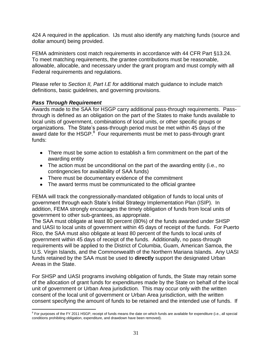424 A required in the application. IJs must also identify any matching funds (source and dollar amount) being provided.

FEMA administers cost match requirements in accordance with 44 CFR Part §13.24. To meet matching requirements, the grantee contributions must be reasonable, allowable, allocable, and necessary under the grant program and must comply with all Federal requirements and regulations.

Please refer to *Section II, Part I.E f*or additional match guidance to include match definitions, basic guidelines, and governing provisions.

## *Pass Through Requirement*

Awards made to the SAA for HSGP carry additional pass-through requirements. Passthrough is defined as an obligation on the part of the States to make funds available to local units of government, combinations of local units, or other specific groups or organizations. The State's pass-through period must be met within 45 days of the award date for the HSGP. $8$  Four requirements must be met to pass-through grant funds:

- There must be some action to establish a firm commitment on the part of the awarding entity
- The action must be unconditional on the part of the awarding entity (i.e., no contingencies for availability of SAA funds)
- There must be documentary evidence of the commitment
- The award terms must be communicated to the official grantee

FEMA will track the congressionally-mandated obligation of funds to local units of government through each State's Initial Strategy Implementation Plan (ISIP). In addition, FEMA strongly encourages the timely obligation of funds from local units of government to other sub-grantees, as appropriate.

The SAA must obligate at least 80 percent (80%) of the funds awarded under SHSP and UASI to local units of government within 45 days of receipt of the funds. For Puerto Rico, the SAA must also obligate at least 80 percent of the funds to local units of government within 45 days of receipt of the funds. Additionally, no pass-through requirements will be applied to the District of Columbia, Guam, American Samoa, the U.S. Virgin Islands, and the Commonwealth of the Northern Mariana Islands. Any UASI funds retained by the SAA must be used to **directly** support the designated Urban Areas in the State.

For SHSP and UASI programs involving obligation of funds, the State may retain some of the allocation of grant funds for expenditures made by the State on behalf of the local unit of government or Urban Area jurisdiction. This may occur only with the written consent of the local unit of government or Urban Area jurisdiction, with the written consent specifying the amount of funds to be retained and the intended use of funds. If

erally controlled the FY 2011 HSGP, receipt of funds means the date on which funds are available for expenditure (i.e., all special<br>For purposes of the FY 2011 HSGP, receipt of funds means the date on which funds are avail conditions prohibiting obligation, expenditure, and drawdown have been removed).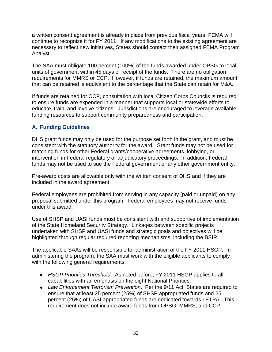a written consent agreement is already in place from previous fiscal years, FEMA will continue to recognize it for FY 2011. If any modifications to the existing agreement are necessary to reflect new initiatives, States should contact their assigned FEMA Program Analyst.

The SAA must obligate 100 percent (100%) of the funds awarded under OPSG to local units of government within 45 days of receipt of the funds. There are no obligation requirements for MMRS or CCP. However, if funds are retained, the maximum amount that can be retained is equivalent to the percentage that the State can retain for M&A.

If funds are retained for CCP, consultation with local Citizen Corps Councils is required to ensure funds are expended in a manner that supports local or statewide efforts to educate, train, and involve citizens. Jurisdictions are encouraged to leverage available funding resources to support community preparedness and participation.

## <span id="page-34-0"></span>**A. Funding Guidelines**

DHS grant funds may only be used for the purpose set forth in the grant, and must be consistent with the statutory authority for the award. Grant funds may not be used for matching funds for other Federal grants/cooperative agreements, lobbying, or intervention in Federal regulatory or adjudicatory proceedings. In addition, Federal funds may not be used to sue the Federal government or any other government entity.

Pre-award costs are allowable only with the written consent of DHS and if they are included in the award agreement.

Federal employees are prohibited from serving in any capacity (paid or unpaid) on any proposal submitted under this program. Federal employees may not receive funds under this award.

Use of SHSP and UASI funds must be consistent with and supportive of implementation of the State Homeland Security Strategy. Linkages between specific projects undertaken with SHSP and UASI funds and strategic goals and objectives will be highlighted through regular required reporting mechanisms, including the BSIR.

The applicable SAAs will be responsible for administration of the FY 2011 HSGP. In administering the program, the SAA must work with the eligible applicants to comply with the following general requirements:

- *HSGP Priorities Threshold*. As noted before, FY 2011 HSGP applies to all capabilities with an emphasis on the eight National Priorities.
- *Law Enforcement Terrorism Prevention*.Per the 9/11 Act, States are required to ensure that at least 25 percent (25%) of SHSP appropriated funds and 25 percent (25%) of UASI appropriated funds are dedicated towards LETPA. This requirement does not include award funds from OPSG, MMRS, and CCP.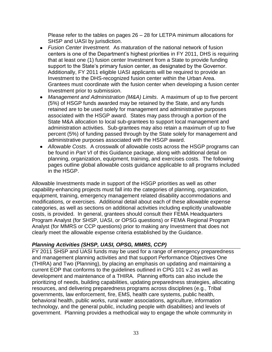Please refer to the tables on pages 26 – 28 for LETPA minimum allocations for SHSP and UASI by jurisdiction.

- *Fusion Center Investment.* As maturation of the national network of fusion centers is one of the Department's highest priorities in FY 2011, DHS is requiring that at least one (1) fusion center Investment from a State to provide funding support to the State's primary fusion center, as designated by the Governor. Additionally, FY 2011 eligible UASI applicants will be required to provide an Investment to the DHS-recognized fusion center within the Urban Area. Grantees must coordinate with the fusion center when developing a fusion center Investment prior to submission.
- *Management and Administration (M&A) Limits*. A maximum of up to five percent (5%) of HSGP funds awarded may be retained by the State, and any funds retained are to be used solely for management and administrative purposes associated with the HSGP award. States may pass through a portion of the State M&A allocation to local sub-grantees to support local management and administration activities. Sub-grantees may also retain a maximum of up to five percent (5%) of funding passed through by the State solely for management and administrative purposes associated with the HSGP award.
- *Allowable Costs*. A crosswalk of allowable costs across the HSGP programs can be found in *Part VI* of this Guidance package, along with additional detail on planning, organization, equipment, training, and exercises costs. The following pages outline global allowable costs guidance applicable to all programs included in the HSGP.

Allowable Investments made in support of the HSGP priorities as well as other capability-enhancing projects must fall into the categories of planning, organization, equipment, training, emergency management related disability accommodations and modifications, or exercises. Additional detail about each of these allowable expense categories, as well as sections on additional activities including explicitly unallowable costs, is provided. In general, grantees should consult their FEMA Headquarters Program Analyst (for SHSP, UASI, or OPSG questions) or FEMA Regional Program Analyst (for MMRS or CCP questions) prior to making any Investment that does not clearly meet the allowable expense criteria established by the Guidance.

## *Planning Activities (SHSP, UASI, OPSG, MMRS, CCP)*

FY 2011 SHSP and UASI funds may be used for a range of emergency preparedness and management planning activities and that support Performance Objectives One (THIRA) and Two (Planning), by placing an emphasis on updating and maintaining a current EOP that conforms to the guidelines outlined in CPG 101 v.2 as well as development and maintenance of a THIRA. Planning efforts can also include the prioritizing of needs, building capabilities, updating preparedness strategies, allocating resources, and delivering preparedness programs across disciplines (e.g., Tribal governments, law enforcement, fire, EMS, health care systems, public health, behavioral health, public works, rural water associations, agriculture, information technology, and the general public, including people with disabilities) and levels of government. Planning provides a methodical way to engage the whole community in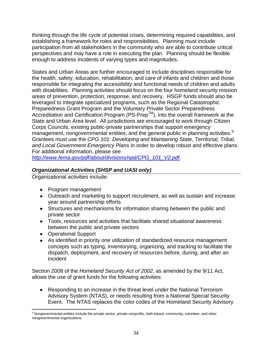thinking through the life cycle of potential crises, determining required capabilities, and establishing a framework for roles and responsibilities. Planning must include participation from all stakeholders in the community who are able to contribute critical perspectives and may have a role in executing the plan. Planning should be flexible enough to address incidents of varying types and magnitudes.

States and Urban Areas are further encouraged to include disciplines responsible for the health, safety, education, rehabilitation, and care of infants and children and those responsible for integrating the accessibility and functional needs of children and adults with disabilities. Planning activities should focus on the four homeland security mission areas of prevention, protection, response, and recovery. HSGP funds should also be leveraged to integrate specialized programs, such as the Regional Catastrophic Preparedness Grant Program and the Voluntary Private Sector Preparedness Accreditation and Certification Program (PS-Prep<sup>TM</sup>), into the overall framework at the State and Urban Area level. All jurisdictions are encouraged to work through Citizen Corps Councils, existing public-private partnerships that support emergency management, nongovernmental entities, and the general public in planning activities.<sup>9</sup> Grantees must use the *CPG 101: Developing and Maintaining State, Territorial, Tribal, and Local Government Emergency Plans* in order to develop robust and effective plans*.*  For additional information, please see

*[http://www.fema.gov/pdf/about/divisions/npd/CPG\\_101\\_V2.pdf](http://www.fema.gov/pdf/about/divisions/npd/CPG_101_V2.pdf)*.

# *Organizational Activities (SHSP and UASI only)*

Organizational activities include:

- Program management
- Outreach and marketing to support recruitment, as well as sustain and increase year around partnership efforts
- Structures and mechanisms for information sharing between the public and private sector
- Tools, resources and activities that facilitate shared situational awareness between the public and private sectors
- Operational Support
- As identified in priority one utilization of standardized resource management concepts such as typing, inventorying, organizing, and tracking to facilitate the dispatch, deployment, and recovery of resources before, during, and after an incident

Section 2008 of the *Homeland Security Act of 2002*, as amended by the 9/11 Act, allows the use of grant funds for the following activities:

Responding to an increase in the threat level under the National Terrorism  $\bullet$ Advisory System (NTAS), or needs resulting from a National Special Security Event. The NTAS replaces the color codes of the Homeland Security Advisory

 $\overline{a}$ <sup>9</sup> Nongovernmental entities include the private sector, private nonprofits, faith-based, community, volunteer, and other nongovernmental organizations.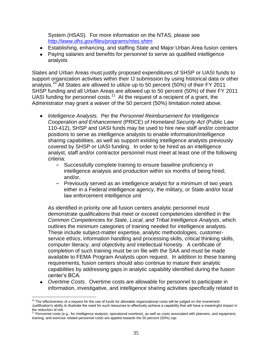System (HSAS). For more information on the NTAS, please see *<http://www.dhs.gov/files/programs/ntas.shtm>*

- Establishing, enhancing, and staffing State and Major Urban Area fusion centers
- Paying salaries and benefits for personnel to serve as qualified intelligence analysts

States and Urban Areas must justify proposed expenditures of SHSP or UASI funds to support organization activities within their IJ submission by using historical data or other analysis.<sup>10</sup> All States are allowed to utilize up to 50 percent (50%) of their FY 2011 SHSP funding and all Urban Areas are allowed up to 50 percent (50%) of their FY 2011 UASI funding for personnel costs.<sup>11</sup> At the request of a recipient of a grant, the Administrator may grant a waiver of the 50 percent (50%) limitation noted above.

- *Intelligence Analysts*. Per the *Personnel Reimbursement for Intelligence Cooperation and Enhancement* (PRICE) *of Homeland Security Act* (Public Law 110-412), SHSP and UASI funds may be used to hire new staff and/or contractor positions to serve as intelligence analysts to enable information/intelligence sharing capabilities, as well as support existing intelligence analysts previously covered by SHSP or UASI funding. In order to be hired as an intelligence analyst, staff and/or contractor personnel must meet at least one of the following criteria:
	- **-** Successfully complete training to ensure baseline proficiency in intelligence analysis and production within six months of being hired; and/or,
	- **-** Previously served as an intelligence analyst for a minimum of two years either in a Federal intelligence agency, the military, or State and/or local law enforcement intelligence unit

As identified in priority one all fusion centers analytic personnel must demonstrate qualifications that meet or exceed competencies identified in the *Common Competencies for State, Local, and Tribal Intelligence Analysts*, which outlines the minimum categories of training needed for intelligence analysts. These include subject-matter expertise, analytic methodologies, customerservice ethics, information handling and processing skills, critical thinking skills, computer literacy, and objectivity and intellectual honesty. A certificate of completion of such training must be on file with the SAA and must be made available to FEMA Program Analysts upon request. In addition to these training requirements, fusion centers should also continue to mature their analytic capabilities by addressing gaps in analytic capability identified during the fusion center's BCA.

*Overtime Costs*. Overtime costs are allowable for personnel to participate in information, investigative, and intelligence sharing activities specifically related to

 $\overline{a}$ 

 $10$  The effectiveness of a request for the use of funds for allowable organizational costs will be judged on the Investment Justification's ability to illustrate the need for such resources to effectively achieve a capability that will have a meaningful impact in the reduction of risk.<br><sup>11</sup> Personnel costs (e.g., for intelligence analysts, operational overtime), as well as costs associated with planners, and equipment,

training, and exercise related personnel costs are applied towards the 50 percent (50%) cap.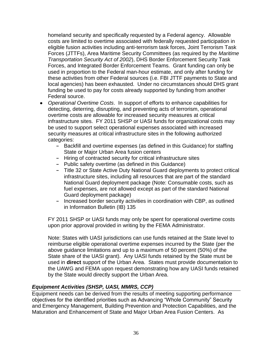homeland security and specifically requested by a Federal agency. Allowable costs are limited to overtime associated with federally requested participation in eligible fusion activities including anti-terrorism task forces, Joint Terrorism Task Forces (JTTFs), Area Maritime Security Committees (as required by the *Maritime Transportation Security Act of 2002*), DHS Border Enforcement Security Task Forces, and Integrated Border Enforcement Teams. Grant funding can only be used in proportion to the Federal man-hour estimate, and only after funding for these activities from other Federal sources (i.e. FBI JTTF payments to State and local agencies) has been exhausted. Under no circumstances should DHS grant funding be used to pay for costs already supported by funding from another Federal source.

- *Operational Overtime Costs*. In support of efforts to enhance capabilities for detecting, deterring, disrupting, and preventing acts of terrorism, operational overtime costs are allowable for increased security measures at critical infrastructure sites. FY 2011 SHSP or UASI funds for organizational costs may be used to support select operational expenses associated with increased security measures at critical infrastructure sites in the following authorized categories:
	- **-** Backfill and overtime expenses (as defined in this Guidance) for staffing State or Major Urban Area fusion centers
	- **-** Hiring of contracted security for critical infrastructure sites
	- **-** Public safety overtime (as defined in this Guidance)
	- **-** Title 32 or State Active Duty National Guard deployments to protect critical infrastructure sites, including all resources that are part of the standard National Guard deployment package (Note: Consumable costs, such as fuel expenses, are not allowed except as part of the standard National Guard deployment package)
	- **-** Increased border security activities in coordination with CBP, as outlined in Information Bulletin (IB) 135

FY 2011 SHSP or UASI funds may only be spent for operational overtime costs upon prior approval provided in writing by the FEMA Administrator.

Note: States with UASI jurisdictions can use funds retained at the State level to reimburse eligible operational overtime expenses incurred by the State (per the above guidance limitations and up to a maximum of 50 percent (50%) of the State share of the UASI grant). Any UASI funds retained by the State must be used in **direct** support of the Urban Area.States must provide documentation to the UAWG and FEMA upon request demonstrating how any UASI funds retained by the State would directly support the Urban Area.

### *Equipment Activities (SHSP, UASI, MMRS, CCP)*

Equipment needs can be derived from the results of meeting supporting performance objectives for the identified priorities such as Advancing "Whole Community" Security and Emergency Management, Building Prevention and Protection Capabilities, and the Maturation and Enhancement of State and Major Urban Area Fusion Centers. As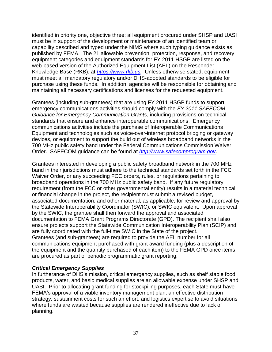identified in priority one, objective three; all equipment procured under SHSP and UASI must be in support of the development or maintenance of an identified team or capability described and typed under the NIMS where such typing guidance exists as published by FEMA. The 21 allowable prevention, protection, response, and recovery equipment categories and equipment standards for FY 2011 HSGP are listed on the web-based version of the Authorized Equipment List (AEL) on the Responder Knowledge Base (RKB), at *[https://www.rkb.us.](https://www.rkb.us/)* Unless otherwise stated, equipment must meet all mandatory regulatory and/or DHS-adopted standards to be eligible for purchase using these funds. In addition, agencies will be responsible for obtaining and maintaining all necessary certifications and licenses for the requested equipment.

Grantees (including sub-grantees) that are using FY 2011 HSGP funds to support emergency communications activities should comply with the *FY 2011 SAFECOM Guidance for Emergency Communication Grants*, including provisions on technical standards that ensure and enhance interoperable communications. Emergency communications activities include the purchase of Interoperable Communications Equipment and technologies such as voice-over-internet protocol bridging or gateway devices, or equipment to support the build out of wireless broadband networks in the 700 MHz public safety band under the Federal Communications Commission Waiver Order. SAFECOM guidance can be found at *[http://www.safecomprogram.gov](http://www.safecomprogram.gov/)*.

Grantees interested in developing a public safety broadband network in the 700 MHz band in their jurisdictions must adhere to the technical standards set forth in the FCC Waiver Order, or any succeeding FCC orders, rules, or regulations pertaining to broadband operations in the 700 MHz public safety band. If any future regulatory requirement (from the FCC or other governmental entity) results in a material technical or financial change in the project, the recipient must submit a revised budget, associated documentation, and other material, as applicable, for review and approval by the Statewide Interoperability Coordinator (SWIC), or SWIC equivalent. Upon approval by the SWIC, the grantee shall then forward the approval and associated documentation to FEMA Grant Programs Directorate (GPD). The recipient shall also ensure projects support the Statewide Communication Interoperability Plan (SCIP) and are fully coordinated with the full-time SWIC in the State of the project. Grantees (and sub-grantees) are required to provide the AEL number for all communications equipment purchased with grant award funding (plus a description of the equipment and the quantity purchased of each item) to the FEMA GPD once items are procured as part of periodic programmatic grant reporting.

#### *Critical Emergency Supplies*

In furtherance of DHS's mission, critical emergency supplies, such as shelf stable food products, water, and basic medical supplies are an allowable expense under SHSP and UASI. Prior to allocating grant funding for stockpiling purposes, each State must have FEMA's approval of a viable inventory management plan, an effective distribution strategy, sustainment costs for such an effort, and logistics expertise to avoid situations where funds are wasted because supplies are rendered ineffective due to lack of planning.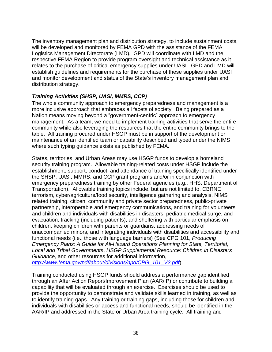The inventory management plan and distribution strategy, to include sustainment costs, will be developed and monitored by FEMA GPD with the assistance of the FEMA Logistics Management Directorate (LMD). GPD will coordinate with LMD and the respective FEMA Region to provide program oversight and technical assistance as it relates to the purchase of critical emergency supplies under UASI. GPD and LMD will establish guidelines and requirements for the purchase of these supplies under UASI and monitor development and status of the State's inventory management plan and distribution strategy.

# *Training Activities (SHSP, UASI, MMRS, CCP)*

The whole community approach to emergency preparedness and management is a more inclusive approach that embraces all facets of society. Being prepared as a Nation means moving beyond a "government-centric" approach to emergency management. As a team, we need to implement training activities that serve the entire community while also leveraging the resources that the entire community brings to the table. All training procured under HSGP must be in support of the development or maintenance of an identified team or capability described and typed under the NIMS where such typing guidance exists as published by FEMA.

States, territories, and Urban Areas may use HSGP funds to develop a homeland security training program. Allowable training-related costs under HSGP include the establishment, support, conduct, and attendance of training specifically identified under the SHSP, UASI, MMRS, and CCP grant programs and/or in conjunction with emergency preparedness training by other Federal agencies (e.g., HHS, Department of Transportation). Allowable training topics include, but are not limited to, CBRNE terrorism, cyber/agriculture/food security, intelligence gathering and analysis, NIMS related training, citizen community and private sector preparedness, public-private partnership, interoperable and emergency communications, and training for volunteers and children and individuals with disabilities in disasters, pediatric medical surge, and evacuation, tracking (including patients), and sheltering with particular emphasis on children, keeping children with parents or guardians, addressing needs of unaccompanied minors, and integrating individuals with disabilities and accessibility and functional needs (i.e., those with language barriers) (See CPG 101, *Producing Emergency Plans: A Guide for All-Hazard Operations Planning for State, Territorial, Local and Tribal Governments*, *HSGP Supplemental Resource: Children in Disasters Guidance,* and other resources for additional information, *[http://www.fema.gov/pdf/about/divisions/npd/CPG\\_101\\_V2.pdf](http://www.fema.gov/pdf/about/divisions/npd/CPG_101_V2.pdf)*).

Training conducted using HSGP funds should address a performance gap identified through an After Action Report/Improvement Plan (AAR/IP) or contribute to building a capability that will be evaluated through an exercise. Exercises should be used to provide the opportunity to demonstrate and validate skills learned in training, as well as to identify training gaps. Any training or training gaps, including those for children and individuals with disabilities or access and functional needs, should be identified in the AAR/IP and addressed in the State or Urban Area training cycle. All training and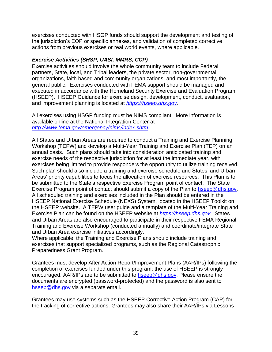exercises conducted with HSGP funds should support the development and testing of the jurisdiction's EOP or specific annexes, and validation of completed corrective actions from previous exercises or real world events, where applicable.

# *Exercise Activities (SHSP, UASI, MMRS, CCP)*

Exercise activities should involve the whole community team to include Federal partners, State, local, and Tribal leaders, the private sector, non-governmental organizations, faith based and community organizations, and most importantly, the general public. Exercises conducted with FEMA support should be managed and executed in accordance with the Homeland Security Exercise and Evaluation Program (HSEEP). HSEEP Guidance for exercise design, development, conduct, evaluation, and improvement planning is located at *[https://hseep.dhs.gov](https://hseep.dhs.gov/)*.

All exercises using HSGP funding must be NIMS compliant. More information is available online at the National Integration Center at *<http://www.fema.gov/emergency/nims/index.shtm>*.

All States and Urban Areas are required to conduct a Training and Exercise Planning Workshop (TEPW) and develop a Multi-Year Training and Exercise Plan (TEP) on an annual basis. Such plans should take into consideration anticipated training and exercise needs of the respective jurisdiction for at least the immediate year, with exercises being limited to provide responders the opportunity to utilize training received. Such plan should also include a training and exercise schedule and States' and Urban Areas' priority capabilities to focus the allocation of exercise resources. This Plan is to be submitted to the State's respective Exercise Program point of contact. The State Exercise Program point of contact should submit a copy of the Plan to [hseep@dhs.gov.](mailto:hseep@dhs.gov) All scheduled training and exercises included in the Plan should be entered in the HSEEP National Exercise Schedule (NEXS) System, located in the HSEEP Toolkit on the HSEEP website. A TEPW user guide and a template of the Multi-Year Training and Exercise Plan can be found on the HSEEP website at *[https://hseep.dhs.gov](https://hseep.dhs.gov/)*. States and Urban Areas are also encouraged to participate in their respective FEMA Regional Training and Exercise Workshop (conducted annually) and coordinate/integrate State and Urban Area exercise initiatives accordingly.

Where applicable, the Training and Exercise Plans should include training and exercises that support specialized programs, such as the Regional Catastrophic Preparedness Grant Program.

Grantees must develop After Action Report/Improvement Plans (AAR/IPs) following the completion of exercises funded under this program; the use of HSEEP is strongly encouraged. AAR/IPs are to be submitted to [hseep@dhs.gov.](mailto:hseep@dhs.gov) Please ensure the documents are encrypted (password-protected) and the password is also sent to [hseep@dhs.gov](mailto:hseep@dhs.gov) via a separate email.

Grantees may use systems such as the HSEEP Corrective Action Program (CAP) for the tracking of corrective actions. Grantees may also share their AAR/IPs via Lessons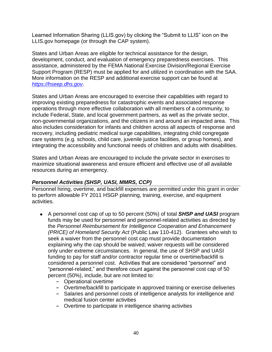Learned Information Sharing (LLIS.gov) by clicking the "Submit to LLIS" icon on the LLIS.gov homepage (or through the CAP system).

States and Urban Areas are eligible for technical assistance for the design, development, conduct, and evaluation of emergency preparedness exercises. This assistance, administered by the FEMA National Exercise Division/Regional Exercise Support Program (RESP) must be applied for and utilized in coordination with the SAA. More information on the RESP and additional exercise support can be found at *[https://hseep.dhs.gov](https://hseep.dhs.gov/)*.

States and Urban Areas are encouraged to exercise their capabilities with regard to improving existing preparedness for catastrophic events and associated response operations through more effective collaboration with all members of a community, to include Federal, State, and local government partners, as well as the private sector, non-governmental organizations, and the citizens in and around an impacted area. This also includes consideration for infants and children across all aspects of response and recovery, including pediatric medical surge capabilities, integrating child congregate care systems (e.g. schools, child care, juvenile justice facilities, or group homes), and integrating the accessibility and functional needs of children and adults with disabilities.

States and Urban Areas are encouraged to include the private sector in exercises to maximize situational awareness and ensure efficient and effective use of all available resources during an emergency.

# *Personnel Activities (SHSP, UASI, MMRS, CCP)*

Personnel hiring, overtime, and backfill expenses are permitted under this grant in order to perform allowable FY 2011 HSGP planning, training, exercise, and equipment activities.

- A personnel cost cap of up to 50 percent (50%) of total *SHSP and UASI* program funds may be used for personnel and personnel-related activities as directed by the *Personnel Reimbursement for Intelligence Cooperation and Enhancement (PRICE) of Homeland Security Act* (Public Law 110-412). Grantees who wish to seek a waiver from the personnel cost cap must provide documentation explaining why the cap should be waived; waiver requests will be considered only under extreme circumstances. In general, the use of SHSP and UASI funding to pay for staff and/or contractor regular time or overtime/backfill is considered a personnel cost. Activities that are considered "personnel" and "personnel-related," and therefore count against the personnel cost cap of 50 percent (50%), include, but are not limited to:
	- **-** Operational overtime
	- **-** Overtime/backfill to participate in approved training or exercise deliveries
	- **-** Salaries and personnel costs of intelligence analysts for intelligence and medical fusion center activities
	- **-** Overtime to participate in intelligence sharing activities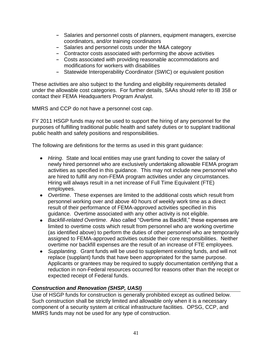- **-** Salaries and personnel costs of planners, equipment managers, exercise coordinators, and/or training coordinators
- **-** Salaries and personnel costs under the M&A category
- **-** Contractor costs associated with performing the above activities
- **-** Costs associated with providing reasonable accommodations and modifications for workers with disabilities
- **-** Statewide Interoperability Coordinator (SWIC) or equivalent position

These activities are also subject to the funding and eligibility requirements detailed under the allowable cost categories. For further details, SAAs should refer to IB 358 or contact their FEMA Headquarters Program Analyst.

MMRS and CCP do not have a personnel cost cap.

FY 2011 HSGP funds may not be used to support the hiring of any personnel for the purposes of fulfilling traditional public health and safety duties or to supplant traditional public health and safety positions and responsibilities.

The following are definitions for the terms as used in this grant guidance:

- *Hiring*. State and local entities may use grant funding to cover the salary of newly hired personnel who are exclusively undertaking allowable FEMA program activities as specified in this guidance. This may not include new personnel who are hired to fulfill any non-FEMA program activities under any circumstances. Hiring will always result in a net increase of Full Time Equivalent (FTE) employees.
- *Overtime*. These expenses are limited to the additional costs which result from personnel working over and above 40 hours of weekly work time as a direct result of their performance of FEMA-approved activities specified in this guidance. Overtime associated with any other activity is not eligible.
- Backfill-related Overtime. Also called "Overtime as Backfill," these expenses are limited to overtime costs which result from personnel who are working overtime (as identified above) to perform the duties of other personnel who are temporarily assigned to FEMA-approved activities outside their core responsibilities. Neither overtime nor backfill expenses are the result of an increase of FTE employees.
- *Supplanting*. Grant funds will be used to supplement existing funds, and will not replace (supplant) funds that have been appropriated for the same purpose. Applicants or grantees may be required to supply documentation certifying that a reduction in non-Federal resources occurred for reasons other than the receipt or expected receipt of Federal funds.

### *Construction and Renovation (SHSP, UASI)*

Use of HSGP funds for construction is generally prohibited except as outlined below. Such construction shall be strictly limited and allowable only when it is a necessary component of a security system at critical infrastructure facilities. OPSG, CCP, and MMRS funds may not be used for any type of construction.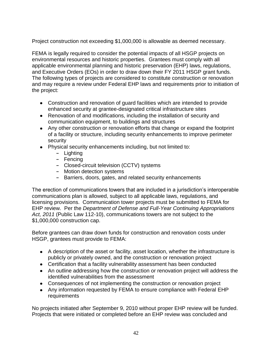Project construction not exceeding \$1,000,000 is allowable as deemed necessary.

FEMA is legally required to consider the potential impacts of all HSGP projects on environmental resources and historic properties. Grantees must comply with all applicable environmental planning and historic preservation (EHP) laws, regulations, and Executive Orders (EOs) in order to draw down their FY 2011 HSGP grant funds. The following types of projects are considered to constitute construction or renovation and may require a review under Federal EHP laws and requirements prior to initiation of the project:

- Construction and renovation of guard facilities which are intended to provide enhanced security at grantee-designated critical infrastructure sites
- Renovation of and modifications, including the installation of security and communication equipment, to buildings and structures
- Any other construction or renovation efforts that change or expand the footprint of a facility or structure, including security enhancements to improve perimeter security
- Physical security enhancements including, but not limited to:
	- **-** Lighting
	- **-** Fencing
	- **-** Closed-circuit television (CCTV) systems
	- **-** Motion detection systems
	- **-** Barriers, doors, gates, and related security enhancements

The erection of communications towers that are included in a jurisdiction's interoperable communications plan is allowed, subject to all applicable laws, regulations, and licensing provisions. Communication tower projects must be submitted to FEMA for EHP review. Per the *Department of Defense and Full-Year Continuing Appropriations Act, 2011* (Public Law 112-10), communications towers are not subject to the \$1,000,000 construction cap.

Before grantees can draw down funds for construction and renovation costs under HSGP, grantees must provide to FEMA:

- A description of the asset or facility, asset location, whether the infrastructure is publicly or privately owned, and the construction or renovation project
- Certification that a facility vulnerability assessment has been conducted
- An outline addressing how the construction or renovation project will address the identified vulnerabilities from the assessment
- Consequences of not implementing the construction or renovation project
- Any information requested by FEMA to ensure compliance with Federal EHP requirements

No projects initiated after September 9, 2010 without proper EHP review will be funded. Projects that were initiated or completed before an EHP review was concluded and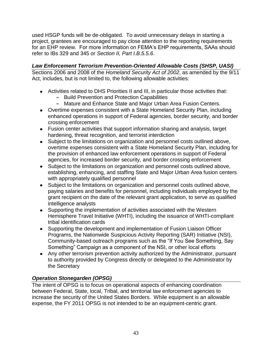used HSGP funds will be de-obligated. To avoid unnecessary delays in starting a project, grantees are encouraged to pay close attention to the reporting requirements for an EHP review. For more information on FEMA's EHP requirements, SAAs should refer to IBs 329 and 345 or *Section II, Part I.B.5.5.6*.

*Law Enforcement Terrorism Prevention-Oriented Allowable Costs (SHSP, UASI)* Sections 2006 and 2008 of the *Homeland Security Act of 2002*, as amended by the 9/11 Act, includes, but is not limited to, the following allowable activities:

- Activities related to DHS Priorities II and III, in particular those activities that:
	- **-** Build Prevention and Protection Capabilities
	- **-** Mature and Enhance State and Major Urban Area Fusion Centers.
- Overtime expenses consistent with a State Homeland Security Plan, including enhanced operations in support of Federal agencies, border security, and border crossing enforcement
- Fusion center activities that support information sharing and analysis, target hardening, threat recognition, and terrorist interdiction
- Subject to the limitations on organization and personnel costs outlined above, overtime expenses consistent with a State Homeland Security Plan, including for the provision of enhanced law enforcement operations in support of Federal agencies, for increased border security, and border crossing enforcement
- Subject to the limitations on organization and personnel costs outlined above, establishing, enhancing, and staffing State and Major Urban Area fusion centers with appropriately qualified personnel
- Subject to the limitations on organization and personnel costs outlined above, paying salaries and benefits for personnel, including individuals employed by the grant recipient on the date of the relevant grant application, to serve as qualified intelligence analysts
- Supporting the implementation of activities associated with the Western Hemisphere Travel Initiative (WHTI), including the issuance of WHTI-compliant tribal identification cards
- Supporting the development and implementation of Fusion Liaison Officer Programs, the Nationwide Suspicious Activity Reporting (SAR) Initiative (NSI), Community-based outreach programs such as the "If You See Something, Say Something" Campaign as a component of the NSI, or other local efforts
- Any other terrorism prevention activity authorized by the Administrator, pursuant to authority provided by Congress directly or delegated to the Administrator by the Secretary

# *Operation Stonegarden (OPSG)*

The intent of OPSG is to focus on operational aspects of enhancing coordination between Federal, State, local, Tribal, and territorial law enforcement agencies to increase the security of the United States Borders. While equipment is an allowable expense, the FY 2011 OPSG is not intended to be an equipment-centric grant.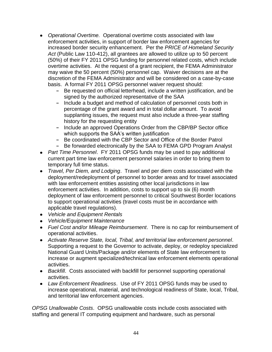- *Operational Overtime.* Operational overtime costs associated with law enforcement activities, in support of border law enforcement agencies for increased border security enhancement. Per the *PRICE of Homeland Security Act* (Public Law 110-412), all grantees are allowed to utilize up to 50 percent (50%) of their FY 2011 OPSG funding for personnel related costs, which include overtime activities. At the request of a grant recipient, the FEMA Administrator may waive the 50 percent (50%) personnel cap. Waiver decisions are at the discretion of the FEMA Administrator and will be considered on a case-by-case basis. A formal FY 2011 OPSG personnel waiver request should:
	- **-** Be requested on official letterhead, include a written justification, and be signed by the authorized representative of the SAA
	- **-** Include a budget and method of calculation of personnel costs both in percentage of the grant award and in total dollar amount. To avoid supplanting issues, the request must also include a three-year staffing history for the requesting entity
	- **-** Include an approved Operations Order from the CBP/BP Sector office which supports the SAA's written justification
	- **-** Be coordinated with the CBP Sector and Office of the Border Patrol
	- **-** Be forwarded electronically by the SAA to FEMA GPD Program Analyst
- *Part Time Personnel*.FY 2011 OPSG funds may be used to pay additional current part time law enforcement personnel salaries in order to bring them to temporary full time status.
- *Travel, Per Diem, and Lodging*.Travel and per diem costs associated with the deployment/redeployment of personnel to border areas and for travel associated with law enforcement entities assisting other local jurisdictions in law enforcement activities. In addition, costs to support up to six (6) month deployment of law enforcement personnel to critical Southwest Border locations to support operational activities (travel costs must be in accordance with applicable travel regulations).
- *Vehicle and Equipment Rentals*
- *Vehicle/Equipment Maintenance*
- *Fuel Cost and/or Mileage Reimbursement*.There is no cap for reimbursement of operational activities.
- *Activate Reserve State, local, Tribal, and territorial law enforcement personnel*. Supporting a request to the Governor to activate, deploy, or redeploy specialized National Guard Units/Package and/or elements of State law enforcement to increase or augment specialized/technical law enforcement elements operational activities.
- *Backfill*. Costs associated with backfill for personnel supporting operational activities.
- *Law Enforcement Readiness*.Use of FY 2011 OPSG funds may be used to increase operational, material, and technological readiness of State, local, Tribal, and territorial law enforcement agencies.

*OPSG Unallowable Costs*.OPSG unallowable costs include costs associated with staffing and general IT computing equipment and hardware, such as personal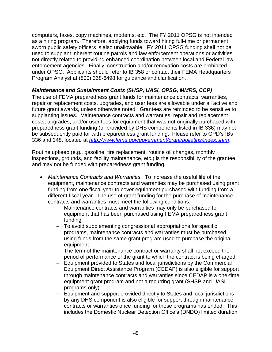computers, faxes, copy machines, modems, etc. The FY 2011 OPSG is not intended as a hiring program. Therefore, applying funds toward hiring full-time or permanent sworn public safety officers is also unallowable. FY 2011 OPSG funding shall not be used to supplant inherent routine patrols and law enforcement operations or activities not directly related to providing enhanced coordination between local and Federal law enforcement agencies. Finally, construction and/or renovation costs are prohibited under OPSG. Applicants should refer to IB 358 or contact their FEMA Headquarters Program Analyst at (800) 368-6498 for guidance and clarification.

# *Maintenance and Sustainment Costs (SHSP, UASI, OPSG, MMRS, CCP)*

The use of FEMA preparedness grant funds for maintenance contracts, warranties, repair or replacement costs, upgrades, and user fees are allowable under all active and future grant awards, unless otherwise noted. Grantees are reminded to be sensitive to supplanting issues. Maintenance contracts and warranties, repair and replacement costs, upgrades, and/or user fees for equipment that was not originally purchased with preparedness grant funding (or provided by DHS components listed in IB 336) may not be subsequently paid for with preparedness grant funding. Please refer to GPD's IBs 336 and 348, located at *<http://www.fema.gov/government/grant/bulletins/index.shtm>*.

Routine upkeep (e.g., gasoline, tire replacement, routine oil changes, monthly inspections, grounds, and facility maintenance, etc.) is the responsibility of the grantee and may not be funded with preparedness grant funding.

- *Maintenance Contracts and Warranties*.To increase the useful life of the equipment, maintenance contracts and warranties may be purchased using grant funding from one fiscal year to cover equipment purchased with funding from a different fiscal year. The use of grant funding for the purchase of maintenance contracts and warranties must meet the following conditions:
	- **-** Maintenance contracts and warranties may only be purchased for equipment that has been purchased using FEMA preparedness grant funding
	- **-** To avoid supplementing congressional appropriations for specific programs, maintenance contracts and warranties must be purchased using funds from the same grant program used to purchase the original equipment
	- **-** The term of the maintenance contract or warranty shall not exceed the period of performance of the grant to which the contract is being charged
	- **-** Equipment provided to States and local jurisdictions by the Commercial Equipment Direct Assistance Program (CEDAP) is also eligible for support through maintenance contracts and warranties since CEDAP is a one-time equipment grant program and not a recurring grant (SHSP and UASI programs only)
	- **-** Equipment and support provided directly to States and local jurisdictions by any DHS component is also eligible for support through maintenance contracts or warranties once funding for those programs has ended. This includes the Domestic Nuclear Detection Office's (DNDO) limited duration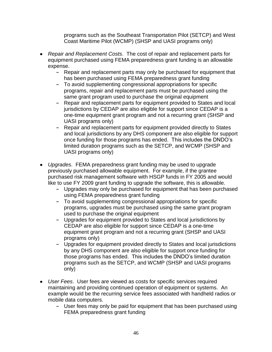programs such as the Southeast Transportation Pilot (SETCP) and West Coast Maritime Pilot (WCMP) (SHSP and UASI programs only)

- *Repair and Replacement Costs*.The cost of repair and replacement parts for equipment purchased using FEMA preparedness grant funding is an allowable expense.
	- **-** Repair and replacement parts may only be purchased for equipment that has been purchased using FEMA preparedness grant funding
	- **-** To avoid supplementing congressional appropriations for specific programs, repair and replacement parts must be purchased using the same grant program used to purchase the original equipment
	- **-** Repair and replacement parts for equipment provided to States and local jurisdictions by CEDAP are also eligible for support since CEDAP is a one-time equipment grant program and not a recurring grant (SHSP and UASI programs only)
	- **-** Repair and replacement parts for equipment provided directly to States and local jurisdictions by any DHS component are also eligible for support once funding for those programs has ended. This includes the DNDO's limited duration programs such as the SETCP, and WCMP (SHSP and UASI programs only)
- *Upgrades*.FEMA preparedness grant funding may be used to upgrade previously purchased allowable equipment. For example, if the grantee purchased risk management software with HSGP funds in FY 2005 and would like to use FY 2009 grant funding to upgrade the software, this is allowable.
	- **-** Upgrades may only be purchased for equipment that has been purchased using FEMA preparedness grant funding
	- **-** To avoid supplementing congressional appropriations for specific programs, upgrades must be purchased using the same grant program used to purchase the original equipment
	- **-** Upgrades for equipment provided to States and local jurisdictions by CEDAP are also eligible for support since CEDAP is a one-time equipment grant program and not a recurring grant (SHSP and UASI programs only)
	- **-** Upgrades for equipment provided directly to States and local jurisdictions by any DHS component are also eligible for support once funding for those programs has ended. This includes the DNDO's limited duration programs such as the SETCP, and WCMP (SHSP and UASI programs only)
- *User Fees*.User fees are viewed as costs for specific services required maintaining and providing continued operation of equipment or systems. An example would be the recurring service fees associated with handheld radios or mobile data computers.
	- **-** User fees may only be paid for equipment that has been purchased using FEMA preparedness grant funding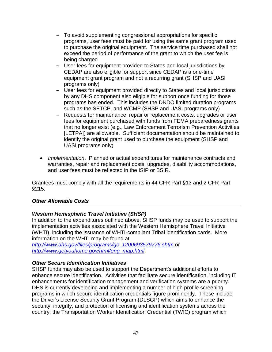- **-** To avoid supplementing congressional appropriations for specific programs, user fees must be paid for using the same grant program used to purchase the original equipment. The service time purchased shall not exceed the period of performance of the grant to which the user fee is being charged
- **-** User fees for equipment provided to States and local jurisdictions by CEDAP are also eligible for support since CEDAP is a one-time equipment grant program and not a recurring grant (SHSP and UASI programs only)
- **-** User fees for equipment provided directly to States and local jurisdictions by any DHS component also eligible for support once funding for those programs has ended. This includes the DNDO limited duration programs such as the SETCP, and WCMP (SHSP and UASI programs only)
- **-** Requests for maintenance, repair or replacement costs, upgrades or user fees for equipment purchased with funds from FEMA preparedness grants that no longer exist (e.g., Law Enforcement Terrorism Prevention Activities [LETPA]) are allowable. Sufficient documentation should be maintained to identify the original grant used to purchase the equipment (SHSP and UASI programs only)
- *Implementation*. Planned or actual expenditures for maintenance contracts and warranties, repair and replacement costs, upgrades, disability accommodations, and user fees must be reflected in the ISIP or BSIR.

Grantees must comply with all the requirements in 44 CFR Part §13 and 2 CFR Part §215.

### *Other Allowable Costs*

### *Western Hemispheric Travel Initiative (SHSP)*

In addition to the expenditures outlined above, SHSP funds may be used to support the implementation activities associated with the Western Hemisphere Travel Initiative (WHTI), including the issuance of WHTI-compliant Tribal identification cards. More information on the WHTI may be found at

*[http://www.dhs.gov/files/programs/gc\\_1200693579776.shtm](http://www.dhs.gov/files/programs/gc_1200693579776.shtm)* or *[http://www.getyouhome.gov/html/eng\\_map.html](http://www.getyouhome.gov/html/eng_map.html)*.

### *Other Secure Identification Initiatives*

SHSP funds may also be used to support the Department's additional efforts to enhance secure identification. Activities that facilitate secure identification, including IT enhancements for identification management and verification systems are a priority. DHS is currently developing and implementing a number of high profile screening programs in which secure identification credentials figure prominently. These include the Driver's License Security Grant Program (DLSGP) which aims to enhance the security, integrity, and protection of licensing and identification systems across the country; the Transportation Worker Identification Credential (TWIC) program which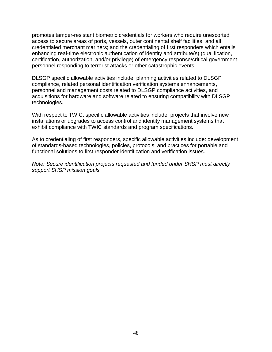promotes tamper-resistant biometric credentials for workers who require unescorted access to secure areas of ports, vessels, outer continental shelf facilities, and all credentialed merchant mariners; and the credentialing of first responders which entails enhancing real-time electronic authentication of identity and attribute(s) (qualification, certification, authorization, and/or privilege) of emergency response/critical government personnel responding to terrorist attacks or other catastrophic events.

DLSGP specific allowable activities include: planning activities related to DLSGP compliance, related personal identification verification systems enhancements, personnel and management costs related to DLSGP compliance activities, and acquisitions for hardware and software related to ensuring compatibility with DLSGP technologies.

With respect to TWIC, specific allowable activities include: projects that involve new installations or upgrades to access control and identity management systems that exhibit compliance with TWIC standards and program specifications.

As to credentialing of first responders, specific allowable activities include: development of standards-based technologies, policies, protocols, and practices for portable and functional solutions to first responder identification and verification issues.

*Note: Secure identification projects requested and funded under SHSP must directly support SHSP mission goals.*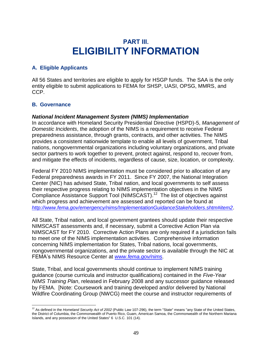# **PART III. ELIGIBILITY INFORMATION**

# **A. Eligible Applicants**

All 56 States and territories are eligible to apply for HSGP funds. The SAA is the only entity eligible to submit applications to FEMA for SHSP, UASI, OPSG, MMRS, and CCP.

### **B. Governance**

#### *National Incident Management System (NIMS) Implementation*

In accordance with Homeland Security Presidential Directive (HSPD)-5, *Management of Domestic Incidents*, the adoption of the NIMS is a requirement to receive Federal preparedness assistance, through grants, contracts, and other activities. The NIMS provides a consistent nationwide template to enable all levels of government, Tribal nations, nongovernmental organizations including voluntary organizations, and private sector partners to work together to prevent, protect against, respond to, recover from, and mitigate the effects of incidents, regardless of cause, size, location, or complexity.

Federal FY 2010 NIMS implementation must be considered prior to allocation of any Federal preparedness awards in FY 2011. Since FY 2007, the National Integration Center (NIC) has advised State, Tribal nation, and local governments to self assess their respective progress relating to NIMS implementation objectives in the NIMS Compliance Assistance Support Tool (NIMSCAST). 12 The list of objectives against which progress and achievement are assessed and reported can be found at *<http://www.fema.gov/emergency/nims/ImplementationGuidanceStakeholders.shtm#item2>*.

All State, Tribal nation, and local government grantees should update their respective NIMSCAST assessments and, if necessary, submit a Corrective Action Plan via NIMSCAST for FY 2010. Corrective Action Plans are only required if a jurisdiction fails to meet one of the NIMS implementation activities. Comprehensive information concerning NIMS implementation for States, Tribal nations, local governments, nongovernmental organizations, and the private sector is available through the NIC at FEMA's NIMS Resource Center at *[www.fema.gov/nims](http://www.fema.gov/nims)*.

State, Tribal, and local governments should continue to implement NIMS training guidance (course curricula and instructor qualifications) contained in the *Five-Year NIMS Training Plan*, released in February 2008 and any successor guidance released by FEMA. [Note: Coursework and training developed and/or delivered by National Wildfire Coordinating Group (NWCG) meet the course and instructor requirements of

 $\overline{a}$ <sup>12</sup> As defined in the *Homeland Security Act of 2002* (Public Law 107-296), the term "State" means "any State of the United States, the District of Columbia, the Commonwealth of Puerto Rico, Guam, American Samoa, the Commonwealth of the Northern Mariana Islands, and any possession of the United States" 6 U.S.C. 101 (14).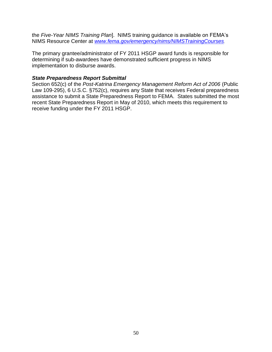the *Five-Year NIMS Training Plan*]. NIMS training guidance is available on FEMA's NIMS Resource Center at *[www.fema.gov/emergency/nims/NIMSTrainingCourses](http://www.fema.gov/emergency/nims/NIMSTrainingCourses)*.

The primary grantee/administrator of FY 2011 HSGP award funds is responsible for determining if sub-awardees have demonstrated sufficient progress in NIMS implementation to disburse awards.

#### *State Preparedness Report Submittal*

Section 652(c) of the *Post-Katrina Emergency Management Reform Act of 2006* (Public Law 109-295), 6 U.S.C. §752(c), requires any State that receives Federal preparedness assistance to submit a State Preparedness Report to FEMA. States submitted the most recent State Preparedness Report in May of 2010, which meets this requirement to receive funding under the FY 2011 HSGP.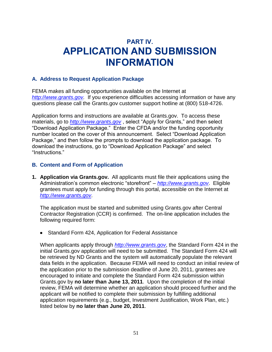# **PART IV. APPLICATION AND SUBMISSION INFORMATION**

#### **A. Address to Request Application Package**

FEMA makes all funding opportunities available on the Internet at *[http://www.grants.gov.](http://www.grants.gov/)* If you experience difficulties accessing information or have any questions please call the Grants.gov customer support hotline at (800) 518-4726.

Application forms and instructions are available at Grants.gov. To access these materials, go to *[http://www.grants.gov](http://www.grants.gov/)*, select "Apply for Grants," and then select ―Download Application Package.‖ Enter the CFDA and/or the funding opportunity number located on the cover of this announcement. Select "Download Application" Package," and then follow the prompts to download the application package. To download the instructions, go to "Download Application Package" and select "Instructions."

#### **B. Content and Form of Application**

**1. Application via Grants.gov.** All applicants must file their applications using the Administration's common electronic "storefront" – *[http://www.grants.gov](http://www.grants.gov/)*. Eligible grantees must apply for funding through this portal, accessible on the Internet at *[http://www.grants.gov](http://www.grants.gov/)*.

The application must be started and submitted using Grants.gov after Central Contractor Registration (CCR) is confirmed. The on-line application includes the following required form:

• Standard Form 424, Application for Federal Assistance

When applicants apply through *[http://www.grants.gov](http://www.grants.gov/)*, the Standard Form 424 in the initial Grants.gov application will need to be submitted. The Standard Form 424 will be retrieved by ND Grants and the system will automatically populate the relevant data fields in the application. Because FEMA will need to conduct an initial review of the application prior to the submission deadline of June 20, 2011, grantees are encouraged to initiate and complete the Standard Form 424 submission within Grants.gov by **no later than June 13, 2011**. Upon the completion of the initial review, FEMA will determine whether an application should proceed further and the applicant will be notified to complete their submission by fulfilling additional application requirements (e.g., budget, Investment Justification, Work Plan, etc.) listed below by **no later than June 20, 2011**.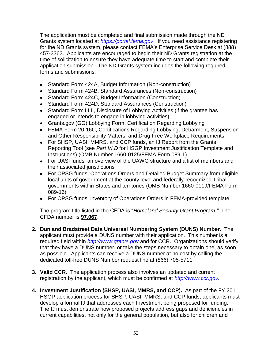The application must be completed and final submission made through the ND Grants system located at *[https://portal.fema.gov](https://portal.fema.gov/)*. If you need assistance registering for the ND Grants system, please contact FEMA's Enterprise Service Desk at (888) 457-3362. Applicants are encouraged to begin their ND Grants registration at the time of solicitation to ensure they have adequate time to start and complete their application submission. The ND Grants system includes the following required forms and submissions:

- Standard Form 424A, Budget Information (Non-construction)
- Standard Form 424B, Standard Assurances (Non-construction)
- Standard Form 424C, Budget Information (Construction)
- Standard Form 424D, Standard Assurances (Construction)
- Standard Form LLL, Disclosure of Lobbying Activities (if the grantee has engaged or intends to engage in lobbying activities)
- Grants.gov (GG) Lobbying Form, Certification Regarding Lobbying
- FEMA Form 20-16C, Certifications Regarding Lobbying; Debarment, Suspension and Other Responsibility Matters; and Drug-Free Workplace Requirements
- For SHSP, UASI, MMRS, and CCP funds, an IJ Report from the Grants Reporting Tool (see *Part VI.D* for HSGP Investment Justification Template and Instructions) (OMB Number 1660-0125/FEMA Form 089-1)
- For UASI funds, an overview of the UAWG structure and a list of members and their associated jurisdictions
- For OPSG funds, Operations Orders and Detailed Budget Summary from eligible local units of government at the county level and federally-recognized Tribal governments within States and territories (OMB Number 1660-0119/FEMA Form 089-16)
- For OPSG funds, inventory of Operations Orders in FEMA-provided template

The program title listed in the CFDA is "Homeland Security Grant Program." The CFDA number is **97.067**.

- **2. Dun and Bradstreet Data Universal Numbering System (DUNS) Number.** The applicant must provide a DUNS number with their application. This number is a required field within *[http://www.grants.gov](http://www.grants.gov/)* and for CCR. Organizations should verify that they have a DUNS number, or take the steps necessary to obtain one, as soon as possible. Applicants can receive a DUNS number at no cost by calling the dedicated toll-free DUNS Number request line at (866) 705-5711.
- **3. Valid CCR.** The application process also involves an updated and current registration by the applicant, which must be confirmed at *[http://www.ccr.gov.](http://www.ccr.gov/)*
- **4. Investment Justification (SHSP, UASI, MMRS, and CCP).** As part of the FY 2011 HSGP application process for SHSP, UASI, MMRS, and CCP funds, applicants must develop a formal IJ that addresses each Investment being proposed for funding. The IJ must demonstrate how proposed projects address gaps and deficiencies in current capabilities, not only for the general population, but also for children and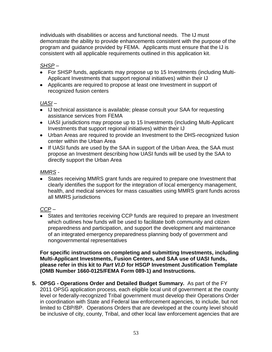individuals with disabilities or access and functional needs. The IJ must demonstrate the ability to provide enhancements consistent with the purpose of the program and guidance provided by FEMA. Applicants must ensure that the IJ is consistent with all applicable requirements outlined in this application kit.

# *SHSP* –

- For SHSP funds, applicants may propose up to 15 Investments (including Multi-Applicant Investments that support regional initiatives) within their IJ
- Applicants are required to propose at least one Investment in support of recognized fusion centers

# *UASI* –

- IJ technical assistance is available; please consult your SAA for requesting assistance services from FEMA
- UASI jurisdictions may propose up to 15 Investments (including Multi-Applicant Investments that support regional initiatives) within their IJ
- Urban Areas are required to provide an Investment to the DHS-recognized fusion center within the Urban Area
- If UASI funds are used by the SAA in support of the Urban Area, the SAA must propose an Investment describing how UASI funds will be used by the SAA to directly support the Urban Area

# *MMRS* -

States receiving MMRS grant funds are required to prepare one Investment that clearly identifies the support for the integration of local emergency management, health, and medical services for mass casualties using MMRS grant funds across all MMRS jurisdictions

# *CCP* –

 $\overline{\bullet}$  States and territories receiving CCP funds are required to prepare an Investment which outlines how funds will be used to facilitate both community and citizen preparedness and participation, and support the development and maintenance of an integrated emergency preparedness planning body of government and nongovernmental representatives

**For specific instructions on completing and submitting Investments, including Multi-Applicant Investments, Fusion Centers, and SAA use of UASI funds, please refer in this kit to** *Part VI.D* **for HSGP Investment Justification Template (OMB Number 1660-0125/FEMA Form 089-1) and Instructions.**

**5. OPSG - Operations Order and Detailed Budget Summary.** As part of the FY 2011 OPSG application process, each eligible local unit of government at the county level or federally-recognized Tribal government must develop their Operations Order in coordination with State and Federal law enforcement agencies, to include, but not limited to CBP/BP. Operations Orders that are developed at the county level should be inclusive of city, county, Tribal, and other local law enforcement agencies that are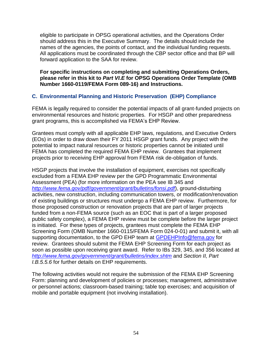eligible to participate in OPSG operational activities, and the Operations Order should address this in the Executive Summary. The details should include the names of the agencies, the points of contact, and the individual funding requests. All applications must be coordinated through the CBP sector office and that BP will forward application to the SAA for review.

**For specific instructions on completing and submitting Operations Orders, please refer in this kit to** *Part VI.E* **for OPSG Operations Order Template (OMB Number 1660-0119/FEMA Form 089-16) and Instructions.**

### **C. Environmental Planning and Historic Preservation (EHP) Compliance**

FEMA is legally required to consider the potential impacts of all grant-funded projects on environmental resources and historic properties. For HSGP and other preparedness grant programs, this is accomplished via FEMA's EHP Review.

Grantees must comply with all applicable EHP laws, regulations, and Executive Orders (EOs) in order to draw down their FY 2011 HSGP grant funds. Any project with the potential to impact natural resources or historic properties cannot be initiated until FEMA has completed the required FEMA EHP review. Grantees that implement projects prior to receiving EHP approval from FEMA risk de-obligation of funds.

HSGP projects that involve the installation of equipment, exercises not specifically excluded from a FEMA EHP review per the GPD Programmatic Environmental Assessment (PEA) (for more information on the PEA see IB 345 and *<http://www.fema.gov/pdf/government/grant/bulletins/fonsi.pdf>*), ground-disturbing activities, new construction, including communication towers, or modification/renovation of existing buildings or structures must undergo a FEMA EHP review. Furthermore, for those proposed construction or renovation projects that are part of larger projects funded from a non-FEMA source (such as an EOC that is part of a larger proposed public safety complex), a FEMA EHP review must be complete before the larger project is initiated. For these types of projects, grantees must complete the FEMA EHP Screening Form (OMB Number 1660-0115/FEMA Form 024-0-01) and submit it, with all supporting documentation, to the GPD EHP team at [GPDEHPInfo@fema.gov](mailto:GPDEHPInfo@fema.gov) for review. Grantees should submit the FEMA EHP Screening Form for each project as soon as possible upon receiving grant award. Refer to IBs 329, 345, and 356 located at *<http://www.fema.gov/government/grant/bulletins/index.shtm>* and *Section II, Part I.B.5.5.6* for further details on EHP requirements.

The following activities would not require the submission of the FEMA EHP Screening Form: planning and development of policies or processes; management, administrative or personnel actions; classroom-based training; table top exercises; and acquisition of mobile and portable equipment (not involving installation).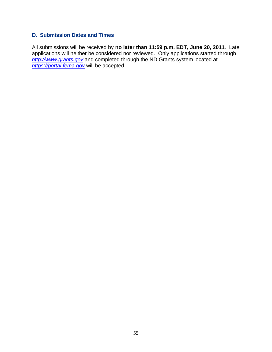#### **D. Submission Dates and Times**

All submissions will be received by **no later than 11:59 p.m. EDT, June 20, 2011**. Late applications will neither be considered nor reviewed. Only applications started through *[http://www.grants.gov](http://www.grants.gov/)* and completed through the ND Grants system located at *[https://portal.fema.gov](https://portal.fema.gov/)* will be accepted.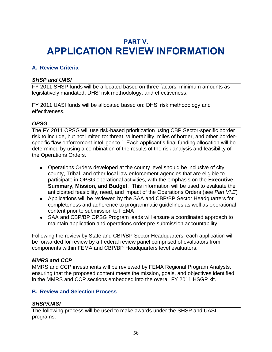# **PART V. APPLICATION REVIEW INFORMATION**

# **A. Review Criteria**

#### *SHSP and UASI*

FY 2011 SHSP funds will be allocated based on three factors: minimum amounts as legislatively mandated, DHS' risk methodology, and effectiveness.

FY 2011 UASI funds will be allocated based on: DHS' risk methodology and effectiveness.

#### *OPSG*

The FY 2011 OPSG will use risk-based prioritization using CBP Sector-specific border risk to include, but not limited to: threat, vulnerability, miles of border, and other borderspecific "law enforcement intelligence." Each applicant's final funding allocation will be determined by using a combination of the results of the risk analysis and feasibility of the Operations Orders.

- Operations Orders developed at the county level should be inclusive of city, county, Tribal, and other local law enforcement agencies that are eligible to participate in OPSG operational activities, with the emphasis on the **Executive Summary, Mission, and Budget**. This information will be used to evaluate the anticipated feasibility, need, and impact of the Operations Orders (see *Part VI.E*)
- Applications will be reviewed by the SAA and CBP/BP Sector Headquarters for completeness and adherence to programmatic guidelines as well as operational content prior to submission to FEMA
- SAA and CBP/BP OPSG Program leads will ensure a coordinated approach to maintain application and operations order pre-submission accountability

Following the review by State and CBP/BP Sector Headquarters, each application will be forwarded for review by a Federal review panel comprised of evaluators from components within FEMA and CBP/BP Headquarters level evaluators.

#### *MMRS and CCP*

MMRS and CCP investments will be reviewed by FEMA Regional Program Analysts, ensuring that the proposed content meets the mission, goals, and objectives identified in the MMRS and CCP sections embedded into the overall FY 2011 HSGP kit.

### **B. Review and Selection Process**

#### *SHSP/UASI*

The following process will be used to make awards under the SHSP and UASI programs: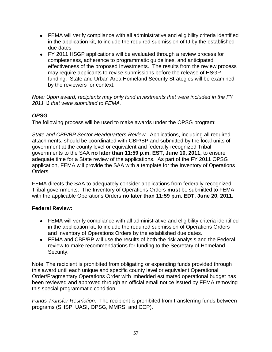- FEMA will verify compliance with all administrative and eligibility criteria identified in the application kit, to include the required submission of IJ by the established due dates
- FY 2011 HSGP applications will be evaluated through a review process for completeness, adherence to programmatic guidelines, and anticipated effectiveness of the proposed Investments. The results from the review process may require applicants to revise submissions before the release of HSGP funding. State and Urban Area Homeland Security Strategies will be examined by the reviewers for context.

*Note: Upon award, recipients may only fund Investments that were included in the FY 2011* IJ *that were submitted to FEMA.* 

# *OPSG*

The following process will be used to make awards under the OPSG program:

*State and CBP/BP Sector Headquarters Review*. Applications, including all required attachments, should be coordinated with CBP/BP and submitted by the local units of government at the county level or equivalent and federally-recognized Tribal governments to the SAA **no later than 11:59 p.m. EST, June 10, 2011,** to ensure adequate time for a State review of the applications. As part of the FY 2011 OPSG application, FEMA will provide the SAA with a template for the Inventory of Operations Orders.

FEMA directs the SAA to adequately consider applications from federally-recognized Tribal governments. The Inventory of Operations Orders **must** be submitted to FEMA with the applicable Operations Orders **no later than 11:59 p.m. EDT, June 20, 2011.**

# **Federal Review:**

- FEMA will verify compliance with all administrative and eligibility criteria identified in the application kit, to include the required submission of Operations Orders and Inventory of Operations Orders by the established due dates.
- FEMA and CBP/BP will use the results of both the risk analysis and the Federal review to make recommendations for funding to the Secretary of Homeland Security.

Note: The recipient is prohibited from obligating or expending funds provided through this award until each unique and specific county level or equivalent Operational Order/Fragmentary Operations Order with imbedded estimated operational budget has been reviewed and approved through an official email notice issued by FEMA removing this special programmatic condition.

*Funds Transfer Restriction*. The recipient is prohibited from transferring funds between programs (SHSP, UASI, OPSG, MMRS, and CCP).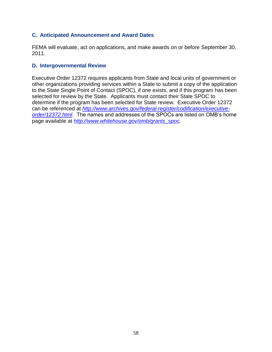#### **C. Anticipated Announcement and Award Dates**

FEMA will evaluate, act on applications, and make awards on or before September 30, 2011.

#### **D. Intergovernmental Review**

Executive Order 12372 requires applicants from State and local units of government or other organizations providing services within a State to submit a copy of the application to the State Single Point of Contact (SPOC), if one exists, and if this program has been selected for review by the State. Applicants must contact their State SPOC to determine if the program has been selected for State review. Executive Order 12372 can be referenced at *[http://www.archives.gov/federal-register/codification/executive](http://www.archives.gov/federal-register/codification/executive-order/12372.html)[order/12372.html](http://www.archives.gov/federal-register/codification/executive-order/12372.html)*. The names and addresses of the SPOCs are listed on OMB's home page available at *[http://www.whitehouse.gov/omb/grants\\_spoc.](http://www.whitehouse.gov/omb/grants_spoc)*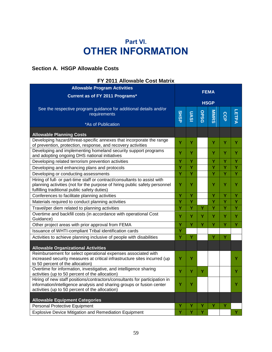# **Part VI. OTHER INFORMATION**

# **Section A. HSGP Allowable Costs**

| FY 2011 Allowable Cost Matrix                                                                                                                                                                           |             |      |       |              |     |             |
|---------------------------------------------------------------------------------------------------------------------------------------------------------------------------------------------------------|-------------|------|-------|--------------|-----|-------------|
| <b>Allowable Program Activities</b>                                                                                                                                                                     | <b>FEMA</b> |      |       |              |     |             |
| Current as of FY 2011 Programs*                                                                                                                                                                         |             |      |       |              |     |             |
|                                                                                                                                                                                                         | <b>HSGP</b> |      |       |              |     |             |
| See the respective program guidance for additional details and/or<br>requirements                                                                                                                       | <b>SHSP</b> | UASI | OPSGO | <b>MINRS</b> | CCP | <b>ETPA</b> |
| *As of Publication                                                                                                                                                                                      |             |      |       |              |     |             |
|                                                                                                                                                                                                         |             |      |       |              |     |             |
| <b>Allowable Planning Costs</b>                                                                                                                                                                         |             |      |       |              |     |             |
| Developing hazard/threat-specific annexes that incorporate the range<br>of prevention, protection, response, and recovery activities                                                                    | Y           | Y    |       | Y            | Y   | Y           |
| Developing and implementing homeland security support programs<br>and adopting ongoing DHS national initiatives                                                                                         | Y           | Y    |       | Y            | Y   | Y           |
| Developing related terrorism prevention activities                                                                                                                                                      | Y           | Y    |       | Y            | Ÿ   | Y           |
| Developing and enhancing plans and protocols                                                                                                                                                            | Y           | Y    |       | Y            | Ÿ   | Y           |
| Developing or conducting assessments                                                                                                                                                                    | Y           | Y    |       | Y            | Ÿ   | Ÿ           |
| Hiring of full- or part-time staff or contract/consultants to assist with<br>planning activities (not for the purpose of hiring public safety personnel<br>fulfilling traditional public safety duties) | Y           | Υ    |       | Y            | Ÿ   | Υ           |
| Conferences to facilitate planning activities                                                                                                                                                           | Ÿ           | Ÿ    |       | Ÿ            | Ÿ   | Ÿ           |
| Materials required to conduct planning activities                                                                                                                                                       | Ÿ           | Ÿ    |       | Ÿ            | Ÿ   | Ÿ           |
| Travel/per diem related to planning activities                                                                                                                                                          | Ÿ           | Ÿ    | Y     | Y            | Y   | Y           |
| Overtime and backfill costs (in accordance with operational Cost<br>Guidance)                                                                                                                           | Y           | Y    | Y     | Y            | Y   | Y           |
| Other project areas with prior approval from FEMA                                                                                                                                                       | Ÿ           | Ÿ    | Ÿ     | Ÿ            | Ÿ   | Ÿ           |
| Issuance of WHTI-compliant Tribal identification cards                                                                                                                                                  | Y           |      |       |              |     |             |
| Activities to achieve planning inclusive of people with disabilities                                                                                                                                    | Y           | Y    |       | Ÿ            | Ÿ   |             |
| <b>Allowable Organizational Activities</b>                                                                                                                                                              |             |      |       |              |     |             |
| Reimbursement for select operational expenses associated with<br>increased security measures at critical infrastructure sites incurred (up<br>to 50 percent of the allocation)                          | Y           | Υ    |       |              |     | Y           |
| Overtime for information, investigative, and intelligence sharing<br>activities (up to 50 percent of the allocation)                                                                                    | Y           | Υ    | Y     |              |     | Y           |
| Hiring of new staff positions/contractors/consultants for participation in<br>information/intelligence analysis and sharing groups or fusion center<br>activities (up to 50 percent of the allocation)  | Y           | Y    |       |              |     | Y           |
| <b>Allowable Equipment Categories</b>                                                                                                                                                                   |             |      |       |              |     |             |
| <b>Personal Protective Equipment</b>                                                                                                                                                                    | Υ           | Υ    | Y     | Y            | Y   |             |
| <b>Explosive Device Mitigation and Remediation Equipment</b>                                                                                                                                            | Υ           |      | Y     |              |     | Y           |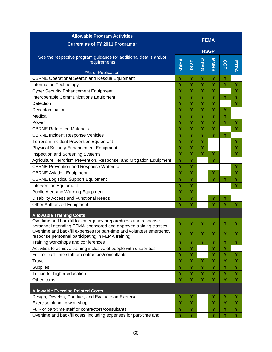| <b>Allowable Program Activities</b>                                                                                       |             |      |       |              |     |              |  |  |  |
|---------------------------------------------------------------------------------------------------------------------------|-------------|------|-------|--------------|-----|--------------|--|--|--|
| Current as of FY 2011 Programs*                                                                                           | <b>FEMA</b> |      |       |              |     |              |  |  |  |
|                                                                                                                           | <b>HSGP</b> |      |       |              |     |              |  |  |  |
| See the respective program guidance for additional details and/or<br>requirements                                         | <b>SHSP</b> | UASI | OPSGO | <b>MINRS</b> | CCP | <b>LETPA</b> |  |  |  |
| *As of Publication                                                                                                        |             |      |       |              |     |              |  |  |  |
| <b>CBRNE Operational Search and Rescue Equipment</b>                                                                      | Y           | Y    | Y     | Y            | Y   |              |  |  |  |
| Information Technology                                                                                                    | Υ           | Y    | Y     | Y            | Y   | Y            |  |  |  |
| <b>Cyber Security Enhancement Equipment</b>                                                                               | Υ           | Y    | Y     | Y            |     | Y            |  |  |  |
| Interoperable Communications Equipment                                                                                    | Ý           | Y    | Ÿ     | Ÿ            | Y   | Υ            |  |  |  |
| Detection                                                                                                                 | Y           | Y    | Y     | Y            |     | Y            |  |  |  |
| Decontamination                                                                                                           | Υ           | Y    | Y     | Y            | Y   |              |  |  |  |
| Medical                                                                                                                   | Y           | Y    | Y     | Y            | Y   |              |  |  |  |
| Power                                                                                                                     | Ÿ           | Ÿ    | Ÿ     | Ÿ            | Y   | Y            |  |  |  |
| <b>CBRNE Reference Materials</b>                                                                                          | Υ           | Y    | Y     | Y            |     | Y            |  |  |  |
| <b>CBRNE Incident Response Vehicles</b>                                                                                   | Y           | Y    | Y     | Y            | Y   |              |  |  |  |
| <b>Terrorism Incident Prevention Equipment</b>                                                                            | Ÿ           | Ÿ    | Ÿ     |              |     | Ý            |  |  |  |
| <b>Physical Security Enhancement Equipment</b>                                                                            | Ÿ           | Y    | Y     |              |     | Y            |  |  |  |
| <b>Inspection and Screening Systems</b>                                                                                   | Y           | Y    | Y     | Ÿ            |     | Y            |  |  |  |
| Agriculture Terrorism Prevention, Response, and Mitigation Equipment                                                      | Ÿ           | Y    |       | Ÿ            |     |              |  |  |  |
| <b>CBRNE Prevention and Response Watercraft</b>                                                                           | Ÿ           | Y    |       |              |     | Υ            |  |  |  |
| <b>CBRNE Aviation Equipment</b>                                                                                           | Ÿ           | Ÿ    |       | Ÿ            |     | Y            |  |  |  |
| <b>CBRNE Logistical Support Equipment</b>                                                                                 | Υ           | Y    |       | Y            | Y   | Υ            |  |  |  |
| <b>Intervention Equipment</b>                                                                                             | Y           | Y    |       |              |     | Y            |  |  |  |
| <b>Public Alert and Warning Equipment</b>                                                                                 | Ÿ           | Ÿ    |       |              |     |              |  |  |  |
| <b>Disability Access and Functional Needs</b>                                                                             | Y           | Y    |       | Υ            | Y   |              |  |  |  |
| <b>Other Authorized Equipment</b>                                                                                         | Y           | Y    |       | Y            | Y   | Y            |  |  |  |
|                                                                                                                           |             |      |       |              |     |              |  |  |  |
| <b>Allowable Training Costs</b><br>Overtime and backfill for emergency preparedness and response                          |             |      |       |              |     |              |  |  |  |
| personnel attending FEMA-sponsored and approved training classes                                                          | Y           | Y    | Y     | Y            | Y   | Υ            |  |  |  |
| Overtime and backfill expenses for part-time and volunteer emergency<br>response personnel participating in FEMA training | Ÿ           | Υ    |       | Y            |     |              |  |  |  |
| Training workshops and conferences                                                                                        | Y           | Y    | Ÿ     | Y            | Y   | Y            |  |  |  |
| Activities to achieve training inclusive of people with disabilities                                                      | Y           | Y    |       | Y            | Y   |              |  |  |  |
| Full- or part-time staff or contractors/consultants                                                                       | Y           | Y    |       | Υ            | Y   | Y            |  |  |  |
| Travel                                                                                                                    | Ÿ           | Ÿ    | Y     | Y            | Y   | Y            |  |  |  |
| Supplies                                                                                                                  | Υ           | Y    | Y     | Υ            | Y   | Y            |  |  |  |
| Tuition for higher education                                                                                              | Y           | Y    | Y     | Y            | Y   | Y            |  |  |  |
| Other items                                                                                                               | Y           | Y    | Y     | Y            | Y   | Y            |  |  |  |
|                                                                                                                           |             |      |       |              |     |              |  |  |  |
| <b>Allowable Exercise Related Costs</b>                                                                                   |             |      |       |              |     |              |  |  |  |
| Design, Develop, Conduct, and Evaluate an Exercise                                                                        | Υ           | Y    |       | Y            | Y   | Y            |  |  |  |
| Exercise planning workshop                                                                                                | Y           | Y    |       | Y            | Y   | Y            |  |  |  |
| Full- or part-time staff or contractors/consultants                                                                       | Ÿ           | Y    |       | Y            | Y   | Y            |  |  |  |
| Overtime and backfill costs, including expenses for part-time and                                                         | Ý           | Ÿ    |       | Ÿ            | Y   | Ÿ            |  |  |  |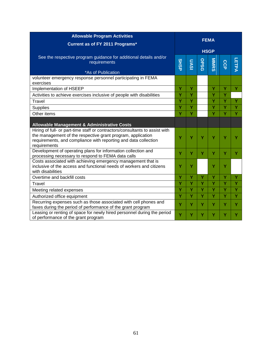| <b>Allowable Program Activities</b>                                                                                                                                                                                                                                                      |             | <b>FEMA</b> |             |              |     |              |  |  |
|------------------------------------------------------------------------------------------------------------------------------------------------------------------------------------------------------------------------------------------------------------------------------------------|-------------|-------------|-------------|--------------|-----|--------------|--|--|
| Current as of FY 2011 Programs*                                                                                                                                                                                                                                                          |             |             | <b>HSGP</b> |              |     |              |  |  |
| See the respective program guidance for additional details and/or<br>requirements<br>*As of Publication                                                                                                                                                                                  | <b>SHSP</b> | UASI        | OPSG        | <b>MINRS</b> | CCP | <b>LETPA</b> |  |  |
| volunteer emergency response personnel participating in FEMA<br>exercises                                                                                                                                                                                                                |             |             |             |              |     |              |  |  |
| Implementation of HSEEP                                                                                                                                                                                                                                                                  | Υ           | Y           |             | Y            | Ÿ   | Υ            |  |  |
| Activities to achieve exercises inclusive of people with disabilities                                                                                                                                                                                                                    | Y           | Ÿ           |             | Y            | Ÿ   |              |  |  |
| Travel                                                                                                                                                                                                                                                                                   | Ÿ           | Y           |             | Y            | Y   | Ÿ            |  |  |
| Supplies                                                                                                                                                                                                                                                                                 | Ý           | Ý           |             | Ÿ            | Y   | Ÿ            |  |  |
| Other items                                                                                                                                                                                                                                                                              | Y           | Y           |             | Y            | Y   | Y            |  |  |
| <b>Allowable Management &amp; Administrative Costs</b><br>Hiring of full- or part-time staff or contractors/consultants to assist with<br>the management of the respective grant program, application<br>requirements, and compliance with reporting and data collection<br>requirements | Y           | Υ           | Y           | Y            | Y   |              |  |  |
| Development of operating plans for information collection and<br>processing necessary to respond to FEMA data calls                                                                                                                                                                      | Y           | Y           | Y           | Y            | Y   | Y            |  |  |
| Costs associated with achieving emergency management that is<br>inclusive of the access and functional needs of workers and citizens<br>with disabilities                                                                                                                                | Υ           | Υ           |             | Y            | Y   |              |  |  |
| Overtime and backfill costs                                                                                                                                                                                                                                                              | Ÿ           | Y           | Ÿ           | Y            | Y   | Ÿ            |  |  |
| Travel                                                                                                                                                                                                                                                                                   | Y           | Υ           | Y           | Y            | Y   | Y            |  |  |
| Meeting related expenses                                                                                                                                                                                                                                                                 | Y           | Ÿ           | Y           | Y            | Ÿ   | Ÿ            |  |  |
| Authorized office equipment                                                                                                                                                                                                                                                              | Ÿ           | Ÿ           | Ÿ           | Y            | Y   | Ÿ            |  |  |
| Recurring expenses such as those associated with cell phones and<br>faxes during the period of performance of the grant program                                                                                                                                                          | Y           | Y           | Y           | Y            | Y   | Y            |  |  |
| Leasing or renting of space for newly hired personnel during the period<br>of performance of the grant program                                                                                                                                                                           | Ÿ           | Y           | Υ           | Y            | Υ   | Y            |  |  |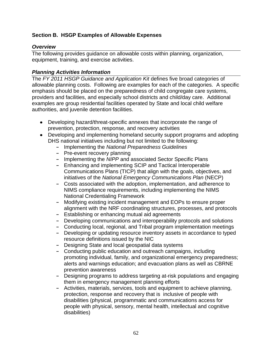# **Section B. HSGP Examples of Allowable Expenses**

#### *Overview*

The following provides guidance on allowable costs within planning, organization, equipment, training, and exercise activities.

#### *Planning Activities Information*

The *FY 2011 HSGP Guidance and Application Kit* defines five broad categories of allowable planning costs. Following are examples for each of the categories. A specific emphasis should be placed on the preparedness of child congregate care systems, providers and facilities, and especially school districts and child/day care. Additional examples are group residential facilities operated by State and local child welfare authorities, and juvenile detention facilities.

- Developing hazard/threat-specific annexes that incorporate the range of prevention, protection, response, and recovery activities
- Developing and implementing homeland security support programs and adopting DHS national initiatives including but not limited to the following:
	- **-** Implementing the *National Preparedness Guidelines*
	- **-** Pre-event recovery planning
	- **-** Implementing the *NIPP* and associated Sector Specific Plans
	- **-** Enhancing and implementing SCIP and Tactical Interoperable Communications Plans (TICP) that align with the goals, objectives, and initiatives of the *National Emergency Communications Plan* (NECP)
	- **-** Costs associated with the adoption, implementation, and adherence to NIMS compliance requirements, including implementing the NIMS National Credentialing Framework
	- **-** Modifying existing incident management and EOPs to ensure proper alignment with the NRF coordinating structures, processes, and protocols
	- **-** Establishing or enhancing mutual aid agreements
	- **-** Developing communications and interoperability protocols and solutions
	- **-** Conducting local, regional, and Tribal program implementation meetings
	- **-** Developing or updating resource inventory assets in accordance to typed resource definitions issued by the NIC
	- **-** Designing State and local geospatial data systems
	- **-** Conducting public education and outreach campaigns, including promoting individual, family, and organizational emergency preparedness; alerts and warnings education; and evacuation plans as well as CBRNE prevention awareness
	- **-** Designing programs to address targeting at-risk populations and engaging them in emergency management planning efforts
	- **-** Activities, materials, services, tools and equipment to achieve planning, protection, response and recovery that is inclusive of people with disabilities (physical, programmatic and communications access for people with physical, sensory, mental health, intellectual and cognitive disabilities)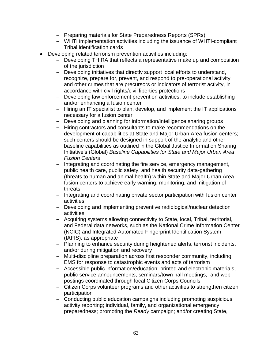- **-** Preparing materials for State Preparedness Reports (SPRs)
- **-** WHTI implementation activities including the issuance of WHTI-compliant Tribal identification cards
- Developing related terrorism prevention activities including:
	- **-** Developing THIRA that reflects a representative make up and composition of the jurisdiction
	- **-** Developing initiatives that directly support local efforts to understand, recognize, prepare for, prevent, and respond to pre-operational activity and other crimes that are precursors or indicators of terrorist activity, in accordance with civil rights/civil liberties protections
	- **-** Developing law enforcement prevention activities, to include establishing and/or enhancing a fusion center
	- **-** Hiring an IT specialist to plan, develop, and implement the IT applications necessary for a fusion center
	- **-** Developing and planning for information/intelligence sharing groups
	- **-** Hiring contractors and consultants to make recommendations on the development of capabilities at State and Major Urban Area fusion centers; such centers should be designed in support of the analytic and other baseline capabilities as outlined in the Global Justice Information Sharing Initiative's (Global) *Baseline Capabilities for State and Major Urban Area Fusion Centers*
	- **-** Integrating and coordinating the fire service, emergency management, public health care, public safety, and health security data-gathering (threats to human and animal health) within State and Major Urban Area fusion centers to achieve early warning, monitoring, and mitigation of threats
	- **-** Integrating and coordinating private sector participation with fusion center activities
	- **-** Developing and implementing preventive radiological/nuclear detection activities
	- **-** Acquiring systems allowing connectivity to State, local, Tribal, territorial, and Federal data networks, such as the National Crime Information Center (NCIC) and Integrated Automated Fingerprint Identification System (IAFIS), as appropriate
	- **-** Planning to enhance security during heightened alerts, terrorist incidents, and/or during mitigation and recovery
	- **-** Multi-discipline preparation across first responder community, including EMS for response to catastrophic events and acts of terrorism
	- **-** Accessible public information/education: printed and electronic materials, public service announcements, seminars/town hall meetings, and web postings coordinated through local Citizen Corps Councils
	- **-** Citizen Corps volunteer programs and other activities to strengthen citizen participation
	- **-** Conducting public education campaigns including promoting suspicious activity reporting; individual, family, and organizational emergency preparedness; promoting the *Ready* campaign; and/or creating State,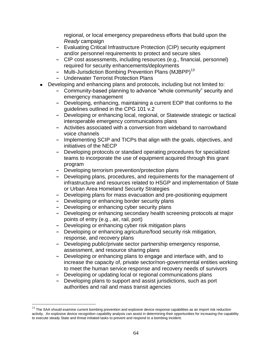regional, or local emergency preparedness efforts that build upon the *Ready* campaign

- **-** Evaluating Critical Infrastructure Protection (CIP) security equipment and/or personnel requirements to protect and secure sites
- **-** CIP cost assessments, including resources (e.g., financial, personnel) required for security enhancements/deployments
- Multi-Jurisdiction Bombing Prevention Plans (MJBPP)<sup>13</sup>
- **-** Underwater Terrorist Protection Plans
- Developing and enhancing plans and protocols, including but not limited to:
	- Community-based planning to advance "whole community" security and emergency management
	- **-** Developing, enhancing, maintaining a current EOP that conforms to the guidelines outlined in the CPG 101 v.2
	- **-** Developing or enhancing local, regional, or Statewide strategic or tactical interoperable emergency communications plans
	- **-** Activities associated with a conversion from wideband to narrowband voice channels
	- **-** Implementing SCIP and TICPs that align with the goals, objectives, and initiatives of the NECP
	- **-** Developing protocols or standard operating procedures for specialized teams to incorporate the use of equipment acquired through this grant program
	- **-** Developing terrorism prevention/protection plans
	- **-** Developing plans, procedures, and requirements for the management of infrastructure and resources related to HSGP and implementation of State or Urban Area Homeland Security Strategies
	- **-** Developing plans for mass evacuation and pre-positioning equipment
	- **-** Developing or enhancing border security plans
	- **-** Developing or enhancing cyber security plans

 $\overline{a}$ 

- **-** Developing or enhancing secondary health screening protocols at major points of entry (e.g., air, rail, port)
- **-** Developing or enhancing cyber risk mitigation plans
- **-** Developing or enhancing agriculture/food security risk mitigation, response, and recovery plans
- **-** Developing public/private sector partnership emergency response, assessment, and resource sharing plans
- **-** Developing or enhancing plans to engage and interface with, and to increase the capacity of, private sector/non-governmental entities working to meet the human service response and recovery needs of survivors
- **-** Developing or updating local or regional communications plans
- **-** Developing plans to support and assist jurisdictions, such as port authorities and rail and mass transit agencies

 $13$  The SAA should examine current bombing prevention and explosive device response capabilities as an import risk reduction activity. An explosive device recognition capability analysis can assist in determining their opportunities for increasing the capability to execute steady State and threat initiated tasks to prevent and respond to a bombing incident.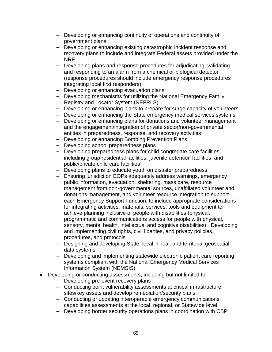- **-** Developing or enhancing continuity of operations and continuity of government plans
- **-** Developing or enhancing existing catastrophic incident response and recovery plans to include and integrate Federal assets provided under the NRF
- **-** Developing plans and response procedures for adjudicating, validating and responding to an alarm from a chemical or biological detector (response procedures should include emergency response procedures integrating local first responders)
- **-** Developing or enhancing evacuation plans
- **-** Developing mechanisms for utilizing the National Emergency Family Registry and Locator System (NEFRLS)
- **-** Developing or enhancing plans to prepare for surge capacity of volunteers
- **-** Developing or enhancing the State emergency medical services systems
- **-** Developing or enhancing plans for donations and volunteer management and the engagement/integration of private sector/non-governmental entities in preparedness, response, and recovery activities
- **-** Developing or enhancing Bombing Prevention Plans
- **-** Developing school preparedness plans
- **-** Developing preparedness plans for child congregate care facilities, including group residential facilities, juvenile detention facilities, and public/private child care facilities
- **-** Developing plans to educate youth on disaster preparedness
- **-** Ensuring jurisdiction EOPs adequately address warnings, emergency public information, evacuation, sheltering, mass care, resource management from non-governmental sources, unaffiliated volunteer and donations management, and volunteer resource integration to support each Emergency Support Function, to include appropriate considerations for integrating activities, materials, services, tools and equipment to achieve planning inclusive of people with disabilities (physical, programmatic and communications access for people with physical, sensory, mental health, intellectual and cognitive disabilities). Developing and implementing civil rights, civil liberties, and privacy policies, procedures, and protocols
- **-** Designing and developing State, local, Tribal, and territorial geospatial data systems
- **-** Developing and implementing statewide electronic patient care reporting systems compliant with the National Emergency Medical Services Information System (NEMSIS)
- Developing or conducting assessments, including but not limited to:
	- **-** Developing pre-event recovery plans
	- **-** Conducting point vulnerability assessments at critical infrastructure sites/key assets and develop remediation/security plans
	- **-** Conducting or updating interoperable emergency communications capabilities assessments at the local, regional, or Statewide level
	- **-** Developing border security operations plans in coordination with CBP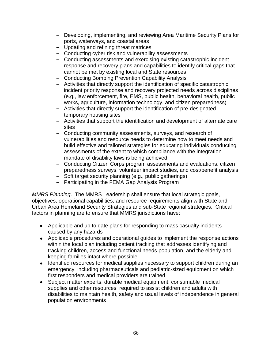- **-** Developing, implementing, and reviewing Area Maritime Security Plans for ports, waterways, and coastal areas
- **-** Updating and refining threat matrices
- **-** Conducting cyber risk and vulnerability assessments
- **-** Conducting assessments and exercising existing catastrophic incident response and recovery plans and capabilities to identify critical gaps that cannot be met by existing local and State resources
- **-** Conducting Bombing Prevention Capability Analysis
- **-** Activities that directly support the identification of specific catastrophic incident priority response and recovery projected needs across disciplines (e.g., law enforcement, fire, EMS, public health, behavioral health, public works, agriculture, information technology, and citizen preparedness)
- **-** Activities that directly support the identification of pre-designated temporary housing sites
- **-** Activities that support the identification and development of alternate care sites
- **-** Conducting community assessments, surveys, and research of vulnerabilities and resource needs to determine how to meet needs and build effective and tailored strategies for educating individuals conducting assessments of the extent to which compliance with the integration mandate of disability laws is being achieved
- **-** Conducting Citizen Corps program assessments and evaluations, citizen preparedness surveys, volunteer impact studies, and cost/benefit analysis
- **-** Soft target security planning (e.g., public gatherings)
- **-** Participating in the FEMA Gap Analysis Program

*MMRS Planning*. The MMRS Leadership shall ensure that local strategic goals, objectives, operational capabilities, and resource requirements align with State and Urban Area Homeland Security Strategies and sub-State regional strategies. Critical factors in planning are to ensure that MMRS jurisdictions have:

- Applicable and up to date plans for responding to mass casualty incidents caused by any hazards
- Applicable procedures and operational guides to implement the response actions within the local plan including patient tracking that addresses identifying and tracking children, access and functional needs population, and the elderly and keeping families intact where possible
- Identified resources for medical supplies necessary to support children during an emergency, including pharmaceuticals and pediatric-sized equipment on which first responders and medical providers are trained
- Subject matter experts, durable medical equipment, consumable medical supplies and other resources required to assist children and adults with disabilities to maintain health, safety and usual levels of independence in general population environments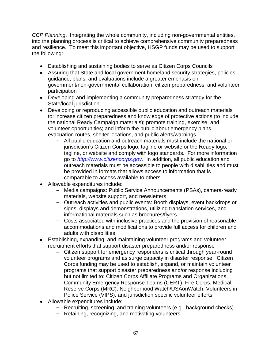*CCP Planning*. Integrating the whole community, including non-governmental entities, into the planning process is critical to achieve comprehensive community preparedness and resilience. To meet this important objective, HSGP funds may be used to support the following:

- Establishing and sustaining bodies to serve as Citizen Corps Councils
- Assuring that State and local government homeland security strategies, policies, guidance, plans, and evaluations include a greater emphasis on government/non-governmental collaboration, citizen preparedness, and volunteer participation
- Developing and implementing a community preparedness strategy for the State/local jurisdiction
- Developing or reproducing accessible public education and outreach materials to: increase citizen preparedness and knowledge of protective actions (to include the national Ready Campaign materials); promote training, exercise, and volunteer opportunities; and inform the public about emergency plans, evacuation routes, shelter locations, and public alerts/warnings
	- **-** All public education and outreach materials must include the national or jurisdiction's Citizen Corps logo, tagline or website or the Ready logo, tagline, or website and comply with logo standards. For more information go to *[http://www.citizencorps.gov](http://www.citizencorps.gov/)*. In addition, all public education and outreach materials must be accessible to people with disabilities and must be provided in formats that allows access to information that is comparable to access available to others.
- Allowable expenditures include:
	- **-** Media campaigns: Public Service Announcements (PSAs), camera-ready materials, website support, and newsletters
	- **-** Outreach activities and public events: Booth displays, event backdrops or signs, displays and demonstrations, utilizing translation services, and informational materials such as brochures/flyers
	- **-** Costs associated with inclusive practices and the provision of reasonable accommodations and modifications to provide full access for children and adults with disabilities
- Establishing, expanding, and maintaining volunteer programs and volunteer recruitment efforts that support disaster preparedness and/or response
	- **-** Citizen support for emergency responders is critical through year-round volunteer programs and as surge capacity in disaster response. Citizen Corps funding may be used to establish, expand, or maintain volunteer programs that support disaster preparedness and/or response including but not limited to: Citizen Corps Affiliate Programs and Organizations, Community Emergency Response Teams (CERT), Fire Corps, Medical Reserve Corps (MRC), Neighborhood Watch/USAonWatch, Volunteers in Police Service (VIPS), and jurisdiction specific volunteer efforts
- Allowable expenditures include:
	- **-** Recruiting, screening, and training volunteers (e.g., background checks)
	- **-** Retaining, recognizing, and motivating volunteers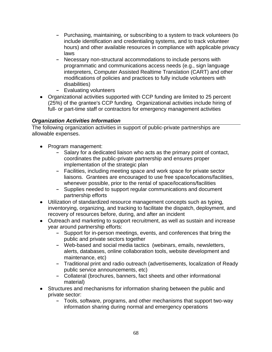- **-** Purchasing, maintaining, or subscribing to a system to track volunteers (to include identification and credentialing systems, and to track volunteer hours) and other available resources in compliance with applicable privacy laws
- **-** Necessary non-structural accommodations to include persons with programmatic and communications access needs (e.g., sign language interpreters, Computer Assisted Realtime Translation (CART) and other modifications of policies and practices to fully include volunteers with disabilities)
- **-** Evaluating volunteers
- Organizational activities supported with CCP funding are limited to 25 percent (25%) of the grantee's CCP funding. Organizational activities include hiring of full- or part-time staff or contractors for emergency management activities

# *Organization Activities Information*

The following organization activities in support of public-private partnerships are allowable expenses.

- Program management:
	- **-** Salary for a dedicated liaison who acts as the primary point of contact, coordinates the public-private partnership and ensures proper implementation of the strategic plan
	- **-** Facilities, including meeting space and work space for private sector liaisons. Grantees are encouraged to use free space/locations/facilities, whenever possible, prior to the rental of space/locations/facilities
	- **-** Supplies needed to support regular communications and document partnership efforts
- Utilization of standardized resource management concepts such as typing, inventorying, organizing, and tracking to facilitate the dispatch, deployment, and recovery of resources before, during, and after an incident
- Outreach and marketing to support recruitment, as well as sustain and increase year around partnership efforts:
	- **-** Support for in-person meetings, events, and conferences that bring the public and private sectors together
	- **-** Web-based and social media tactics (webinars, emails, newsletters, alerts, databases, online collaboration tools, website development and maintenance, etc)
	- **-** Traditional print and radio outreach (advertisements, localization of Ready public service announcements, etc)
	- **-** Collateral (brochures, banners, fact sheets and other informational material)
- Structures and mechanisms for information sharing between the public and private sector:
	- **-** Tools, software, programs, and other mechanisms that support two-way information sharing during normal and emergency operations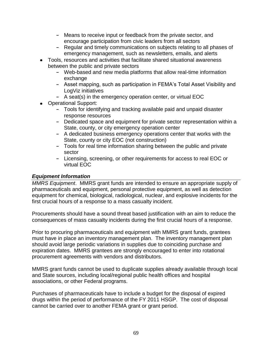- **-** Means to receive input or feedback from the private sector, and encourage participation from civic leaders from all sectors
- **-** Regular and timely communications on subjects relating to all phases of emergency management, such as newsletters, emails, and alerts
- Tools, resources and activities that facilitate shared situational awareness between the public and private sectors
	- **-** Web-based and new media platforms that allow real-time information exchange
	- **-** Asset mapping, such as participation in FEMA's Total Asset Visibility and LogViz initiatives
	- **-** A seat(s) in the emergency operation center, or virtual EOC
- Operational Support:
	- **-** Tools for identifying and tracking available paid and unpaid disaster response resources
	- **-** Dedicated space and equipment for private sector representation within a State, county, or city emergency operation center
	- **-** A dedicated business emergency operations center that works with the State, county or city EOC (not construction)
	- **-** Tools for real time information sharing between the public and private sector
	- **-** Licensing, screening, or other requirements for access to real EOC or virtual EOC

#### *Equipment Information*

*MMRS Equipment*. MMRS grant funds are intended to ensure an appropriate supply of pharmaceuticals and equipment, personal protective equipment, as well as detection equipment for chemical, biological, radiological, nuclear, and explosive incidents for the first crucial hours of a response to a mass casualty incident.

Procurements should have a sound threat based justification with an aim to reduce the consequences of mass casualty incidents during the first crucial hours of a response.

Prior to procuring pharmaceuticals and equipment with MMRS grant funds, grantees must have in place an inventory management plan. The inventory management plan should avoid large periodic variations in supplies due to coinciding purchase and expiration dates. MMRS grantees are strongly encouraged to enter into rotational procurement agreements with vendors and distributors.

MMRS grant funds cannot be used to duplicate supplies already available through local and State sources, including local/regional public health offices and hospital associations, or other Federal programs.

Purchases of pharmaceuticals have to include a budget for the disposal of expired drugs within the period of performance of the FY 2011 HSGP. The cost of disposal cannot be carried over to another FEMA grant or grant period.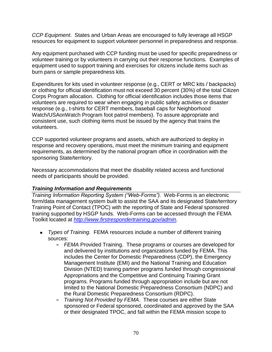*CCP Equipment*. States and Urban Areas are encouraged to fully leverage all HSGP resources for equipment to support volunteer personnel in preparedness and response.

Any equipment purchased with CCP funding must be used for specific preparedness or volunteer training or by volunteers in carrying out their response functions. Examples of equipment used to support training and exercises for citizens include items such as burn pans or sample preparedness kits.

Expenditures for kits used in volunteer response (e.g., CERT or MRC kits / backpacks) or clothing for official identification must not exceed 30 percent (30%) of the total Citizen Corps Program allocation. Clothing for official identification includes those items that volunteers are required to wear when engaging in public safety activities or disaster response (e.g., t-shirts for CERT members, baseball caps for Neighborhood Watch/USAonWatch Program foot patrol members). To assure appropriate and consistent use, such clothing items must be issued by the agency that trains the volunteers.

CCP supported volunteer programs and assets, which are authorized to deploy in response and recovery operations, must meet the minimum training and equipment requirements, as determined by the national program office in coordination with the sponsoring State/territory.

Necessary accommodations that meet the disability related access and functional needs of participants should be provided.

## *Training Information and Requirements*

*Training Information Reporting System ("Web-Forms").* Web-Forms is an electronic form/data management system built to assist the SAA and its designated State/territory Training Point of Contact (TPOC) with the reporting of State and Federal sponsored training supported by HSGP funds. Web-Forms can be accessed through the FEMA Toolkit located at *http:/[/www.firstrespondertraining.gov/admin.](http://www.firstrespondertraining.gov/admin)*

- *Types of Training.*FEMA resources include a number of different training sources:
	- **-** *FEMA* Provided Training.These programs or courses are developed for and delivered by institutions and organizations funded by FEMA. This includes the Center for Domestic Preparedness (CDP), the Emergency Management Institute (EMI) and the National Training and Education Division (NTED) training partner programs funded through congressional Appropriations and the Competitive and Continuing Training Grant programs. Programs funded through appropriation include but are not limited to the National Domestic Preparedness Consortium (NDPC) and the Rural Domestic Preparedness Consortium (RDPC).
	- **-** *Training Not Provided by FEMA*. These courses are either State sponsored or Federal sponsored, coordinated and approved by the SAA or their designated TPOC, and fall within the FEMA mission scope to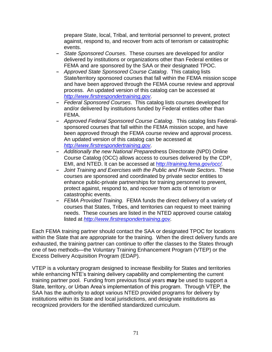prepare State, local, Tribal, and territorial personnel to prevent, protect against, respond to, and recover from acts of terrorism or catastrophic events.

- **-** *State Sponsored Courses*.These courses are developed for and/or delivered by institutions or organizations other than Federal entities or FEMA and are sponsored by the SAA or their designated TPOC.
- **-** *Approved State Sponsored Course Catalog*.This catalog lists State/territory sponsored courses that fall within the FEMA mission scope and have been approved through the FEMA course review and approval process. An updated version of this catalog can be accessed at *[http://www.firstrespondertraining.gov](http://www.firstrespondertraining.gov/)*.
- **-** *Federal Sponsored Courses*.This catalog lists courses developed for and/or delivered by institutions funded by Federal entities other than FEMA.
- **-** *Approved Federal Sponsored Course Catalog*. This catalog lists Federalsponsored courses that fall within the FEMA mission scope, and have been approved through the FEMA course review and approval process. An updated version of this catalog can be accessed at *[http://www.firstrespondertraining.gov](http://www.firstrespondertraining.gov/)*.
- **-** *Additionally the new National Preparedne*ss Directorate (NPD) Online Course Catalog (OCC) allows access to courses delivered by the CDP, EMI, and NTED. It can be accessed at http://*[training.fema.gov/occ/.](http://training.fema.gov/occ/)*
- **-** *Joint Training and Exercises with the Public and Private Sectors*.These courses are sponsored and coordinated by private sector entities to enhance public-private partnerships for training personnel to prevent, protect against, respond to, and recover from acts of terrorism or catastrophic events.
- **-** *FEMA Provided Training.* FEMA funds the direct delivery of a variety of courses that States, Tribes, and territories can request to meet training needs. These courses are listed in the NTED approved course catalog listed at *[http://www.firstrespondertraining.gov.](http://www.firstrespondertraining.gov/)*

Each FEMA training partner should contact the SAA or designated TPOC for locations within the State that are appropriate for the training. When the direct delivery funds are exhausted, the training partner can continue to offer the classes to the States through one of two methods—the Voluntary Training Enhancement Program (VTEP) or the Excess Delivery Acquisition Program (EDAP).

VTEP is a voluntary program designed to increase flexibility for States and territories while enhancing NTE's training delivery capability and complementing the current training partner pool. Funding from previous fiscal years **may** be used to support a State, territory, or Urban Area's implementation of this program. Through VTEP, the SAA has the authority to adopt various NTED provided programs for delivery by institutions within its State and local jurisdictions, and designate institutions as recognized providers for the identified standardized curriculum.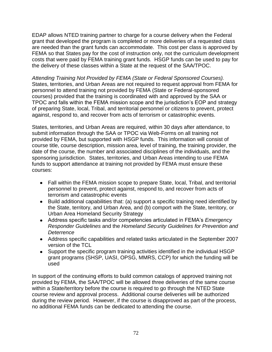EDAP allows NTED training partner to charge for a course delivery when the Federal grant that developed the program is completed or more deliveries of a requested class are needed than the grant funds can accommodate. This cost per class is approved by FEMA so that States pay for the cost of instruction only, not the curriculum development costs that were paid by FEMA training grant funds. HSGP funds can be used to pay for the delivery of these classes within a State at the request of the SAA/TPOC.

*Attending Training Not Provided by FEMA (State or Federal Sponsored Courses).* States, territories, and Urban Areas are not required to request approval from FEMA for personnel to attend training not provided by FEMA (State or Federal-sponsored courses) provided that the training is coordinated with and approved by the SAA or TPOC and falls within the FEMA mission scope and the jurisdiction's EOP and strategy of preparing State, local, Tribal, and territorial personnel or citizens to prevent, protect against, respond to, and recover from acts of terrorism or catastrophic events.

States, territories, and Urban Areas are required, within 30 days after attendance, to submit information through the SAA or TPOC via Web-Forms on all training not provided by FEMA, but supported with HSGP funds. This information will consist of course title, course description, mission area, level of training, the training provider, the date of the course, the number and associated disciplines of the individuals, and the sponsoring jurisdiction. States, territories, and Urban Areas intending to use FEMA funds to support attendance at training not provided by FEMA must ensure these courses:

- Fall within the FEMA mission scope to prepare State, local, Tribal, and territorial personnel to prevent, protect against, respond to, and recover from acts of terrorism and catastrophic events
- Build additional capabilities that: (a) support a specific training need identified by the State, territory, and Urban Area, and (b) comport with the State, territory, or Urban Area Homeland Security Strategy
- Address specific tasks and/or competencies articulated in FEMA's *Emergency Responder Guidelines* and the *Homeland Security Guidelines for Prevention and Deterrence*
- Address specific capabilities and related tasks articulated in the September 2007 version of the TCL
- Support the specific program training activities identified in the individual HSGP grant programs (SHSP, UASI, OPSG, MMRS, CCP) for which the funding will be used

In support of the continuing efforts to build common catalogs of approved training not provided by FEMA, the SAA/TPOC will be allowed three deliveries of the same course within a State/territory before the course is required to go through the NTED State course review and approval process. Additional course deliveries will be authorized during the review period. However, if the course is disapproved as part of the process, no additional FEMA funds can be dedicated to attending the course.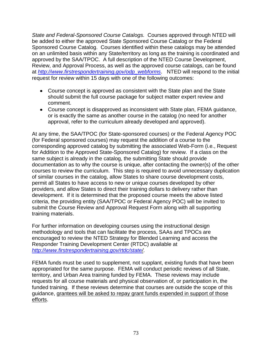*State and Federal-Sponsored Course Catalogs.*Courses approved through NTED will be added to either the approved State Sponsored Course Catalog or the Federal Sponsored Course Catalog. Courses identified within these catalogs may be attended on an unlimited basis within any State/territory as long as the training is coordinated and approved by the SAA/TPOC. A full description of the NTED Course Development, Review, and Approval Process, as well as the approved course catalogs, can be found at *[http://www.firstrespondertraining.gov/odp\\_webforms](http://www.firstrespondertraining.gov/odp_webforms)*. NTED will respond to the initial request for review within 15 days with one of the following outcomes:

- Course concept is approved as consistent with the State plan and the State should submit the full course package for subject matter expert review and comment.
- Course concept is disapproved as inconsistent with State plan, FEMA guidance, or is exactly the same as another course in the catalog (no need for another approval, refer to the curriculum already developed and approved).

At any time, the SAA/TPOC (for State-sponsored courses) or the Federal Agency POC (for Federal sponsored courses) may request the addition of a course to the corresponding approved catalog by submitting the associated Web-Form (i.e., Request for Addition to the Approved State-Sponsored Catalog) for review. If a class on the same subject is already in the catalog, the submitting State should provide documentation as to why the course is unique, after contacting the owner(s) of the other courses to review the curriculum. This step is required to avoid unnecessary duplication of similar courses in the catalog, allow States to share course development costs, permit all States to have access to new or unique courses developed by other providers, and allow States to direct their training dollars to delivery rather than development. If it is determined that the proposed course meets the above listed criteria, the providing entity (SAA/TPOC or Federal Agency POC) will be invited to submit the Course Review and Approval Request Form along with all supporting training materials.

For further information on developing courses using the instructional design methodology and tools that can facilitate the process, SAAs and TPOCs are encouraged to review the NTED Strategy for Blended Learning and access the Responder Training Development Center (RTDC) available at *http:/[/www.firstrespondertraining.gov/rtdc/state/](http://www.firstrespondertraining.gov/rtdc/state)*.

FEMA funds must be used to supplement, not supplant, existing funds that have been appropriated for the same purpose. FEMA will conduct periodic reviews of all State, territory, and Urban Area training funded by FEMA. These reviews may include requests for all course materials and physical observation of, or participation in, the funded training. If these reviews determine that courses are outside the scope of this guidance, grantees will be asked to repay grant funds expended in support of those efforts.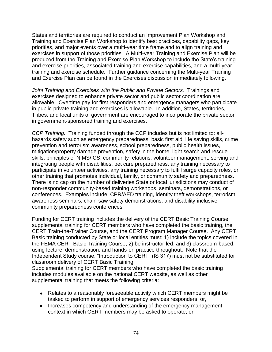States and territories are required to conduct an Improvement Plan Workshop and Training and Exercise Plan Workshop to identify best practices, capability gaps, key priorities, and major events over a multi-year time frame and to align training and exercises in support of those priorities. A Multi-year Training and Exercise Plan will be produced from the Training and Exercise Plan Workshop to include the State's training and exercise priorities, associated training and exercise capabilities, and a multi-year training and exercise schedule. Further guidance concerning the Multi-year Training and Exercise Plan can be found in the Exercises discussion immediately following.

*Joint Training and Exercises with the Public and Private Sectors.* Trainings and exercises designed to enhance private sector and public sector coordination are allowable. Overtime pay for first responders and emergency managers who participate in public-private training and exercises is allowable. In addition, States, territories, Tribes, and local units of government are encouraged to incorporate the private sector in government-sponsored training and exercises.

*CCP Training.* Training funded through the CCP includes but is not limited to: allhazards safety such as emergency preparedness, basic first aid, life saving skills, crime prevention and terrorism awareness, school preparedness, public health issues, mitigation/property damage prevention, safety in the home, light search and rescue skills, principles of NIMS/ICS, community relations, volunteer management, serving and integrating people with disabilities, pet care preparedness, any training necessary to participate in volunteer activities, any training necessary to fulfill surge capacity roles, or other training that promotes individual, family, or community safety and preparedness. There is no cap on the number of deliveries State or local jurisdictions may conduct of non-responder community-based training workshops, seminars, demonstrations, or conferences. Examples include: CPR/AED training, identity theft workshops, terrorism awareness seminars, chain-saw safety demonstrations, and disability-inclusive community preparedness conferences.

Funding for CERT training includes the delivery of the CERT Basic Training Course, supplemental training for CERT members who have completed the basic training, the CERT Train-the-Trainer Course, and the CERT Program Manager Course. Any CERT Basic training conducted by State or local entities must: 1) include the topics covered in the FEMA CERT Basic Training Course; 2) be instructor-led; and 3) classroom-based, using lecture, demonstration, and hands-on practice throughout. Note that the Independent Study course, "Introduction to CERT" (IS 317) must not be substituted for classroom delivery of CERT Basic Training.

Supplemental training for CERT members who have completed the basic training includes modules available on the national CERT website, as well as other supplemental training that meets the following criteria:

- Relates to a reasonably foreseeable activity which CERT members might be tasked to perform in support of emergency services responders; or,
- Increases competency and understanding of the emergency management context in which CERT members may be asked to operate; or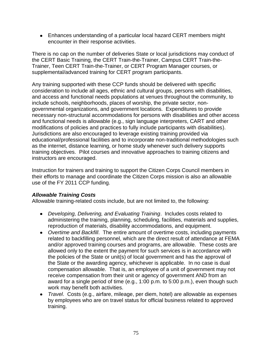Enhances understanding of a particular local hazard CERT members might encounter in their response activities.

There is no cap on the number of deliveries State or local jurisdictions may conduct of the CERT Basic Training, the CERT Train-the-Trainer, Campus CERT Train-the-Trainer, Teen CERT Train-the-Trainer, or CERT Program Manager courses, or supplemental/advanced training for CERT program participants.

Any training supported with these CCP funds should be delivered with specific consideration to include all ages, ethnic and cultural groups, persons with disabilities, and access and functional needs populations at venues throughout the community, to include schools, neighborhoods, places of worship, the private sector, nongovernmental organizations, and government locations. Expenditures to provide necessary non-structural accommodations for persons with disabilities and other access and functional needs is allowable (e.g., sign language interpreters, CART and other modifications of policies and practices to fully include participants with disabilities). Jurisdictions are also encouraged to leverage existing training provided via educational/professional facilities and to incorporate non-traditional methodologies such as the internet, distance learning, or home study whenever such delivery supports training objectives. Pilot courses and innovative approaches to training citizens and instructors are encouraged.

Instruction for trainers and training to support the Citizen Corps Council members in their efforts to manage and coordinate the Citizen Corps mission is also an allowable use of the FY 2011 CCP funding.

## *Allowable Training Costs*

Allowable training-related costs include, but are not limited to, the following:

- *Developing, Delivering, and Evaluating Training*. Includes costs related to administering the training, planning, scheduling, facilities, materials and supplies, reproduction of materials, disability accommodations, and equipment.
- *Overtime and Backfill*. The entire amount of overtime costs, including payments related to backfilling personnel, which are the direct result of attendance at FEMA and/or approved training courses and programs, are allowable. These costs are allowed only to the extent the payment for such services is in accordance with the policies of the State or unit(s) of local government and has the approval of the State or the awarding agency, whichever is applicable. In no case is dual compensation allowable. That is, an employee of a unit of government may not receive compensation from their unit or agency of government AND from an award for a single period of time (e.g., 1:00 p.m. to 5:00 p.m.), even though such work may benefit both activities.
- *Travel*. Costs (e.g., airfare, mileage, per diem, hotel) are allowable as expenses by employees who are on travel status for official business related to approved training.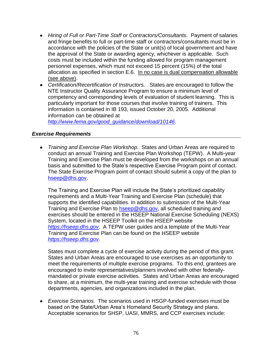- *Hiring of Full or Part-Time Staff or Contractors/Consultants*. Payment of salaries and fringe benefits to full or part-time staff or contractors/consultants must be in accordance with the policies of the State or unit(s) of local government and have the approval of the State or awarding agency, whichever is applicable. Such costs must be included within the funding allowed for program management personnel expenses, which must not exceed 15 percent (15%) of the total allocation as specified in section E.6. In no case is dual compensation allowable (see above).
- *Certification/Recertification of Instructors.* States are encouraged to follow the NTE Instructor Quality Assurance Program to ensure a minimum level of competency and corresponding levels of evaluation of student learning. This is particularly important for those courses that involve training of trainers. This information is contained in IB 193, issued October 20, 2005. Additional information can be obtained at

*[http://www.fema.gov/good\\_guidance/download/10146](http://www.fema.gov/good_guidance/download/10146)*.

#### *Exercise Requirements*

*Training and Exercise Plan Workshop.* States and Urban Areas are required to conduct an annual Training and Exercise Plan Workshop (TEPW). A Multi-year Training and Exercise Plan must be developed from the workshops on an annual basis and submitted to the State's respective Exercise Program point of contact. The State Exercise Program point of contact should submit a copy of the plan to [hseep@dhs.gov.](mailto:hseep@dhs.gov)

The Training and Exercise Plan will include the State's prioritized capability requirements and a Multi-Year Training and Exercise Plan (schedule) that supports the identified capabilities. In addition to submission of the Multi-Year Training and Exercise Plan to [hseep@dhs.gov,](mailto:hseep@dhs.gov) all scheduled training and exercises should be entered in the HSEEP National Exercise Scheduling (NEXS) System, located in the HSEEP Toolkit on the HSEEP website *[https://hseep.dhs.gov](https://hseep.dhs.gov/)*. A TEPW user guides and a template of the Multi-Year Training and Exercise Plan can be found on the HSEEP website *[https://hseep.dhs.gov](https://hseep.dhs.gov/)*.

States must complete a cycle of exercise activity during the period of this grant. States and Urban Areas are encouraged to use exercises as an opportunity to meet the requirements of multiple exercise programs. To this end, grantees are encouraged to invite representatives/planners involved with other federallymandated or private exercise activities. States and Urban Areas are encouraged to share, at a minimum, the multi-year training and exercise schedule with those departments, agencies, and organizations included in the plan.

*Exercise Scenarios.* The scenarios used in HSGP-funded exercises must be based on the State/Urban Area's Homeland Security Strategy and plans. Acceptable scenarios for SHSP, UASI, MMRS, and CCP exercises include: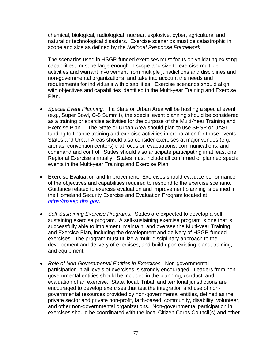chemical, biological, radiological, nuclear, explosive, cyber, agricultural and natural or technological disasters. Exercise scenarios must be catastrophic in scope and size as defined by the *National Response Framework*.

The scenarios used in HSGP-funded exercises must focus on validating existing capabilities, must be large enough in scope and size to exercise multiple activities and warrant involvement from multiple jurisdictions and disciplines and non-governmental organizations, and take into account the needs and requirements for individuals with disabilities. Exercise scenarios should align with objectives and capabilities identified in the Multi-year Training and Exercise Plan.

- *Special Event Planning.* If a State or Urban Area will be hosting a special event (e.g., Super Bowl, G-8 Summit), the special event planning should be considered as a training or exercise activities for the purpose of the Multi-Year Training and Exercise Plan. . The State or Urban Area should plan to use SHSP or UASI funding to finance training and exercise activities in preparation for those events. States and Urban Areas should also consider exercises at major venues (e.g., arenas, convention centers) that focus on evacuations, communications, and command and control. States should also anticipate participating in at least one Regional Exercise annually. States must include all confirmed or planned special events in the Multi-year Training and Exercise Plan.
- Exercise Evaluation and Improvement. Exercises should evaluate performance of the objectives and capabilities required to respond to the exercise scenario. Guidance related to exercise evaluation and improvement planning is defined in the Homeland Security Exercise and Evaluation Program located at *[https://hseep.dhs.gov](https://hseep.dhs.gov/)*.
- *Self-Sustaining Exercise Programs.* States are expected to develop a selfsustaining exercise program. A self-sustaining exercise program is one that is successfully able to implement, maintain, and oversee the Multi-year Training and Exercise Plan, including the development and delivery of HSGP-funded exercises. The program must utilize a multi-disciplinary approach to the development and delivery of exercises, and build upon existing plans, training, and equipment.
- *Role of Non-Governmental Entities in Exercises.*Non-governmental participation in all levels of exercises is strongly encouraged. Leaders from nongovernmental entities should be included in the planning, conduct, and evaluation of an exercise. State, local, Tribal, and territorial jurisdictions are encouraged to develop exercises that test the integration and use of nongovernmental resources provided by non-governmental entities, defined as the private sector and private non-profit, faith-based, community, disability, volunteer, and other non-governmental organizations. Non-governmental participation in exercises should be coordinated with the local Citizen Corps Council(s) and other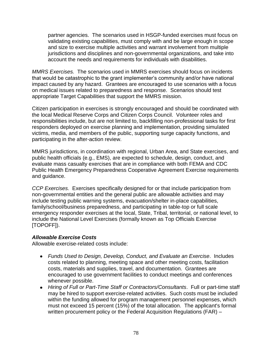partner agencies. The scenarios used in HSGP-funded exercises must focus on validating existing capabilities, must comply with and be large enough in scope and size to exercise multiple activities and warrant involvement from multiple jurisdictions and disciplines and non-governmental organizations, and take into account the needs and requirements for individuals with disabilities.

*MMRS Exercises.* The scenarios used in MMRS exercises should focus on incidents that would be catastrophic to the grant implementer's community and/or have national impact caused by any hazard. Grantees are encouraged to use scenarios with a focus on medical issues related to preparedness and response. Scenarios should test appropriate Target Capabilities that support the MMRS mission.

Citizen participation in exercises is strongly encouraged and should be coordinated with the local Medical Reserve Corps and Citizen Corps Council. Volunteer roles and responsibilities include, but are not limited to, backfilling non-professional tasks for first responders deployed on exercise planning and implementation, providing simulated victims, media, and members of the public, supporting surge capacity functions, and participating in the after-action review.

MMRS jurisdictions, in coordination with regional, Urban Area, and State exercises, and public health officials (e.g., EMS), are expected to schedule, design, conduct, and evaluate mass casualty exercises that are in compliance with both FEMA and CDC Public Health Emergency Preparedness Cooperative Agreement Exercise requirements and guidance.

*CCP Exercises.* Exercises specifically designed for or that include participation from non-governmental entities and the general public are allowable activities and may include testing public warning systems, evacuation/shelter in-place capabilities, family/school/business preparedness, and participating in table-top or full scale emergency responder exercises at the local, State, Tribal, territorial, or national level, to include the National Level Exercises (formally known as Top Officials Exercise [TOPOFF]).

## *Allowable Exercise Costs*

Allowable exercise-related costs include:

- *Funds Used to Design, Develop, Conduct, and Evaluate an Exercise*. Includes costs related to planning, meeting space and other meeting costs, facilitation costs, materials and supplies, travel, and documentation. Grantees are encouraged to use government facilities to conduct meetings and conferences whenever possible.
- *Hiring of Full or Part-Time Staff or Contractors/Consultants*.Full or part-time staff may be hired to support exercise-related activities. Such costs must be included within the funding allowed for program management personnel expenses, which must not exceed 15 percent (15%) of the total allocation. The applicant's formal written procurement policy or the Federal Acquisition Regulations (FAR) –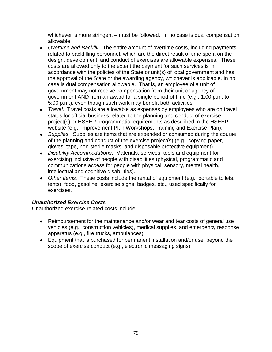whichever is more stringent – must be followed. In no case is dual compensation allowable.

- *Overtime and Backfill*. The entire amount of overtime costs, including payments related to backfilling personnel, which are the direct result of time spent on the design, development, and conduct of exercises are allowable expenses. These costs are allowed only to the extent the payment for such services is in accordance with the policies of the State or unit(s) of local government and has the approval of the State or the awarding agency, whichever is applicable. In no case is dual compensation allowable. That is, an employee of a unit of government may not receive compensation from their unit or agency of government AND from an award for a single period of time (e.g., 1:00 p.m. to 5:00 p.m.), even though such work may benefit both activities.
- *Travel*.Travel costs are allowable as expenses by employees who are on travel status for official business related to the planning and conduct of exercise project(s) or HSEEP programmatic requirements as described in the HSEEP website (e.g., Improvement Plan Workshops, Training and Exercise Plan).
- *Supplies*. Supplies are items that are expended or consumed during the course of the planning and conduct of the exercise project(s) (e.g., copying paper, gloves, tape, non-sterile masks, and disposable protective equipment).
- *Disability Accommodations*. Materials, services, tools and equipment for exercising inclusive of people with disabilities (physical, programmatic and communications access for people with physical, sensory, mental health, intellectual and cognitive disabilities).
- *Other Items.* These costs include the rental of equipment (e.g., portable toilets, tents), food, gasoline, exercise signs, badges, etc., used specifically for exercises.

# *Unauthorized Exercise Costs*

Unauthorized exercise-related costs include:

- Reimbursement for the maintenance and/or wear and tear costs of general use vehicles (e.g., construction vehicles), medical supplies, and emergency response apparatus (e.g., fire trucks, ambulances).
- Equipment that is purchased for permanent installation and/or use, beyond the scope of exercise conduct (e.g., electronic messaging signs).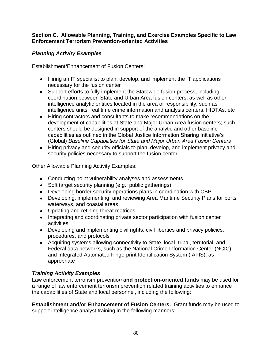#### **Section C. Allowable Planning, Training, and Exercise Examples Specific to Law Enforcement Terrorism Prevention-oriented Activities**

## *Planning Activity Examples*

Establishment/Enhancement of Fusion Centers:

- Hiring an IT specialist to plan, develop, and implement the IT applications necessary for the fusion center
- Support efforts to fully implement the Statewide fusion process, including coordination between State and Urban Area fusion centers, as well as other intelligence analytic entities located in the area of responsibility, such as intelligence units, real time crime information and analysis centers, HIDTAs, etc
- Hiring contractors and consultants to make recommendations on the development of capabilities at State and Major Urban Area fusion centers; such centers should be designed in support of the analytic and other baseline capabilities as outlined in the Global Justice Information Sharing Initiative's (Global) *Baseline Capabilities for State and Major Urban Area Fusion Centers*
- Hiring privacy and security officials to plan, develop, and implement privacy and security policies necessary to support the fusion center

Other Allowable Planning Activity Examples:

- Conducting point vulnerability analyses and assessments
- Soft target security planning (e.g., public gatherings)
- Developing border security operations plans in coordination with CBP
- Developing, implementing, and reviewing Area Maritime Security Plans for ports, waterways, and coastal areas
- Updating and refining threat matrices
- Integrating and coordinating private sector participation with fusion center activities
- Developing and implementing civil rights, civil liberties and privacy policies, procedures, and protocols
- Acquiring systems allowing connectivity to State, local, tribal, territorial, and Federal data networks, such as the National Crime Information Center (NCIC) and Integrated Automated Fingerprint Identification System (IAFIS), as appropriate

## *Training Activity Examples*

Law enforcement terrorism preventio*n* **and protection-oriented funds** may be used for a range of law enforcement terrorism prevention related training activities to enhance the capabilities of State and local personnel, including the following:

**Establishment and/or Enhancement of Fusion Centers.** Grant funds may be used to support intelligence analyst training in the following manners: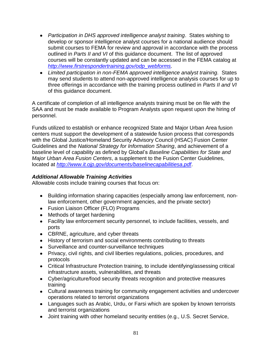- *Participation in DHS approved intelligence analyst training*. States wishing to develop or sponsor intelligence analyst courses for a national audience should submit courses to FEMA for review and approval in accordance with the process outlined in *Parts II and VI* of this guidance document. The list of approved courses will be constantly updated and can be accessed in the FEMA catalog at *[http://www.firstrespondertraining.gov/odp\\_webforms.](http://www.firstrespondertraining.gov/odp_webforms)*
- *Limited participation in non-FEMA approved intelligence analyst training.* States may send students to attend non-approved intelligence analysis courses for up to three offerings in accordance with the training process outlined in *Parts II and VI* of this guidance document.

A certificate of completion of all intelligence analysts training must be on file with the SAA and must be made available to Program Analysts upon request upon the hiring of personnel.

Funds utilized to establish or enhance recognized State and Major Urban Area fusion centers must support the development of a statewide fusion process that corresponds with the Global Justice/Homeland Security Advisory Council (HSAC) Fusion Center Guidelines and the *National Strategy for Information Sharing*, and achievement of a baseline level of capability as defined by Global's *Baseline Capabilities for State and Major Urban Area Fusion Centers*, a supplement to the Fusion Center Guidelines, located at *<http://www.it.ojp.gov/documents/baselinecapabilitiesa.pdf>*.

#### *Additional Allowable Training Activities*

Allowable costs include training courses that focus on:

- Building information sharing capacities (especially among law enforcement, nonlaw enforcement, other government agencies, and the private sector)
- Fusion Liaison Officer (FLO) Programs
- Methods of target hardening
- Facility law enforcement security personnel, to include facilities, vessels, and ports
- CBRNE, agriculture, and cyber threats
- History of terrorism and social environments contributing to threats
- Surveillance and counter-surveillance techniques
- Privacy, civil rights, and civil liberties regulations, policies, procedures, and protocols
- Critical Infrastructure Protection training, to include identifying/assessing critical infrastructure assets, vulnerabilities, and threats
- Cyber/agriculture/food security threats recognition and protective measures training
- Cultural awareness training for community engagement activities and undercover operations related to terrorist organizations
- Languages such as Arabic, Urdu, or Farsi which are spoken by known terrorists and terrorist organizations
- Joint training with other homeland security entities (e.g., U.S. Secret Service,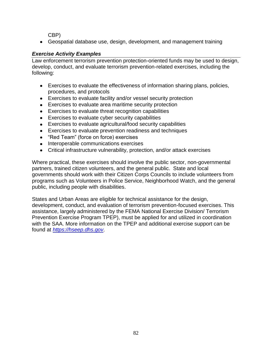CBP)

Geospatial database use, design, development, and management training

## *Exercise Activity Examples*

Law enforcement terrorism prevention protection-oriented funds may be used to design, develop, conduct, and evaluate terrorism prevention-related exercises, including the following:

- Exercises to evaluate the effectiveness of information sharing plans, policies, procedures, and protocols
- Exercises to evaluate facility and/or vessel security protection
- Exercises to evaluate area maritime security protection
- Exercises to evaluate threat recognition capabilities
- Exercises to evaluate cyber security capabilities
- Exercises to evaluate agricultural/food security capabilities
- Exercises to evaluate prevention readiness and techniques
- "Red Team" (force on force) exercises
- Interoperable communications exercises
- Critical infrastructure vulnerability, protection, and/or attack exercises

Where practical, these exercises should involve the public sector, non-governmental partners, trained citizen volunteers, and the general public. State and local governments should work with their Citizen Corps Councils to include volunteers from programs such as Volunteers in Police Service, Neighborhood Watch, and the general public, including people with disabilities.

States and Urban Areas are eligible for technical assistance for the design, development, conduct, and evaluation of terrorism prevention-focused exercises. This assistance, largely administered by the FEMA National Exercise Division/ Terrorism Prevention Exercise Program TPEP), must be applied for and utilized in coordination with the SAA. More information on the TPEP and additional exercise support can be found at *[https://hseep.dhs.gov](https://hseep.dhs.gov/)*.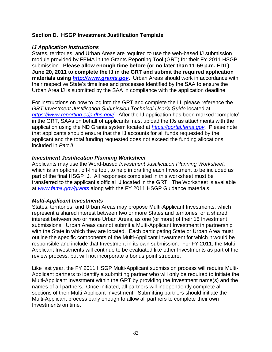#### **Section D. HSGP Investment Justification Template**

#### *IJ Application Instructions*

States, territories, and Urban Areas are required to use the web-based IJ submission module provided by FEMA in the Grants Reporting Tool (GRT) for their FY 2011 HSGP submission. **Please allow enough time before (or no later than 11:59 p.m. EDT) June 20, 2011 to complete the IJ in the GRT and submit the required application materials using** *[http://www.grants.gov](http://www.grants.gov/)***[.](http://www.grants.gov/)** Urban Areas should work in accordance with their respective State's timelines and processes identified by the SAA to ensure the Urban Area IJ is submitted by the SAA in compliance with the application deadline.

For instructions on how to log into the GRT and complete the IJ, please reference the *GRT Investment Justification Submission Technical User's Guide* located at *<https://www.reporting.odp.dhs.gov/>.* After the IJ application has been marked 'complete' in the GRT, SAAs on behalf of applicants must upload the IJs as attachments with the application using the ND Grants system located at *[https://portal.fema.gov](https://portal.fema.gov/)*. Please note that applicants should ensure that the IJ accounts for all funds requested by the applicant and the total funding requested does not exceed the funding allocations included in *Part II*.

#### *Investment Justification Planning Worksheet*

Applicants may use the Word-based *Investment Justification Planning Worksheet,*  which is an optional, off-line tool, to help in drafting each Investment to be included as part of the final HSGP IJ. All responses completed in this worksheet must be transferred to the applicant's official IJ located in the GRT. The Worksheet is available at *[www.fema.gov/grants](http://www.fema.gov/grants)* along with the FY 2011 HSGP Guidance materials.

#### *Multi-Applicant Investments*

States, territories, and Urban Areas may propose Multi-Applicant Investments, which represent a shared interest between two or more States and territories, or a shared interest between two or more Urban Areas, as one (or more) of their 15 Investment submissions. Urban Areas cannot submit a Multi-Applicant Investment in partnership with the State in which they are located. Each participating State or Urban Area must outline the specific components of the Multi-Applicant Investment for which it would be responsible and include that Investment in its own submission. For FY 2011, the Multi-Applicant Investments will continue to be evaluated like other Investments as part of the review process, but will not incorporate a bonus point structure.

Like last year, the FY 2011 HSGP Multi-Applicant submission process will require Multi-Applicant partners to identify a submitting partner who will only be required to initiate the Multi-Applicant Investment within the GRT by providing the Investment name(s) and the names of all partners. Once initiated, all partners will independently complete all sections of their Multi-Applicant Investment. Submitting partners should initiate the Multi-Applicant process early enough to allow all partners to complete their own Investments on time.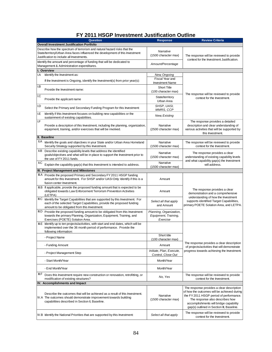# **FY 2011 HSGP Investment Justification Outline**

|                                                                                                                                                                                                         | <b>Question</b>                                                                                                                                                                                             | <b>Response</b>                                             | <b>Review Criteria</b>                                                                                                                                                                                                                                        |  |  |  |
|---------------------------------------------------------------------------------------------------------------------------------------------------------------------------------------------------------|-------------------------------------------------------------------------------------------------------------------------------------------------------------------------------------------------------------|-------------------------------------------------------------|---------------------------------------------------------------------------------------------------------------------------------------------------------------------------------------------------------------------------------------------------------------|--|--|--|
| <b>Overall Investment Justification Portfolio</b>                                                                                                                                                       |                                                                                                                                                                                                             |                                                             |                                                                                                                                                                                                                                                               |  |  |  |
| Describe how the spectrum of terrorism and natural hazard risks that the<br>State/territory/Urban Area faces influenced the development of this Investment<br>Justification to include all Investments. |                                                                                                                                                                                                             | Narrative<br>(1500 character max)                           | The response will be reviewed to provide<br>context for the Investment Justification.                                                                                                                                                                         |  |  |  |
|                                                                                                                                                                                                         | Identify the amount and percentage of funding that will be dedicated to<br>Management & Administration expenditures.                                                                                        | Amount/Percentage                                           |                                                                                                                                                                                                                                                               |  |  |  |
|                                                                                                                                                                                                         | I. Overview                                                                                                                                                                                                 |                                                             |                                                                                                                                                                                                                                                               |  |  |  |
| I.A                                                                                                                                                                                                     | Identify the Investment as:                                                                                                                                                                                 | New, Ongoing<br>Fiscal Year and                             |                                                                                                                                                                                                                                                               |  |  |  |
|                                                                                                                                                                                                         | If the Investment is Ongoing, identify the Investment(s) from prior year(s):                                                                                                                                | <b>Investment Name</b>                                      |                                                                                                                                                                                                                                                               |  |  |  |
| I.B                                                                                                                                                                                                     | Provide the Investment name:                                                                                                                                                                                | <b>Short Title</b><br>(100 character max)                   | The response will be reviewed to provide                                                                                                                                                                                                                      |  |  |  |
| I.C                                                                                                                                                                                                     | Provide the applicant name                                                                                                                                                                                  | State/territory<br>Urban Area                               | context for the Investment.                                                                                                                                                                                                                                   |  |  |  |
| I.D                                                                                                                                                                                                     | Select the Primary and Secondary Funding Program for this Investment:                                                                                                                                       | SHSP, UASI,<br>MMRS, CCP                                    |                                                                                                                                                                                                                                                               |  |  |  |
| I.E                                                                                                                                                                                                     | Identify if this Investment focuses on building new capabilities or the<br>sustainment of existing capabilities.                                                                                            | <b>New, Existing</b>                                        |                                                                                                                                                                                                                                                               |  |  |  |
| I.F                                                                                                                                                                                                     | Provide a description of this Investment, including the planning, organization,<br>equipment, training, and/or exercises that will be involved.                                                             | Narrative<br>(2500 character max)                           | The response provides a detailed<br>description and clear understanding of<br>various activities that will be supported by<br>this Investment.                                                                                                                |  |  |  |
|                                                                                                                                                                                                         | II. Baseline                                                                                                                                                                                                |                                                             |                                                                                                                                                                                                                                                               |  |  |  |
| II.A                                                                                                                                                                                                    | Identify the goals and objectives in your State and/or Urban Area Homeland<br>Security Strategy supported by this Investment.                                                                               | Narrative<br>(1500 character max)                           | The response will be reviewed to provide<br>context for the Investment.                                                                                                                                                                                       |  |  |  |
|                                                                                                                                                                                                         | II.B Describe existing capability levels that address the identified<br>goals/objectives and what will be in place to support the Investment prior to                                                       | Narrative<br>(1500 character max)                           | The response provides a clear<br>understanding of existing capability levels                                                                                                                                                                                  |  |  |  |
| II.C                                                                                                                                                                                                    | the use of FY 2011 funds.<br>Explain the capability gap(s) that this Investment is intended to address.                                                                                                     | Narrative                                                   | and what capability gap(s) the Investment<br>will address.                                                                                                                                                                                                    |  |  |  |
|                                                                                                                                                                                                         |                                                                                                                                                                                                             | (1500 character max)                                        |                                                                                                                                                                                                                                                               |  |  |  |
|                                                                                                                                                                                                         | III. Project Management and Milestones                                                                                                                                                                      |                                                             |                                                                                                                                                                                                                                                               |  |  |  |
|                                                                                                                                                                                                         | III.A Provide the proposed Primary and Secondary FY 2011 HSGP funding<br>amount for this Investment. For SHSP and/or UASI Only: Identify if this is a<br>fusion center Investment.                          | Amount                                                      |                                                                                                                                                                                                                                                               |  |  |  |
|                                                                                                                                                                                                         | III.B If applicable, provide the proposed funding amount that is expected to be<br>obligated towards Law Enforcement Terrorism Prevention Activities<br>(LETPA)                                             | Amount                                                      | The response provides a clear<br>demonstration and a comprehensive<br>understanding of how the Investment                                                                                                                                                     |  |  |  |
|                                                                                                                                                                                                         | III.C Identify the Target Capabilities that are supported by this Investment. For<br>each of the selected Target Capabilities, provide the proposed funding<br>amount to be obligated from this Investment. | Select all that apply<br>and Amount                         | supports identified Target Capabilities,<br>primary POETE Solution Area, and LETPA.                                                                                                                                                                           |  |  |  |
|                                                                                                                                                                                                         | III.D Provide the proposed funding amount to be obligated from this Investment<br>towards the primary Planning, Organization, Equipment, Training, and<br>Exercises (POETE) Solution Area.                  | Planning, Organization,<br>Equipment, Training,<br>Exercise |                                                                                                                                                                                                                                                               |  |  |  |
|                                                                                                                                                                                                         | III.E Identify up to ten projects/activities, with start and end dates, which will be<br>implemented over the 36 month period of performance. Provide the<br>following information:                         |                                                             |                                                                                                                                                                                                                                                               |  |  |  |
|                                                                                                                                                                                                         | <b>Project Name</b>                                                                                                                                                                                         | Short title<br>(100 character max)                          |                                                                                                                                                                                                                                                               |  |  |  |
|                                                                                                                                                                                                         | - Funding Amount                                                                                                                                                                                            | Amount                                                      | The response provides a clear description<br>of projects/activities that will demonstrate                                                                                                                                                                     |  |  |  |
|                                                                                                                                                                                                         | - Project Management Step                                                                                                                                                                                   | Initiate, Plan, Execute,<br>Control, Close Out              | progress towards achieving the Investment.                                                                                                                                                                                                                    |  |  |  |
|                                                                                                                                                                                                         | - Start Month/Year                                                                                                                                                                                          | Month/Year                                                  |                                                                                                                                                                                                                                                               |  |  |  |
|                                                                                                                                                                                                         | - End Month/Year                                                                                                                                                                                            | Month/Year                                                  |                                                                                                                                                                                                                                                               |  |  |  |
| III.F                                                                                                                                                                                                   | Does this Investment require new construction or renovation, retrofitting, or<br>modification of existing structures?                                                                                       | No, Yes                                                     | The response will be reviewed to provide<br>context for the Investment.                                                                                                                                                                                       |  |  |  |
|                                                                                                                                                                                                         | IV. Accomplishments and Impact                                                                                                                                                                              |                                                             |                                                                                                                                                                                                                                                               |  |  |  |
|                                                                                                                                                                                                         | Describe the outcomes that will be achieved as a result of this Investment.<br>IV.A The outcomes should demonstrate improvement towards building<br>capabilities described in Section II, Baseline.         | Narrative<br>(1500 character max)                           | The response provides a clear description<br>of how the outcomes will be achieved during<br>the FY 2011 HSGP period of performance.<br>The response also describes how<br>accomplishments will bridge capability<br>gap(s) outlined in Section III, Baseline. |  |  |  |
|                                                                                                                                                                                                         | IV.B Identify the National Priorities that are supported by this Investment:                                                                                                                                | Select all that apply                                       | The response will be reviewed to provide<br>context for the Investment.                                                                                                                                                                                       |  |  |  |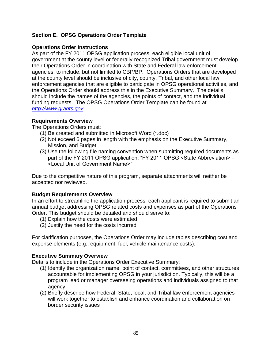## **Section E. OPSG Operations Order Template**

### **Operations Order Instructions**

As part of the FY 2011 OPSG application process, each eligible local unit of government at the county level or federally-recognized Tribal government must develop their Operations Order in coordination with State and Federal law enforcement agencies, to include, but not limited to CBP/BP. Operations Orders that are developed at the county level should be inclusive of city, county, Tribal, and other local law enforcement agencies that are eligible to participate in OPSG operational activities, and the Operations Order should address this in the Executive Summary. The details should include the names of the agencies, the points of contact, and the individual funding requests. The OPSG Operations Order Template can be found at *[http://www.grants.gov](http://www.grants.gov/)*.

#### **Requirements Overview**

The Operations Orders must:

- (1) Be created and submitted in Microsoft Word (\*.doc)
- (2) Not exceed 6 pages in length with the emphasis on the Executive Summary, Mission, and Budget
- (3) Use the following file naming convention when submitting required documents as part of the FY 2011 OPSG application: "FY 2011 OPSG < State Abbreviation > -<Local Unit of Government Name>‖

Due to the competitive nature of this program, separate attachments will neither be accepted nor reviewed.

## **Budget Requirements Overview**

In an effort to streamline the application process, each applicant is required to submit an annual budget addressing OPSG related costs and expenses as part of the Operations Order. This budget should be detailed and should serve to:

- (1) Explain how the costs were estimated
- (2) Justify the need for the costs incurred

For clarification purposes, the Operations Order may include tables describing cost and expense elements (e.g., equipment, fuel, vehicle maintenance costs).

## **Executive Summary Overview**

Details to include in the Operations Order Executive Summary:

- (1) Identify the organization name, point of contact, committees, and other structures accountable for implementing OPSG in your jurisdiction. Typically, this will be a program lead or manager overseeing operations and individuals assigned to that agency
- (2) Briefly describe how Federal, State, local, and Tribal law enforcement agencies will work together to establish and enhance coordination and collaboration on border security issues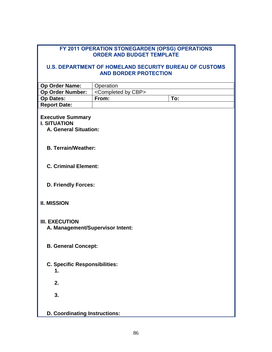#### **FY 2011 OPERATION STONEGARDEN (OPSG) OPERATIONS ORDER AND BUDGET TEMPLATE**

#### **U.S. DEPARTMENT OF HOMELAND SECURITY BUREAU OF CUSTOMS AND BORDER PROTECTION**

| Op Order Name:                                                                  | Operation                            |     |  |  |  |
|---------------------------------------------------------------------------------|--------------------------------------|-----|--|--|--|
| Op Order Number:                                                                | <completed by="" cbp=""></completed> |     |  |  |  |
| <b>Op Dates:</b>                                                                | From:                                | To: |  |  |  |
| <b>Report Date:</b>                                                             |                                      |     |  |  |  |
| <b>Executive Summary</b><br><b>I. SITUATION</b><br><b>A. General Situation:</b> |                                      |     |  |  |  |
| <b>B. Terrain/Weather:</b>                                                      |                                      |     |  |  |  |
|                                                                                 | <b>C. Criminal Element:</b>          |     |  |  |  |
|                                                                                 | <b>D. Friendly Forces:</b>           |     |  |  |  |
| <b>II. MISSION</b>                                                              |                                      |     |  |  |  |
| <b>III. EXECUTION</b><br>A. Management/Supervisor Intent:                       |                                      |     |  |  |  |
| <b>B. General Concept:</b>                                                      |                                      |     |  |  |  |
| <b>C. Specific Responsibilities:</b><br>1.                                      |                                      |     |  |  |  |
| 2.                                                                              |                                      |     |  |  |  |
| 3.                                                                              |                                      |     |  |  |  |
| <b>D. Coordinating Instructions:</b>                                            |                                      |     |  |  |  |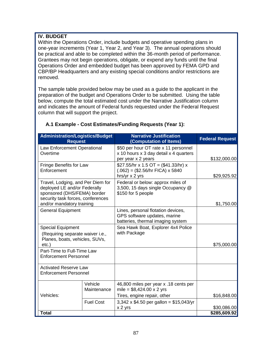## **IV. BUDGET**

Within the Operations Order, include budgets and operative spending plans in one-year increments (Year 1, Year 2, and Year 3). The annual operations should be practical and able to be completed within the 36-month period of performance. Grantees may not begin operations, obligate, or expend any funds until the final Operations Order and embedded budget has been approved by FEMA GPD and CBP/BP Headquarters and any existing special conditions and/or restrictions are removed.

The sample table provided below may be used as a guide to the applicant in the preparation of the budget and Operations Order to be submitted. Using the table below, compute the total estimated cost under the Narrative Justification column and indicates the amount of Federal funds requested under the Federal Request column that will support the project.

| <b>Administration/Logistics/Budget</b><br><b>Request</b>                                                                                                           |                        | <b>Narrative Justification</b><br>(Computation of Items)                                                        | <b>Federal Request</b> |  |
|--------------------------------------------------------------------------------------------------------------------------------------------------------------------|------------------------|-----------------------------------------------------------------------------------------------------------------|------------------------|--|
| Law Enforcement Operational<br>Overtime                                                                                                                            |                        | \$50 per hour OT rate x 11 personnel<br>x 10 hours x 3 day detail x 4 quarters<br>per year x 2 years            | \$132,000.00           |  |
| Fringe Benefits for Law<br>Enforcement                                                                                                                             |                        | \$27.55/hr x 1.5 OT = (\$41.33/hr) x<br>$(.062) = (\$2.56/hr$ FICA) x 5840<br>hrs/yr x 2 yrs                    | \$29,925.92            |  |
| Travel, Lodging, and Per Diem for<br>deployed LE and/or Federally<br>sponsored (DHS/FEMA) border<br>security task forces, conferences<br>and/or mandatory training |                        | Federal or below: approx miles of<br>3,500, 15 days single Occupancy @<br>\$150 for 5 people                    | \$1,750.00             |  |
| <b>General Equipment</b>                                                                                                                                           |                        | Lines, personal flotation devices,<br>GPS software updates, marine<br>batteries, thermal imaging system         |                        |  |
| <b>Special Equipment</b><br>(Requiring separate waiver i.e.,<br>Planes, boats, vehicles, SUVs,<br>etc.                                                             |                        | Sea Hawk Boat, Explorer 4x4 Police<br>with Package                                                              | \$75,000.00            |  |
| Part-Time to Full-Time Law<br><b>Enforcement Personnel</b>                                                                                                         |                        |                                                                                                                 |                        |  |
| <b>Activated Reserve Law</b><br><b>Enforcement Personnel</b>                                                                                                       |                        |                                                                                                                 |                        |  |
| Vehicles:                                                                                                                                                          | Vehicle<br>Maintenance | 46,800 miles per year x .18 cents per<br>mile = $$8,424.00 \times 2 \text{ yrs}$<br>Tires, engine repair, other | \$16,848.00            |  |
|                                                                                                                                                                    | <b>Fuel Cost</b>       | $3,342 \times $4.50$ per gallon = \$15,043/yr<br>x 2 yrs                                                        | \$30,086.00            |  |
| <b>Total</b>                                                                                                                                                       |                        |                                                                                                                 | \$285,609.92           |  |

## **A.1 Example - Cost Estimates/Funding Requests (Year 1):**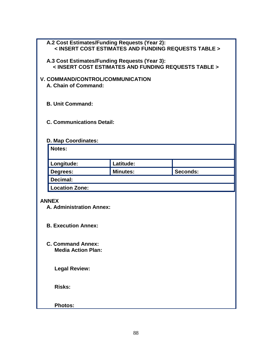| A.2 Cost Estimates/Funding Requests (Year 2):        |                                                      |          |  |  |  |
|------------------------------------------------------|------------------------------------------------------|----------|--|--|--|
| < INSERT COST ESTIMATES AND FUNDING REQUESTS TABLE > |                                                      |          |  |  |  |
|                                                      |                                                      |          |  |  |  |
| A.3 Cost Estimates/Funding Requests (Year 3):        | < INSERT COST ESTIMATES AND FUNDING REQUESTS TABLE > |          |  |  |  |
|                                                      |                                                      |          |  |  |  |
| V. COMMAND/CONTROL/COMMUNICATION                     |                                                      |          |  |  |  |
| A. Chain of Command:                                 |                                                      |          |  |  |  |
|                                                      |                                                      |          |  |  |  |
| <b>B. Unit Command:</b>                              |                                                      |          |  |  |  |
|                                                      |                                                      |          |  |  |  |
| <b>C. Communications Detail:</b>                     |                                                      |          |  |  |  |
|                                                      |                                                      |          |  |  |  |
|                                                      |                                                      |          |  |  |  |
| D. Map Coordinates:<br>Notes:                        |                                                      |          |  |  |  |
|                                                      |                                                      |          |  |  |  |
| Longitude:                                           | Latitude:                                            |          |  |  |  |
| Degrees:                                             | <b>Minutes:</b>                                      | Seconds: |  |  |  |
| Decimal:                                             |                                                      |          |  |  |  |
| <b>Location Zone:</b>                                |                                                      |          |  |  |  |
|                                                      |                                                      |          |  |  |  |
| <b>ANNEX</b>                                         |                                                      |          |  |  |  |
| A. Administration Annex:                             |                                                      |          |  |  |  |
|                                                      |                                                      |          |  |  |  |
| <b>B. Execution Annex:</b>                           |                                                      |          |  |  |  |
|                                                      |                                                      |          |  |  |  |
| <b>C. Command Annex:</b>                             |                                                      |          |  |  |  |
| <b>Media Action Plan:</b>                            |                                                      |          |  |  |  |
|                                                      |                                                      |          |  |  |  |
| <b>Legal Review:</b>                                 |                                                      |          |  |  |  |
|                                                      |                                                      |          |  |  |  |
|                                                      |                                                      |          |  |  |  |
| <b>Risks:</b>                                        |                                                      |          |  |  |  |
|                                                      |                                                      |          |  |  |  |
| <b>Photos:</b>                                       |                                                      |          |  |  |  |